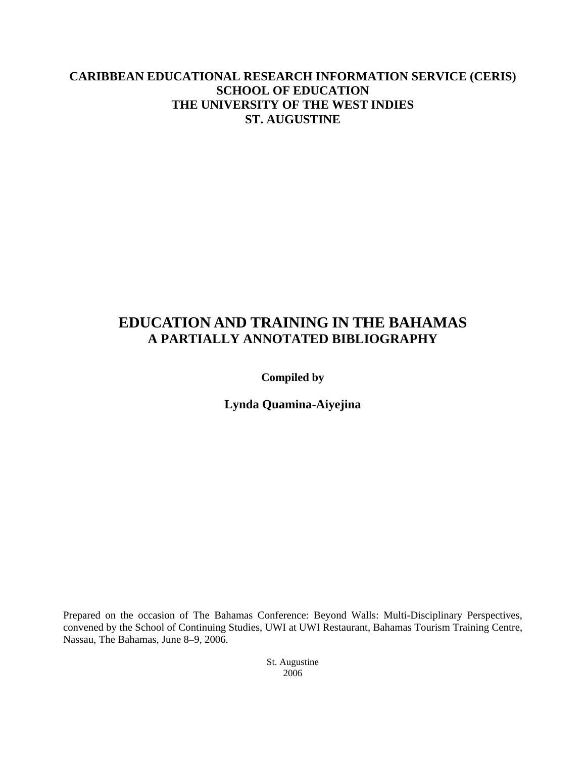# **CARIBBEAN EDUCATIONAL RESEARCH INFORMATION SERVICE (CERIS) SCHOOL OF EDUCATION THE UNIVERSITY OF THE WEST INDIES ST. AUGUSTINE**

# **EDUCATION AND TRAINING IN THE BAHAMAS A PARTIALLY ANNOTATED BIBLIOGRAPHY**

**Compiled by** 

**Lynda Quamina-Aiyejina** 

Prepared on the occasion of The Bahamas Conference: Beyond Walls: Multi-Disciplinary Perspectives, convened by the School of Continuing Studies, UWI at UWI Restaurant, Bahamas Tourism Training Centre, Nassau, The Bahamas, June 8–9, 2006.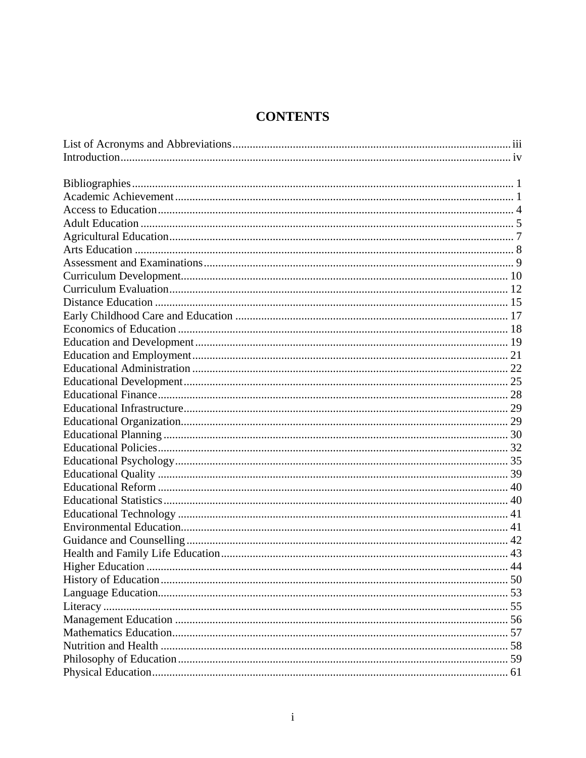# **CONTENTS**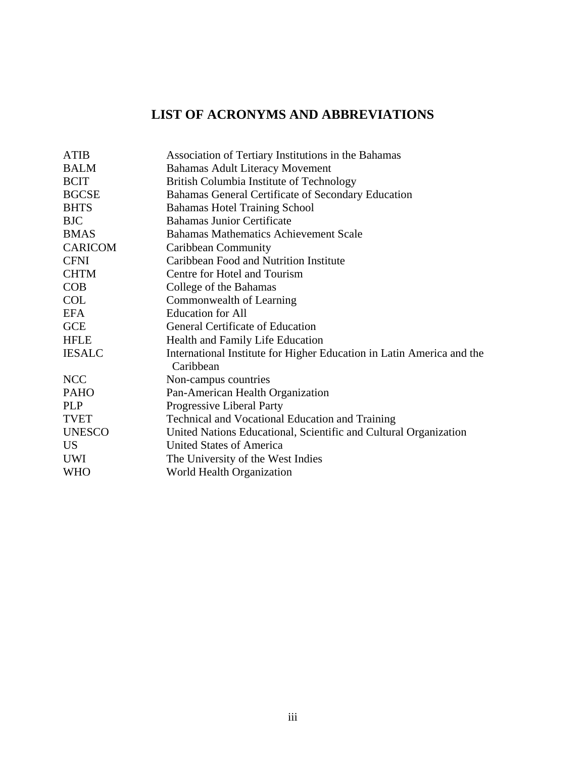# **LIST OF ACRONYMS AND ABBREVIATIONS**

<span id="page-3-0"></span>

| <b>ATIB</b>    | Association of Tertiary Institutions in the Bahamas                                |
|----------------|------------------------------------------------------------------------------------|
| <b>BALM</b>    | <b>Bahamas Adult Literacy Movement</b>                                             |
| <b>BCIT</b>    | British Columbia Institute of Technology                                           |
| <b>BGCSE</b>   | Bahamas General Certificate of Secondary Education                                 |
| <b>BHTS</b>    | <b>Bahamas Hotel Training School</b>                                               |
| <b>BJC</b>     | <b>Bahamas Junior Certificate</b>                                                  |
| <b>BMAS</b>    | <b>Bahamas Mathematics Achievement Scale</b>                                       |
| <b>CARICOM</b> | <b>Caribbean Community</b>                                                         |
| <b>CFNI</b>    | Caribbean Food and Nutrition Institute                                             |
| <b>CHTM</b>    | Centre for Hotel and Tourism                                                       |
| COB            | College of the Bahamas                                                             |
| <b>COL</b>     | Commonwealth of Learning                                                           |
| EFA            | <b>Education for All</b>                                                           |
| <b>GCE</b>     | <b>General Certificate of Education</b>                                            |
| <b>HFLE</b>    | Health and Family Life Education                                                   |
| <b>IESALC</b>  | International Institute for Higher Education in Latin America and the<br>Caribbean |
| <b>NCC</b>     | Non-campus countries                                                               |
| <b>PAHO</b>    | Pan-American Health Organization                                                   |
| <b>PLP</b>     | Progressive Liberal Party                                                          |
| <b>TVET</b>    | <b>Technical and Vocational Education and Training</b>                             |
| <b>UNESCO</b>  |                                                                                    |
|                | United Nations Educational, Scientific and Cultural Organization                   |
| US             | United States of America                                                           |
| <b>UWI</b>     | The University of the West Indies                                                  |
| <b>WHO</b>     | World Health Organization                                                          |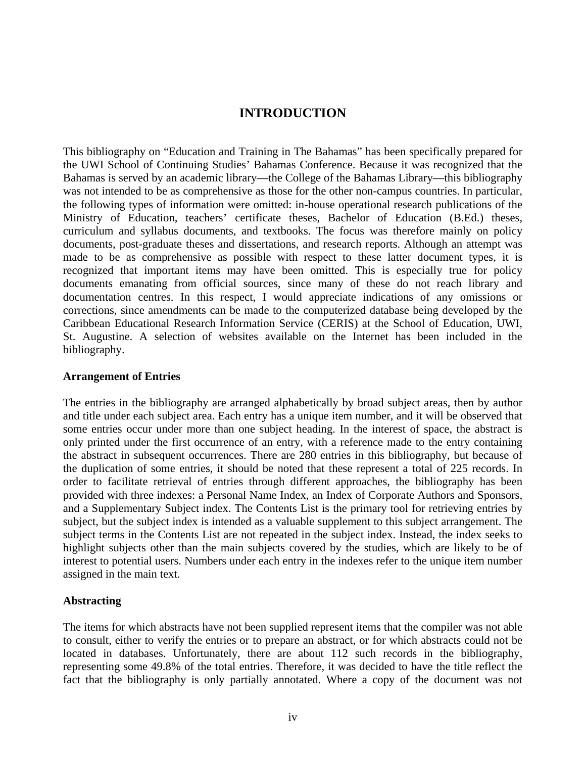# **INTRODUCTION**

<span id="page-4-0"></span>This bibliography on "Education and Training in The Bahamas" has been specifically prepared for the UWI School of Continuing Studies' Bahamas Conference. Because it was recognized that the Bahamas is served by an academic library—the College of the Bahamas Library—this bibliography was not intended to be as comprehensive as those for the other non-campus countries. In particular, the following types of information were omitted: in-house operational research publications of the Ministry of Education, teachers' certificate theses, Bachelor of Education (B.Ed.) theses, curriculum and syllabus documents, and textbooks. The focus was therefore mainly on policy documents, post-graduate theses and dissertations, and research reports. Although an attempt was made to be as comprehensive as possible with respect to these latter document types, it is recognized that important items may have been omitted. This is especially true for policy documents emanating from official sources, since many of these do not reach library and documentation centres. In this respect, I would appreciate indications of any omissions or corrections, since amendments can be made to the computerized database being developed by the Caribbean Educational Research Information Service (CERIS) at the School of Education, UWI, St. Augustine. A selection of websites available on the Internet has been included in the bibliography.

### **Arrangement of Entries**

The entries in the bibliography are arranged alphabetically by broad subject areas, then by author and title under each subject area. Each entry has a unique item number, and it will be observed that some entries occur under more than one subject heading. In the interest of space, the abstract is only printed under the first occurrence of an entry, with a reference made to the entry containing the abstract in subsequent occurrences. There are 280 entries in this bibliography, but because of the duplication of some entries, it should be noted that these represent a total of 225 records. In order to facilitate retrieval of entries through different approaches, the bibliography has been provided with three indexes: a Personal Name Index, an Index of Corporate Authors and Sponsors, and a Supplementary Subject index. The Contents List is the primary tool for retrieving entries by subject, but the subject index is intended as a valuable supplement to this subject arrangement. The subject terms in the Contents List are not repeated in the subject index. Instead, the index seeks to highlight subjects other than the main subjects covered by the studies, which are likely to be of interest to potential users. Numbers under each entry in the indexes refer to the unique item number assigned in the main text.

# **Abstracting**

The items for which abstracts have not been supplied represent items that the compiler was not able to consult, either to verify the entries or to prepare an abstract, or for which abstracts could not be located in databases. Unfortunately, there are about 112 such records in the bibliography, representing some 49.8% of the total entries. Therefore, it was decided to have the title reflect the fact that the bibliography is only partially annotated. Where a copy of the document was not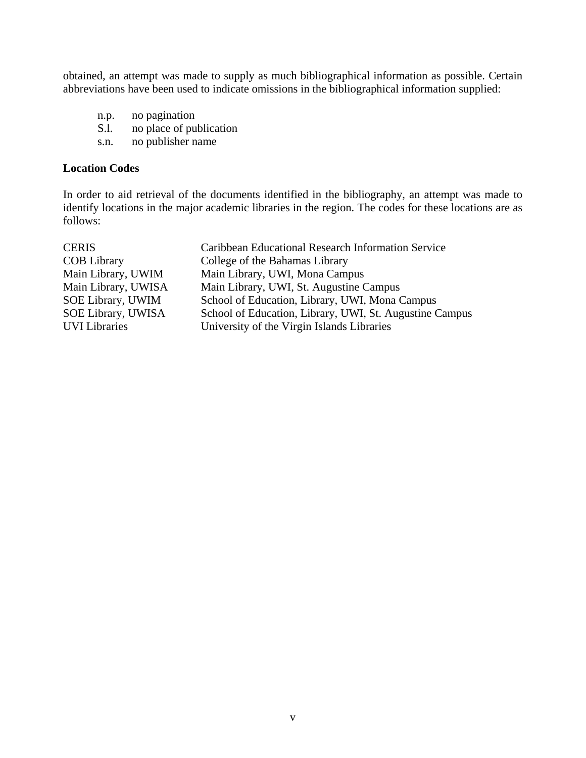obtained, an attempt was made to supply as much bibliographical information as possible. Certain abbreviations have been used to indicate omissions in the bibliographical information supplied:

- n.p. no pagination
- S.l. no place of publication
- s.n. no publisher name

#### **Location Codes**

In order to aid retrieval of the documents identified in the bibliography, an attempt was made to identify locations in the major academic libraries in the region. The codes for these locations are as follows:

| <b>CERIS</b>              | Caribbean Educational Research Information Service      |
|---------------------------|---------------------------------------------------------|
| <b>COB Library</b>        | College of the Bahamas Library                          |
| Main Library, UWIM        | Main Library, UWI, Mona Campus                          |
| Main Library, UWISA       | Main Library, UWI, St. Augustine Campus                 |
| <b>SOE Library, UWIM</b>  | School of Education, Library, UWI, Mona Campus          |
| <b>SOE Library, UWISA</b> | School of Education, Library, UWI, St. Augustine Campus |
| <b>UVI Libraries</b>      | University of the Virgin Islands Libraries              |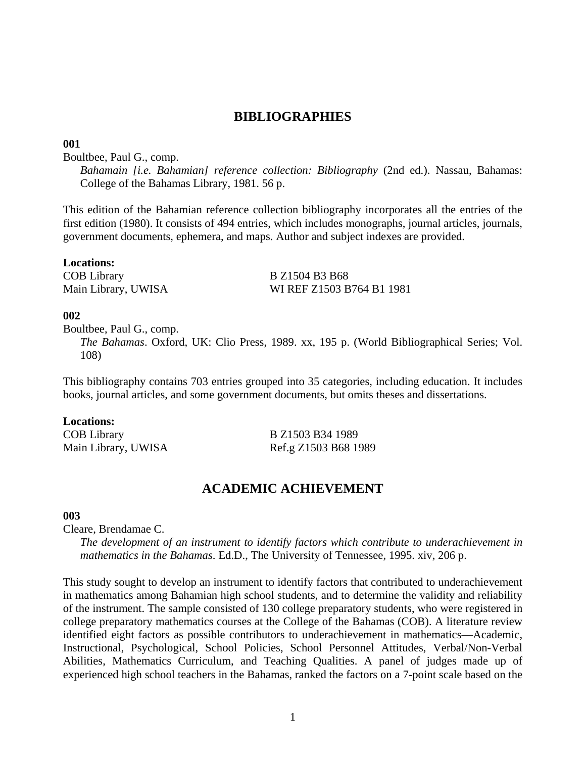# **BIBLIOGRAPHIES**

#### <span id="page-6-0"></span>**001**

Boultbee, Paul G., comp.

*Bahamain [i.e. Bahamian] reference collection: Bibliography* (2nd ed.). Nassau, Bahamas: College of the Bahamas Library, 1981. 56 p.

This edition of the Bahamian reference collection bibliography incorporates all the entries of the first edition (1980). It consists of 494 entries, which includes monographs, journal articles, journals, government documents, ephemera, and maps. Author and subject indexes are provided.

#### **Locations:**

COB Library B Z1504 B3 B68

Main Library, UWISA WI REF Z1503 B764 B1 1981

# **002**

Boultbee, Paul G., comp. *The Bahamas*. Oxford, UK: Clio Press, 1989. xx, 195 p. (World Bibliographical Series; Vol. 108)

This bibliography contains 703 entries grouped into 35 categories, including education. It includes books, journal articles, and some government documents, but omits theses and dissertations.

#### **Locations:**

COB Library B Z1503 B34 1989

Main Library, UWISA Ref.g Z1503 B68 1989

# **ACADEMIC ACHIEVEMENT**

# **003**

Cleare, Brendamae C.

*The development of an instrument to identify factors which contribute to underachievement in mathematics in the Bahamas*. Ed.D., The University of Tennessee, 1995. xiv, 206 p.

This study sought to develop an instrument to identify factors that contributed to underachievement in mathematics among Bahamian high school students, and to determine the validity and reliability of the instrument. The sample consisted of 130 college preparatory students, who were registered in college preparatory mathematics courses at the College of the Bahamas (COB). A literature review identified eight factors as possible contributors to underachievement in mathematics—Academic, Instructional, Psychological, School Policies, School Personnel Attitudes, Verbal/Non-Verbal Abilities, Mathematics Curriculum, and Teaching Qualities. A panel of judges made up of experienced high school teachers in the Bahamas, ranked the factors on a 7-point scale based on the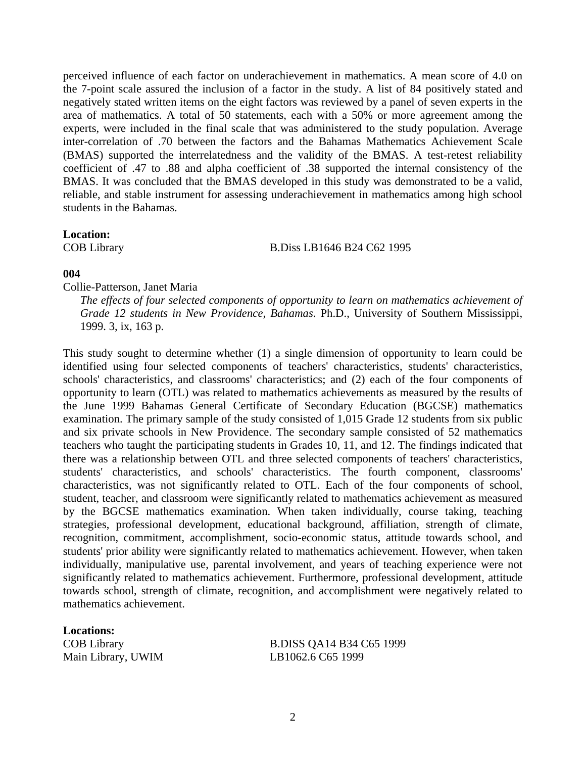perceived influence of each factor on underachievement in mathematics. A mean score of 4.0 on the 7-point scale assured the inclusion of a factor in the study. A list of 84 positively stated and negatively stated written items on the eight factors was reviewed by a panel of seven experts in the area of mathematics. A total of 50 statements, each with a 50% or more agreement among the experts, were included in the final scale that was administered to the study population. Average inter-correlation of .70 between the factors and the Bahamas Mathematics Achievement Scale (BMAS) supported the interrelatedness and the validity of the BMAS. A test-retest reliability coefficient of .47 to .88 and alpha coefficient of .38 supported the internal consistency of the BMAS. It was concluded that the BMAS developed in this study was demonstrated to be a valid, reliable, and stable instrument for assessing underachievement in mathematics among high school students in the Bahamas.

### **Location:**

COB Library B.Diss LB1646 B24 C62 1995

#### **004**

#### Collie-Patterson, Janet Maria

*The effects of four selected components of opportunity to learn on mathematics achievement of Grade 12 students in New Providence, Bahamas*. Ph.D., University of Southern Mississippi, 1999. 3, ix, 163 p.

This study sought to determine whether (1) a single dimension of opportunity to learn could be identified using four selected components of teachers' characteristics, students' characteristics, schools' characteristics, and classrooms' characteristics; and (2) each of the four components of opportunity to learn (OTL) was related to mathematics achievements as measured by the results of the June 1999 Bahamas General Certificate of Secondary Education (BGCSE) mathematics examination. The primary sample of the study consisted of 1,015 Grade 12 students from six public and six private schools in New Providence. The secondary sample consisted of 52 mathematics teachers who taught the participating students in Grades 10, 11, and 12. The findings indicated that there was a relationship between OTL and three selected components of teachers' characteristics, students' characteristics, and schools' characteristics. The fourth component, classrooms' characteristics, was not significantly related to OTL. Each of the four components of school, student, teacher, and classroom were significantly related to mathematics achievement as measured by the BGCSE mathematics examination. When taken individually, course taking, teaching strategies, professional development, educational background, affiliation, strength of climate, recognition, commitment, accomplishment, socio-economic status, attitude towards school, and students' prior ability were significantly related to mathematics achievement. However, when taken individually, manipulative use, parental involvement, and years of teaching experience were not significantly related to mathematics achievement. Furthermore, professional development, attitude towards school, strength of climate, recognition, and accomplishment were negatively related to mathematics achievement.

**Locations:** 

COB Library B.DISS QA14 B34 C65 1999 Main Library, UWIM LB1062.6 C65 1999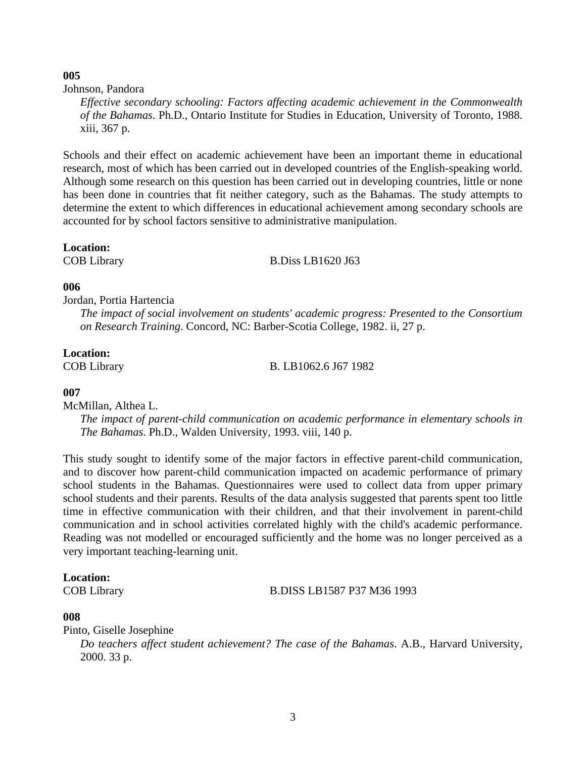#### Johnson, Pandora

*Effective secondary schooling: Factors affecting academic achievement in the Commonwealth of the Bahamas*. Ph.D., Ontario Institute for Studies in Education, University of Toronto, 1988. xiii, 367 p.

Schools and their effect on academic achievement have been an important theme in educational research, most of which has been carried out in developed countries of the English-speaking world. Although some research on this question has been carried out in developing countries, little or none has been done in countries that fit neither category, such as the Bahamas. The study attempts to determine the extent to which differences in educational achievement among secondary schools are accounted for by school factors sensitive to administrative manipulation.

#### **Location:**

COB Library B.Diss LB1620 J63

#### **006**

Jordan, Portia Hartencia

*The impact of social involvement on students' academic progress: Presented to the Consortium on Research Training*. Concord, NC: Barber-Scotia College, 1982. ii, 27 p.

# **Location:**

COB Library B. LB1062.6 J67 1982

#### **007**

McMillan, Althea L.

*The impact of parent-child communication on academic performance in elementary schools in The Bahamas*. Ph.D., Walden University, 1993. viii, 140 p.

This study sought to identify some of the major factors in effective parent-child communication, and to discover how parent-child communication impacted on academic performance of primary school students in the Bahamas. Questionnaires were used to collect data from upper primary school students and their parents. Results of the data analysis suggested that parents spent too little time in effective communication with their children, and that their involvement in parent-child communication and in school activities correlated highly with the child's academic performance. Reading was not modelled or encouraged sufficiently and the home was no longer perceived as a very important teaching-learning unit.

#### **Location:**

COB Library B.DISS LB1587 P37 M36 1993

#### **008**

Pinto, Giselle Josephine

*Do teachers affect student achievement? The case of the Bahamas*. A.B., Harvard University, 2000. 33 p.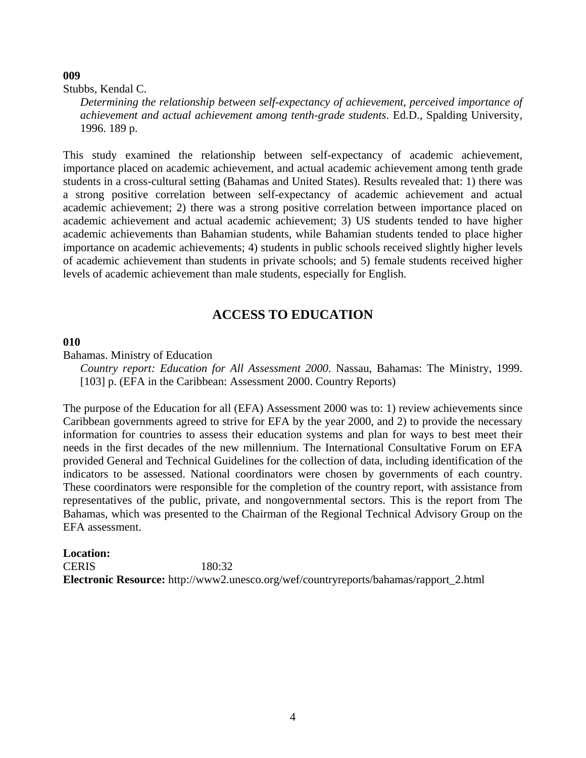<span id="page-9-0"></span>Stubbs, Kendal C.

*Determining the relationship between self-expectancy of achievement, perceived importance of achievement and actual achievement among tenth-grade students*. Ed.D., Spalding University, 1996. 189 p.

This study examined the relationship between self-expectancy of academic achievement, importance placed on academic achievement, and actual academic achievement among tenth grade students in a cross-cultural setting (Bahamas and United States). Results revealed that: 1) there was a strong positive correlation between self-expectancy of academic achievement and actual academic achievement; 2) there was a strong positive correlation between importance placed on academic achievement and actual academic achievement; 3) US students tended to have higher academic achievements than Bahamian students, while Bahamian students tended to place higher importance on academic achievements; 4) students in public schools received slightly higher levels of academic achievement than students in private schools; and 5) female students received higher levels of academic achievement than male students, especially for English.

# **ACCESS TO EDUCATION**

### **010**

Bahamas. Ministry of Education

*Country report: Education for All Assessment 2000*. Nassau, Bahamas: The Ministry, 1999. [103] p. (EFA in the Caribbean: Assessment 2000. Country Reports)

The purpose of the Education for all (EFA) Assessment 2000 was to: 1) review achievements since Caribbean governments agreed to strive for EFA by the year 2000, and 2) to provide the necessary information for countries to assess their education systems and plan for ways to best meet their needs in the first decades of the new millennium. The International Consultative Forum on EFA provided General and Technical Guidelines for the collection of data, including identification of the indicators to be assessed. National coordinators were chosen by governments of each country. These coordinators were responsible for the completion of the country report, with assistance from representatives of the public, private, and nongovernmental sectors. This is the report from The Bahamas, which was presented to the Chairman of the Regional Technical Advisory Group on the EFA assessment.

#### **Location:**

CERIS 180:32 **Electronic Resource:** http://www2.unesco.org/wef/countryreports/bahamas/rapport\_2.html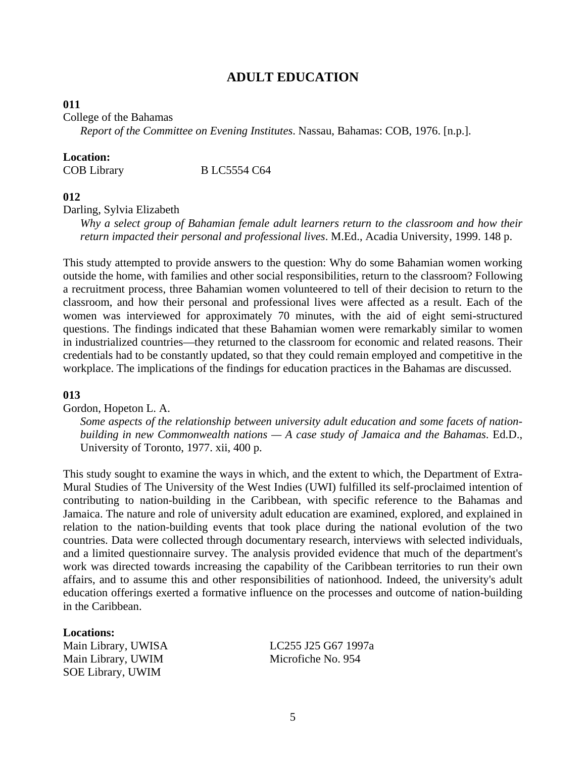# **ADULT EDUCATION**

#### <span id="page-10-0"></span>**011**

College of the Bahamas

*Report of the Committee on Evening Institutes*. Nassau, Bahamas: COB, 1976. [n.p.].

# **Location:**

COB Library B LC5554 C64

#### **012**

Darling, Sylvia Elizabeth

*Why a select group of Bahamian female adult learners return to the classroom and how their return impacted their personal and professional lives*. M.Ed., Acadia University, 1999. 148 p.

This study attempted to provide answers to the question: Why do some Bahamian women working outside the home, with families and other social responsibilities, return to the classroom? Following a recruitment process, three Bahamian women volunteered to tell of their decision to return to the classroom, and how their personal and professional lives were affected as a result. Each of the women was interviewed for approximately 70 minutes, with the aid of eight semi-structured questions. The findings indicated that these Bahamian women were remarkably similar to women in industrialized countries—they returned to the classroom for economic and related reasons. Their credentials had to be constantly updated, so that they could remain employed and competitive in the workplace. The implications of the findings for education practices in the Bahamas are discussed.

#### **013**

Gordon, Hopeton L. A.

*Some aspects of the relationship between university adult education and some facets of nationbuilding in new Commonwealth nations — A case study of Jamaica and the Bahamas*. Ed.D., University of Toronto, 1977. xii, 400 p.

This study sought to examine the ways in which, and the extent to which, the Department of Extra-Mural Studies of The University of the West Indies (UWI) fulfilled its self-proclaimed intention of contributing to nation-building in the Caribbean, with specific reference to the Bahamas and Jamaica. The nature and role of university adult education are examined, explored, and explained in relation to the nation-building events that took place during the national evolution of the two countries. Data were collected through documentary research, interviews with selected individuals, and a limited questionnaire survey. The analysis provided evidence that much of the department's work was directed towards increasing the capability of the Caribbean territories to run their own affairs, and to assume this and other responsibilities of nationhood. Indeed, the university's adult education offerings exerted a formative influence on the processes and outcome of nation-building in the Caribbean.

#### **Locations:**

Main Library, UWIM Microfiche No. 954 SOE Library, UWIM

Main Library, UWISA LC255 J25 G67 1997a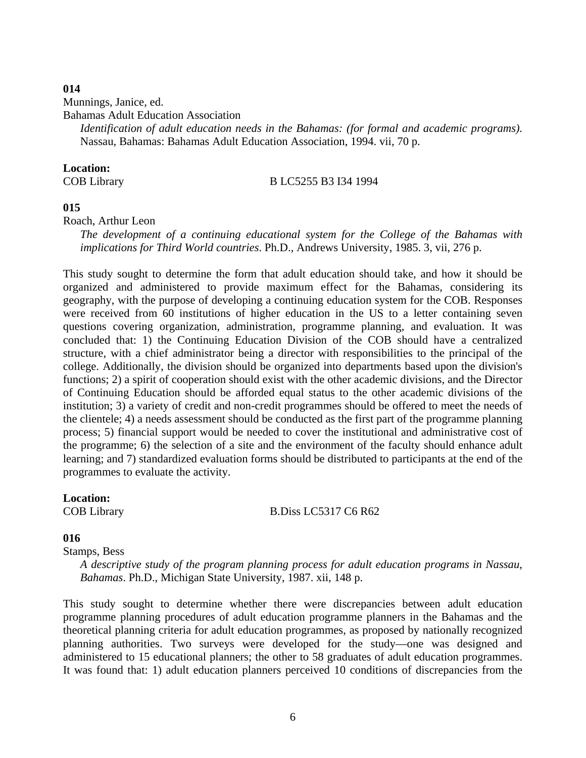Munnings, Janice, ed.

Bahamas Adult Education Association

*Identification of adult education needs in the Bahamas: (for formal and academic programs)*. Nassau, Bahamas: Bahamas Adult Education Association, 1994. vii, 70 p.

# **Location:**

#### COB Library B LC5255 B3 I34 1994

# **015**

Roach, Arthur Leon

*The development of a continuing educational system for the College of the Bahamas with implications for Third World countries*. Ph.D., Andrews University, 1985. 3, vii, 276 p.

This study sought to determine the form that adult education should take, and how it should be organized and administered to provide maximum effect for the Bahamas, considering its geography, with the purpose of developing a continuing education system for the COB. Responses were received from 60 institutions of higher education in the US to a letter containing seven questions covering organization, administration, programme planning, and evaluation. It was concluded that: 1) the Continuing Education Division of the COB should have a centralized structure, with a chief administrator being a director with responsibilities to the principal of the college. Additionally, the division should be organized into departments based upon the division's functions; 2) a spirit of cooperation should exist with the other academic divisions, and the Director of Continuing Education should be afforded equal status to the other academic divisions of the institution; 3) a variety of credit and non-credit programmes should be offered to meet the needs of the clientele; 4) a needs assessment should be conducted as the first part of the programme planning process; 5) financial support would be needed to cover the institutional and administrative cost of the programme; 6) the selection of a site and the environment of the faculty should enhance adult learning; and 7) standardized evaluation forms should be distributed to participants at the end of the programmes to evaluate the activity.

# **Location:**

COB Library B.Diss LC5317 C6 R62

# **016**

#### Stamps, Bess

*A descriptive study of the program planning process for adult education programs in Nassau, Bahamas*. Ph.D., Michigan State University, 1987. xii, 148 p.

This study sought to determine whether there were discrepancies between adult education programme planning procedures of adult education programme planners in the Bahamas and the theoretical planning criteria for adult education programmes, as proposed by nationally recognized planning authorities. Two surveys were developed for the study—one was designed and administered to 15 educational planners; the other to 58 graduates of adult education programmes. It was found that: 1) adult education planners perceived 10 conditions of discrepancies from the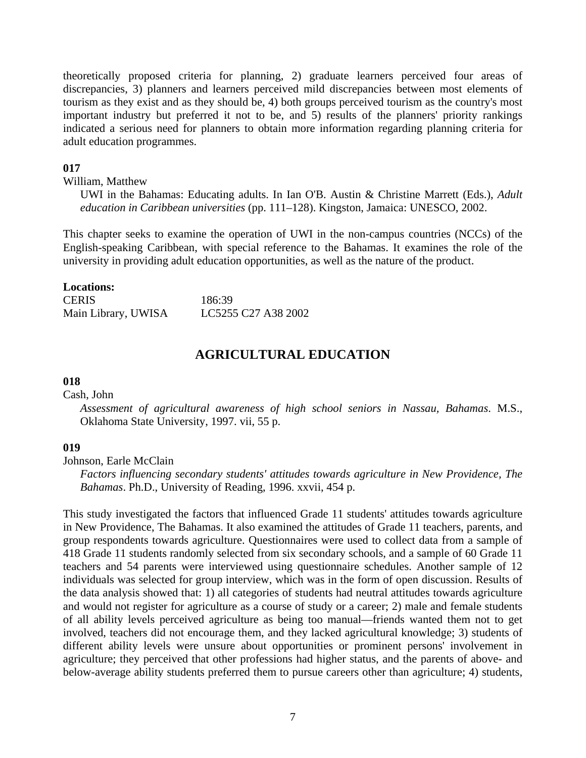<span id="page-12-0"></span>theoretically proposed criteria for planning, 2) graduate learners perceived four areas of discrepancies, 3) planners and learners perceived mild discrepancies between most elements of tourism as they exist and as they should be, 4) both groups perceived tourism as the country's most important industry but preferred it not to be, and 5) results of the planners' priority rankings indicated a serious need for planners to obtain more information regarding planning criteria for adult education programmes.

### **017**

William, Matthew

UWI in the Bahamas: Educating adults. In Ian O'B. Austin & Christine Marrett (Eds.), *Adult education in Caribbean universities* (pp. 111–128). Kingston, Jamaica: UNESCO, 2002.

This chapter seeks to examine the operation of UWI in the non-campus countries (NCCs) of the English-speaking Caribbean, with special reference to the Bahamas. It examines the role of the university in providing adult education opportunities, as well as the nature of the product.

#### **Locations:**

| <b>CERIS</b>        | 186:39              |
|---------------------|---------------------|
| Main Library, UWISA | LC5255 C27 A38 2002 |

# **AGRICULTURAL EDUCATION**

#### **018**

# Cash, John

*Assessment of agricultural awareness of high school seniors in Nassau, Bahamas*. M.S., Oklahoma State University, 1997. vii, 55 p.

### **019**

Johnson, Earle McClain

*Factors influencing secondary students' attitudes towards agriculture in New Providence, The Bahamas*. Ph.D., University of Reading, 1996. xxvii, 454 p.

This study investigated the factors that influenced Grade 11 students' attitudes towards agriculture in New Providence, The Bahamas. It also examined the attitudes of Grade 11 teachers, parents, and group respondents towards agriculture. Questionnaires were used to collect data from a sample of 418 Grade 11 students randomly selected from six secondary schools, and a sample of 60 Grade 11 teachers and 54 parents were interviewed using questionnaire schedules. Another sample of 12 individuals was selected for group interview, which was in the form of open discussion. Results of the data analysis showed that: 1) all categories of students had neutral attitudes towards agriculture and would not register for agriculture as a course of study or a career; 2) male and female students of all ability levels perceived agriculture as being too manual—friends wanted them not to get involved, teachers did not encourage them, and they lacked agricultural knowledge; 3) students of different ability levels were unsure about opportunities or prominent persons' involvement in agriculture; they perceived that other professions had higher status, and the parents of above- and below-average ability students preferred them to pursue careers other than agriculture; 4) students,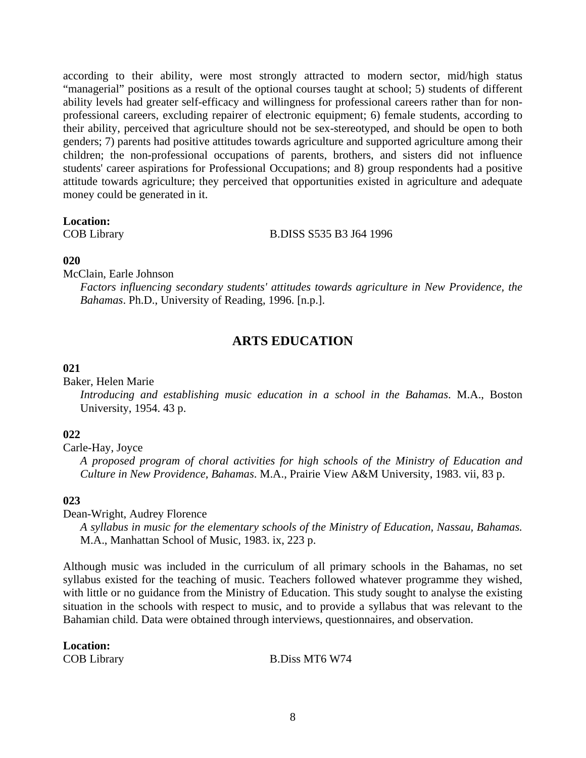<span id="page-13-0"></span>according to their ability, were most strongly attracted to modern sector, mid/high status "managerial" positions as a result of the optional courses taught at school; 5) students of different ability levels had greater self-efficacy and willingness for professional careers rather than for nonprofessional careers, excluding repairer of electronic equipment; 6) female students, according to their ability, perceived that agriculture should not be sex-stereotyped, and should be open to both genders; 7) parents had positive attitudes towards agriculture and supported agriculture among their children; the non-professional occupations of parents, brothers, and sisters did not influence students' career aspirations for Professional Occupations; and 8) group respondents had a positive attitude towards agriculture; they perceived that opportunities existed in agriculture and adequate money could be generated in it.

**Location:** 

COB Library B.DISS S535 B3 J64 1996

#### **020**

McClain, Earle Johnson

*Factors influencing secondary students' attitudes towards agriculture in New Providence, the Bahamas*. Ph.D., University of Reading, 1996. [n.p.].

# **ARTS EDUCATION**

### **021**

Baker, Helen Marie

*Introducing and establishing music education in a school in the Bahamas*. M.A., Boston University, 1954. 43 p.

# **022**

Carle-Hay, Joyce

*A proposed program of choral activities for high schools of the Ministry of Education and Culture in New Providence, Bahamas*. M.A., Prairie View A&M University, 1983. vii, 83 p.

# **023**

Dean-Wright, Audrey Florence

*A syllabus in music for the elementary schools of the Ministry of Education, Nassau, Bahamas.* M.A., Manhattan School of Music, 1983. ix, 223 p.

Although music was included in the curriculum of all primary schools in the Bahamas, no set syllabus existed for the teaching of music. Teachers followed whatever programme they wished, with little or no guidance from the Ministry of Education. This study sought to analyse the existing situation in the schools with respect to music, and to provide a syllabus that was relevant to the Bahamian child. Data were obtained through interviews, questionnaires, and observation.

**Location:** 

COB Library B.Diss MT6 W74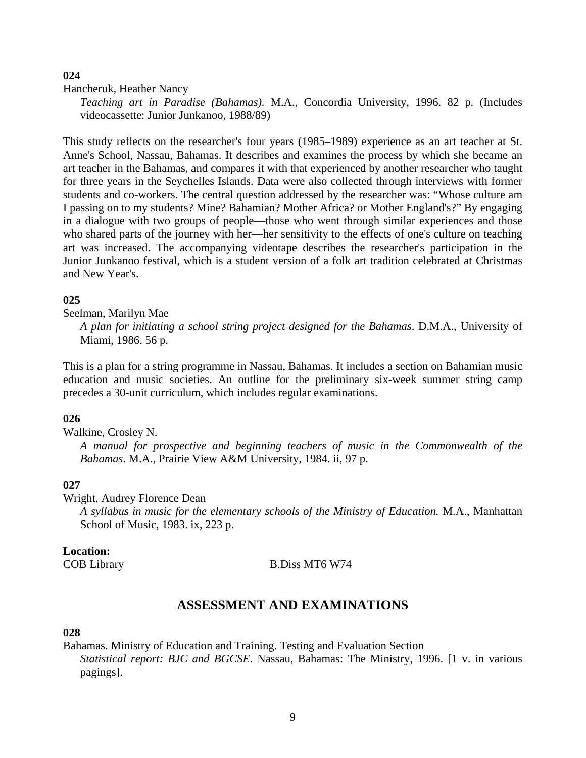#### <span id="page-14-0"></span>Hancheruk, Heather Nancy

*Teaching art in Paradise (Bahamas)*. M.A., Concordia University, 1996. 82 p. (Includes videocassette: Junior Junkanoo, 1988/89)

This study reflects on the researcher's four years (1985–1989) experience as an art teacher at St. Anne's School, Nassau, Bahamas. It describes and examines the process by which she became an art teacher in the Bahamas, and compares it with that experienced by another researcher who taught for three years in the Seychelles Islands. Data were also collected through interviews with former students and co-workers. The central question addressed by the researcher was: "Whose culture am I passing on to my students? Mine? Bahamian? Mother Africa? or Mother England's?" By engaging in a dialogue with two groups of people—those who went through similar experiences and those who shared parts of the journey with her—her sensitivity to the effects of one's culture on teaching art was increased. The accompanying videotape describes the researcher's participation in the Junior Junkanoo festival, which is a student version of a folk art tradition celebrated at Christmas and New Year's.

# **025**

Seelman, Marilyn Mae

*A plan for initiating a school string project designed for the Bahamas*. D.M.A., University of Miami, 1986. 56 p.

This is a plan for a string programme in Nassau, Bahamas. It includes a section on Bahamian music education and music societies. An outline for the preliminary six-week summer string camp precedes a 30-unit curriculum, which includes regular examinations.

#### **026**

Walkine, Crosley N.

*A manual for prospective and beginning teachers of music in the Commonwealth of the Bahamas*. M.A., Prairie View A&M University, 1984. ii, 97 p.

#### **027**

Wright, Audrey Florence Dean

*A syllabus in music for the elementary schools of the Ministry of Education.* M.A., Manhattan School of Music, 1983. ix, 223 p.

# **Location:**

#### COB Library B.Diss MT6 W74

# **ASSESSMENT AND EXAMINATIONS**

# **028**

Bahamas. Ministry of Education and Training. Testing and Evaluation Section *Statistical report: BJC and BGCSE*. Nassau, Bahamas: The Ministry, 1996. [1 v. in various pagings].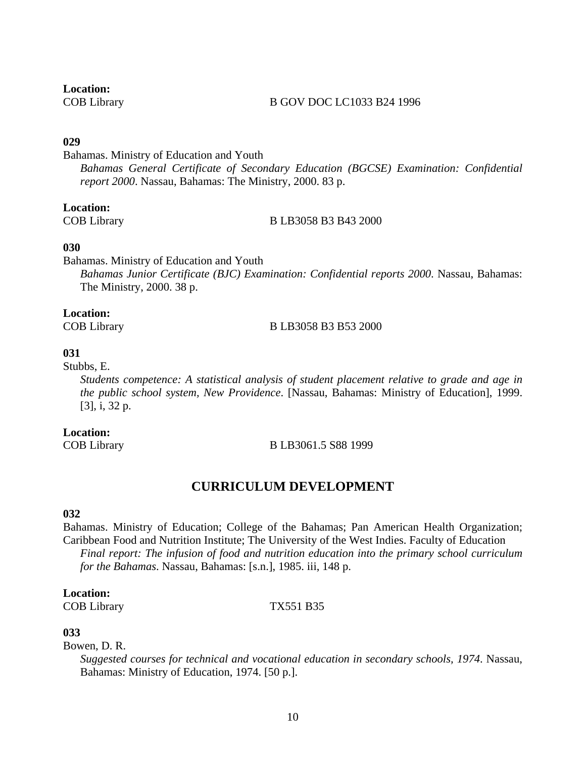<span id="page-15-0"></span>**Location:** 

#### COB Library B GOV DOC LC1033 B24 1996

# **029**

Bahamas. Ministry of Education and Youth

*Bahamas General Certificate of Secondary Education (BGCSE) Examination: Confidential report 2000*. Nassau, Bahamas: The Ministry, 2000. 83 p.

# **Location:**

COB Library B LB3058 B3 B43 2000

# **030**

Bahamas. Ministry of Education and Youth

*Bahamas Junior Certificate (BJC) Examination: Confidential reports 2000*. Nassau, Bahamas: The Ministry, 2000. 38 p.

# **Location:**

### COB Library B LB3058 B3 B53 2000

# **031**

Stubbs, E.

*Students competence: A statistical analysis of student placement relative to grade and age in the public school system, New Providence*. [Nassau, Bahamas: Ministry of Education], 1999. [3], i, 32 p.

# **Location:**

COB Library B LB3061.5 S88 1999

# **CURRICULUM DEVELOPMENT**

# **032**

Bahamas. Ministry of Education; College of the Bahamas; Pan American Health Organization; Caribbean Food and Nutrition Institute; The University of the West Indies. Faculty of Education *Final report: The infusion of food and nutrition education into the primary school curriculum for the Bahamas*. Nassau, Bahamas: [s.n.], 1985. iii, 148 p.

# **Location:**

COB Library TX551 B35

# **033**

Bowen, D. R.

*Suggested courses for technical and vocational education in secondary schools, 1974*. Nassau, Bahamas: Ministry of Education, 1974. [50 p.].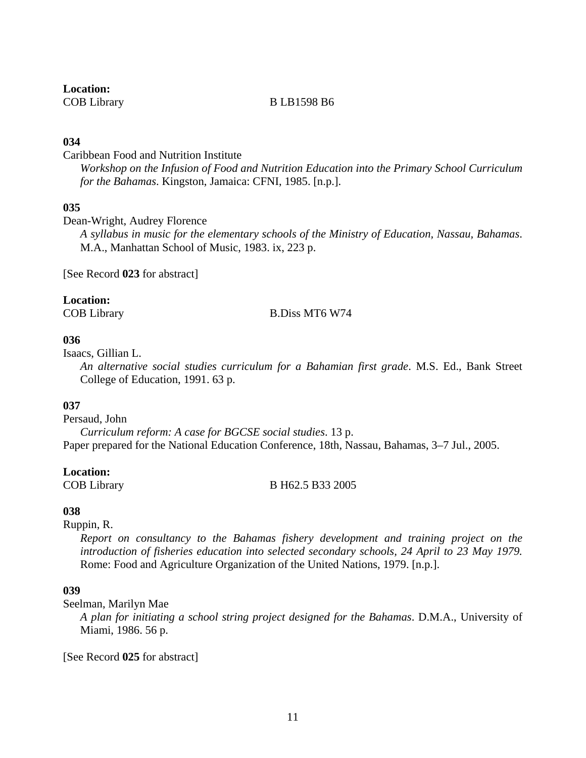**Location:** 

#### COB Library B LB1598 B6

# **034**

Caribbean Food and Nutrition Institute

*Workshop on the Infusion of Food and Nutrition Education into the Primary School Curriculum for the Bahamas*. Kingston, Jamaica: CFNI, 1985. [n.p.].

# **035**

Dean-Wright, Audrey Florence

*A syllabus in music for the elementary schools of the Ministry of Education, Nassau, Bahamas*. M.A., Manhattan School of Music, 1983. ix, 223 p.

[See Record **023** for abstract]

# **Location:**

COB Library B.Diss MT6 W74

# **036**

Isaacs, Gillian L.

*An alternative social studies curriculum for a Bahamian first grade*. M.S. Ed., Bank Street College of Education, 1991. 63 p.

# **037**

Persaud, John *Curriculum reform: A case for BGCSE social studies*. 13 p. Paper prepared for the National Education Conference, 18th, Nassau, Bahamas, 3–7 Jul., 2005.

# **Location:**

COB Library B H62.5 B33 2005

# **038**

Ruppin, R.

*Report on consultancy to the Bahamas fishery development and training project on the introduction of fisheries education into selected secondary schools, 24 April to 23 May 1979.* Rome: Food and Agriculture Organization of the United Nations, 1979. [n.p.].

# **039**

Seelman, Marilyn Mae

*A plan for initiating a school string project designed for the Bahamas*. D.M.A., University of Miami, 1986. 56 p.

[See Record **025** for abstract]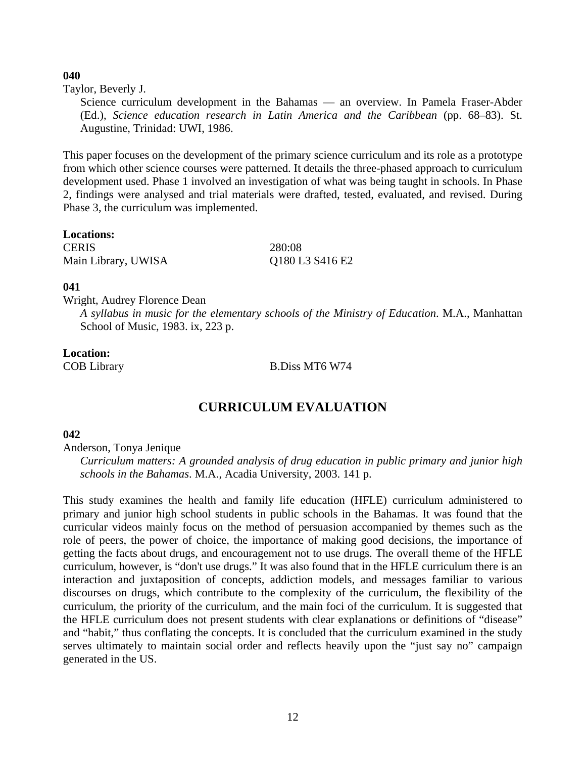<span id="page-17-0"></span>Taylor, Beverly J.

Science curriculum development in the Bahamas — an overview. In Pamela Fraser-Abder (Ed.), *Science education research in Latin America and the Caribbean* (pp. 68–83). St. Augustine, Trinidad: UWI, 1986.

This paper focuses on the development of the primary science curriculum and its role as a prototype from which other science courses were patterned. It details the three-phased approach to curriculum development used. Phase 1 involved an investigation of what was being taught in schools. In Phase 2, findings were analysed and trial materials were drafted, tested, evaluated, and revised. During Phase 3, the curriculum was implemented.

**Locations:**  CERIS 280:08 Main Library, UWISA Q180 L3 S416 E2

#### **041**

Wright, Audrey Florence Dean

*A syllabus in music for the elementary schools of the Ministry of Education*. M.A., Manhattan School of Music, 1983. ix, 223 p.

# **Location:**

COB Library B.Diss MT6 W74

# **CURRICULUM EVALUATION**

#### **042**

Anderson, Tonya Jenique

*Curriculum matters: A grounded analysis of drug education in public primary and junior high schools in the Bahamas*. M.A., Acadia University, 2003. 141 p.

This study examines the health and family life education (HFLE) curriculum administered to primary and junior high school students in public schools in the Bahamas. It was found that the curricular videos mainly focus on the method of persuasion accompanied by themes such as the role of peers, the power of choice, the importance of making good decisions, the importance of getting the facts about drugs, and encouragement not to use drugs. The overall theme of the HFLE curriculum, however, is "don't use drugs." It was also found that in the HFLE curriculum there is an interaction and juxtaposition of concepts, addiction models, and messages familiar to various discourses on drugs, which contribute to the complexity of the curriculum, the flexibility of the curriculum, the priority of the curriculum, and the main foci of the curriculum. It is suggested that the HFLE curriculum does not present students with clear explanations or definitions of "disease" and "habit," thus conflating the concepts. It is concluded that the curriculum examined in the study serves ultimately to maintain social order and reflects heavily upon the "just say no" campaign generated in the US.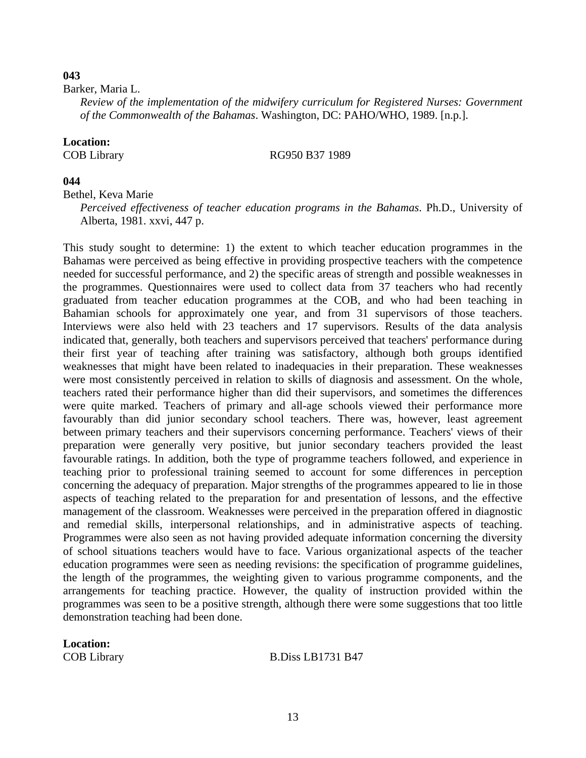Barker, Maria L.

*Review of the implementation of the midwifery curriculum for Registered Nurses: Government of the Commonwealth of the Bahamas*. Washington, DC: PAHO/WHO, 1989. [n.p.].

# **Location:**

#### COB Library RG950 B37 1989

#### **044**

Bethel, Keva Marie

*Perceived effectiveness of teacher education programs in the Bahamas*. Ph.D., University of Alberta, 1981. xxvi, 447 p.

This study sought to determine: 1) the extent to which teacher education programmes in the Bahamas were perceived as being effective in providing prospective teachers with the competence needed for successful performance, and 2) the specific areas of strength and possible weaknesses in the programmes. Questionnaires were used to collect data from 37 teachers who had recently graduated from teacher education programmes at the COB, and who had been teaching in Bahamian schools for approximately one year, and from 31 supervisors of those teachers. Interviews were also held with 23 teachers and 17 supervisors. Results of the data analysis indicated that, generally, both teachers and supervisors perceived that teachers' performance during their first year of teaching after training was satisfactory, although both groups identified weaknesses that might have been related to inadequacies in their preparation. These weaknesses were most consistently perceived in relation to skills of diagnosis and assessment. On the whole, teachers rated their performance higher than did their supervisors, and sometimes the differences were quite marked. Teachers of primary and all-age schools viewed their performance more favourably than did junior secondary school teachers. There was, however, least agreement between primary teachers and their supervisors concerning performance. Teachers' views of their preparation were generally very positive, but junior secondary teachers provided the least favourable ratings. In addition, both the type of programme teachers followed, and experience in teaching prior to professional training seemed to account for some differences in perception concerning the adequacy of preparation. Major strengths of the programmes appeared to lie in those aspects of teaching related to the preparation for and presentation of lessons, and the effective management of the classroom. Weaknesses were perceived in the preparation offered in diagnostic and remedial skills, interpersonal relationships, and in administrative aspects of teaching. Programmes were also seen as not having provided adequate information concerning the diversity of school situations teachers would have to face. Various organizational aspects of the teacher education programmes were seen as needing revisions: the specification of programme guidelines, the length of the programmes, the weighting given to various programme components, and the arrangements for teaching practice. However, the quality of instruction provided within the programmes was seen to be a positive strength, although there were some suggestions that too little demonstration teaching had been done.

**Location:** 

COB Library B.Diss LB1731 B47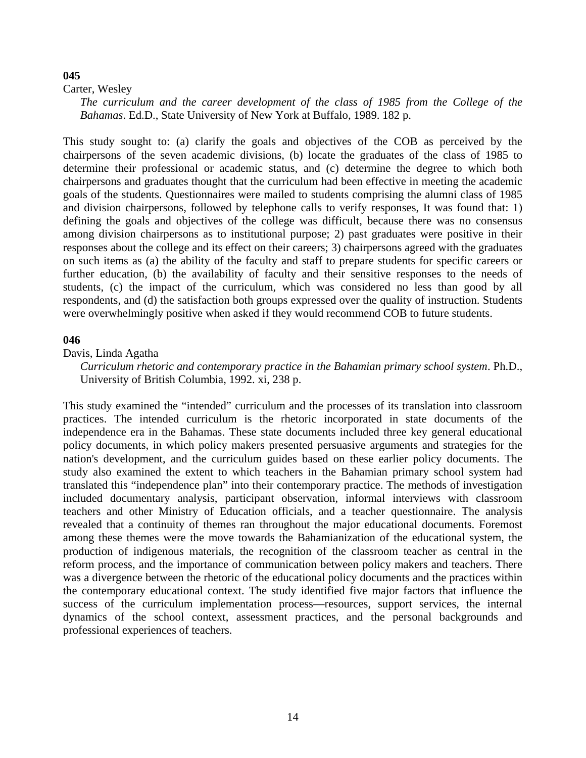#### Carter, Wesley

*The curriculum and the career development of the class of 1985 from the College of the Bahamas*. Ed.D., State University of New York at Buffalo, 1989. 182 p.

This study sought to: (a) clarify the goals and objectives of the COB as perceived by the chairpersons of the seven academic divisions, (b) locate the graduates of the class of 1985 to determine their professional or academic status, and (c) determine the degree to which both chairpersons and graduates thought that the curriculum had been effective in meeting the academic goals of the students. Questionnaires were mailed to students comprising the alumni class of 1985 and division chairpersons, followed by telephone calls to verify responses, It was found that: 1) defining the goals and objectives of the college was difficult, because there was no consensus among division chairpersons as to institutional purpose; 2) past graduates were positive in their responses about the college and its effect on their careers; 3) chairpersons agreed with the graduates on such items as (a) the ability of the faculty and staff to prepare students for specific careers or further education, (b) the availability of faculty and their sensitive responses to the needs of students, (c) the impact of the curriculum, which was considered no less than good by all respondents, and (d) the satisfaction both groups expressed over the quality of instruction. Students were overwhelmingly positive when asked if they would recommend COB to future students.

#### **046**

#### Davis, Linda Agatha

*Curriculum rhetoric and contemporary practice in the Bahamian primary school system*. Ph.D., University of British Columbia, 1992. xi, 238 p.

This study examined the "intended" curriculum and the processes of its translation into classroom practices. The intended curriculum is the rhetoric incorporated in state documents of the independence era in the Bahamas. These state documents included three key general educational policy documents, in which policy makers presented persuasive arguments and strategies for the nation's development, and the curriculum guides based on these earlier policy documents. The study also examined the extent to which teachers in the Bahamian primary school system had translated this "independence plan" into their contemporary practice. The methods of investigation included documentary analysis, participant observation, informal interviews with classroom teachers and other Ministry of Education officials, and a teacher questionnaire. The analysis revealed that a continuity of themes ran throughout the major educational documents. Foremost among these themes were the move towards the Bahamianization of the educational system, the production of indigenous materials, the recognition of the classroom teacher as central in the reform process, and the importance of communication between policy makers and teachers. There was a divergence between the rhetoric of the educational policy documents and the practices within the contemporary educational context. The study identified five major factors that influence the success of the curriculum implementation process—resources, support services, the internal dynamics of the school context, assessment practices, and the personal backgrounds and professional experiences of teachers.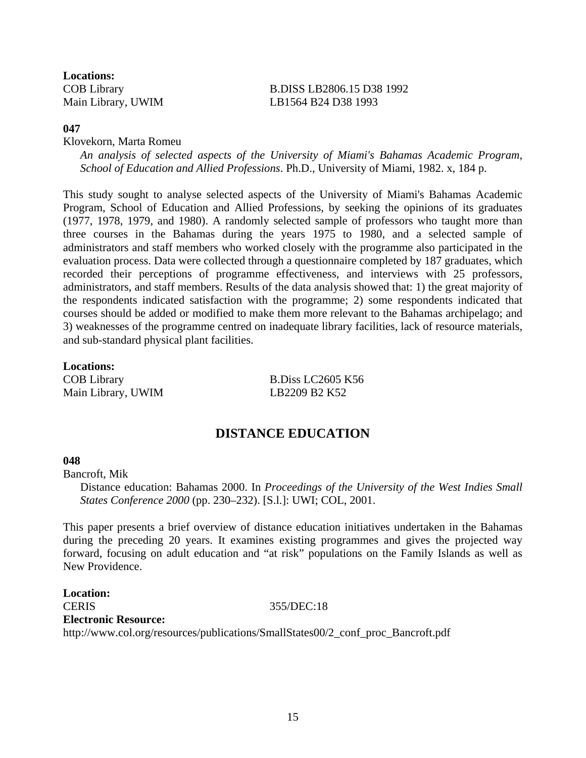<span id="page-20-0"></span>**Locations:** 

# COB Library B.DISS LB2806.15 D38 1992 Main Library, UWIM LB1564 B24 D38 1993

# **047**

Klovekorn, Marta Romeu

*An analysis of selected aspects of the University of Miami's Bahamas Academic Program, School of Education and Allied Professions*. Ph.D., University of Miami, 1982. x, 184 p.

This study sought to analyse selected aspects of the University of Miami's Bahamas Academic Program, School of Education and Allied Professions, by seeking the opinions of its graduates (1977, 1978, 1979, and 1980). A randomly selected sample of professors who taught more than three courses in the Bahamas during the years 1975 to 1980, and a selected sample of administrators and staff members who worked closely with the programme also participated in the evaluation process. Data were collected through a questionnaire completed by 187 graduates, which recorded their perceptions of programme effectiveness, and interviews with 25 professors, administrators, and staff members. Results of the data analysis showed that: 1) the great majority of the respondents indicated satisfaction with the programme; 2) some respondents indicated that courses should be added or modified to make them more relevant to the Bahamas archipelago; and 3) weaknesses of the programme centred on inadequate library facilities, lack of resource materials, and sub-standard physical plant facilities.

### **Locations:**

COB Library B.Diss LC2605 K56 Main Library, UWIM LB2209 B2 K52

# **DISTANCE EDUCATION**

#### **048**

Bancroft, Mik

Distance education: Bahamas 2000. In *Proceedings of the University of the West Indies Small States Conference 2000* (pp. 230–232). [S.l.]: UWI; COL, 2001.

This paper presents a brief overview of distance education initiatives undertaken in the Bahamas during the preceding 20 years. It examines existing programmes and gives the projected way forward, focusing on adult education and "at risk" populations on the Family Islands as well as New Providence.

**Location:**  CERIS 355/DEC:18 **Electronic Resource:**  http://www.col.org/resources/publications/SmallStates00/2\_conf\_proc\_Bancroft.pdf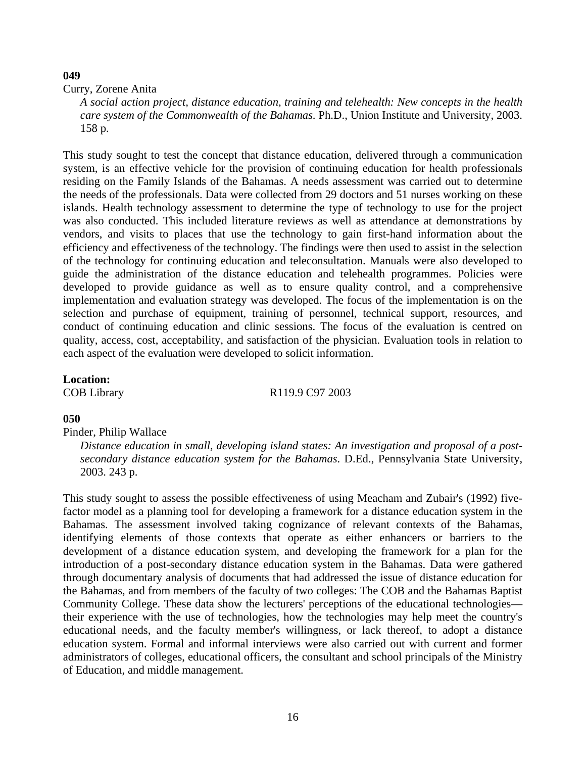#### Curry, Zorene Anita

*A social action project, distance education, training and telehealth: New concepts in the health care system of the Commonwealth of the Bahamas*. Ph.D., Union Institute and University, 2003. 158 p.

This study sought to test the concept that distance education, delivered through a communication system, is an effective vehicle for the provision of continuing education for health professionals residing on the Family Islands of the Bahamas. A needs assessment was carried out to determine the needs of the professionals. Data were collected from 29 doctors and 51 nurses working on these islands. Health technology assessment to determine the type of technology to use for the project was also conducted. This included literature reviews as well as attendance at demonstrations by vendors, and visits to places that use the technology to gain first-hand information about the efficiency and effectiveness of the technology. The findings were then used to assist in the selection of the technology for continuing education and teleconsultation. Manuals were also developed to guide the administration of the distance education and telehealth programmes. Policies were developed to provide guidance as well as to ensure quality control, and a comprehensive implementation and evaluation strategy was developed. The focus of the implementation is on the selection and purchase of equipment, training of personnel, technical support, resources, and conduct of continuing education and clinic sessions. The focus of the evaluation is centred on quality, access, cost, acceptability, and satisfaction of the physician. Evaluation tools in relation to each aspect of the evaluation were developed to solicit information.

**Location:** 

COB Library R119.9 C97 2003

#### **050**

#### Pinder, Philip Wallace

*Distance education in small, developing island states: An investigation and proposal of a postsecondary distance education system for the Bahamas*. D.Ed., Pennsylvania State University, 2003. 243 p.

This study sought to assess the possible effectiveness of using Meacham and Zubair's (1992) fivefactor model as a planning tool for developing a framework for a distance education system in the Bahamas. The assessment involved taking cognizance of relevant contexts of the Bahamas, identifying elements of those contexts that operate as either enhancers or barriers to the development of a distance education system, and developing the framework for a plan for the introduction of a post-secondary distance education system in the Bahamas. Data were gathered through documentary analysis of documents that had addressed the issue of distance education for the Bahamas, and from members of the faculty of two colleges: The COB and the Bahamas Baptist Community College. These data show the lecturers' perceptions of the educational technologies their experience with the use of technologies, how the technologies may help meet the country's educational needs, and the faculty member's willingness, or lack thereof, to adopt a distance education system. Formal and informal interviews were also carried out with current and former administrators of colleges, educational officers, the consultant and school principals of the Ministry of Education, and middle management.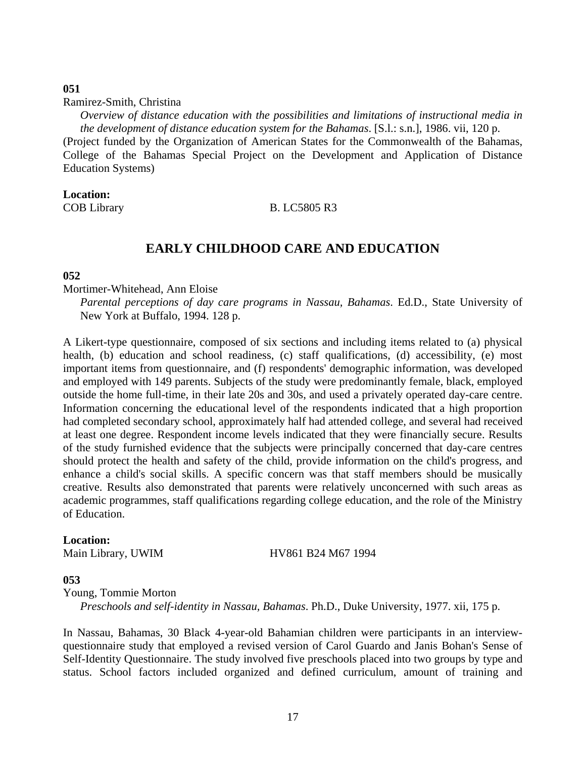<span id="page-22-0"></span>Ramirez-Smith, Christina

*Overview of distance education with the possibilities and limitations of instructional media in the development of distance education system for the Bahamas*. [S.l.: s.n.], 1986. vii, 120 p.

(Project funded by the Organization of American States for the Commonwealth of the Bahamas, College of the Bahamas Special Project on the Development and Application of Distance Education Systems)

#### **Location:**

COB Library B. LC5805 R3

# **EARLY CHILDHOOD CARE AND EDUCATION**

#### **052**

Mortimer-Whitehead, Ann Eloise

*Parental perceptions of day care programs in Nassau, Bahamas*. Ed.D., State University of New York at Buffalo, 1994. 128 p.

A Likert-type questionnaire, composed of six sections and including items related to (a) physical health, (b) education and school readiness, (c) staff qualifications, (d) accessibility, (e) most important items from questionnaire, and (f) respondents' demographic information, was developed and employed with 149 parents. Subjects of the study were predominantly female, black, employed outside the home full-time, in their late 20s and 30s, and used a privately operated day-care centre. Information concerning the educational level of the respondents indicated that a high proportion had completed secondary school, approximately half had attended college, and several had received at least one degree. Respondent income levels indicated that they were financially secure. Results of the study furnished evidence that the subjects were principally concerned that day-care centres should protect the health and safety of the child, provide information on the child's progress, and enhance a child's social skills. A specific concern was that staff members should be musically creative. Results also demonstrated that parents were relatively unconcerned with such areas as academic programmes, staff qualifications regarding college education, and the role of the Ministry of Education.

#### **Location:**

Main Library, UWIM HV861 B24 M67 1994

#### **053**

Young, Tommie Morton

*Preschools and self-identity in Nassau, Bahamas*. Ph.D., Duke University, 1977. xii, 175 p.

In Nassau, Bahamas, 30 Black 4-year-old Bahamian children were participants in an interviewquestionnaire study that employed a revised version of Carol Guardo and Janis Bohan's Sense of Self-Identity Questionnaire. The study involved five preschools placed into two groups by type and status. School factors included organized and defined curriculum, amount of training and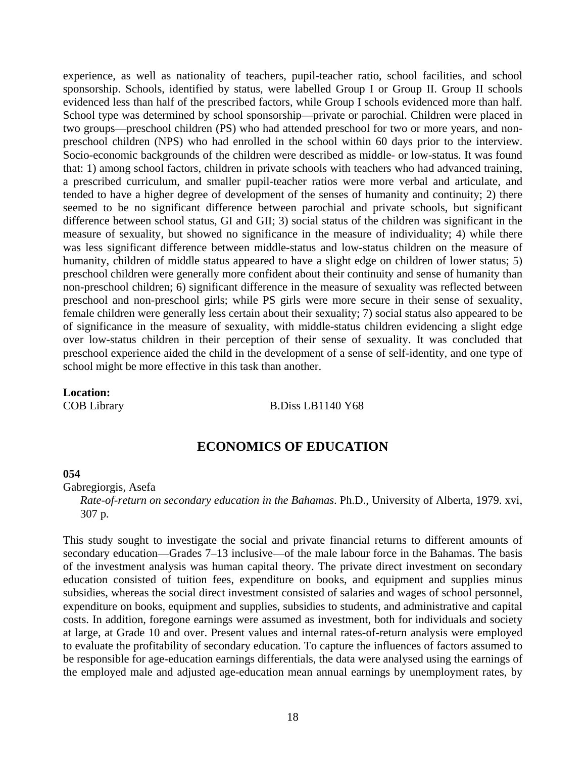<span id="page-23-0"></span>experience, as well as nationality of teachers, pupil-teacher ratio, school facilities, and school sponsorship. Schools, identified by status, were labelled Group I or Group II. Group II schools evidenced less than half of the prescribed factors, while Group I schools evidenced more than half. School type was determined by school sponsorship—private or parochial. Children were placed in two groups—preschool children (PS) who had attended preschool for two or more years, and nonpreschool children (NPS) who had enrolled in the school within 60 days prior to the interview. Socio-economic backgrounds of the children were described as middle- or low-status. It was found that: 1) among school factors, children in private schools with teachers who had advanced training, a prescribed curriculum, and smaller pupil-teacher ratios were more verbal and articulate, and tended to have a higher degree of development of the senses of humanity and continuity; 2) there seemed to be no significant difference between parochial and private schools, but significant difference between school status, GI and GII; 3) social status of the children was significant in the measure of sexuality, but showed no significance in the measure of individuality; 4) while there was less significant difference between middle-status and low-status children on the measure of humanity, children of middle status appeared to have a slight edge on children of lower status; 5) preschool children were generally more confident about their continuity and sense of humanity than non-preschool children; 6) significant difference in the measure of sexuality was reflected between preschool and non-preschool girls; while PS girls were more secure in their sense of sexuality, female children were generally less certain about their sexuality; 7) social status also appeared to be of significance in the measure of sexuality, with middle-status children evidencing a slight edge over low-status children in their perception of their sense of sexuality. It was concluded that preschool experience aided the child in the development of a sense of self-identity, and one type of school might be more effective in this task than another.

#### **Location:**

#### COB Library B.Diss LB1140 Y68

# **ECONOMICS OF EDUCATION**

#### **054**

Gabregiorgis, Asefa

*Rate-of-return on secondary education in the Bahamas*. Ph.D., University of Alberta, 1979. xvi, 307 p.

This study sought to investigate the social and private financial returns to different amounts of secondary education—Grades 7–13 inclusive—of the male labour force in the Bahamas. The basis of the investment analysis was human capital theory. The private direct investment on secondary education consisted of tuition fees, expenditure on books, and equipment and supplies minus subsidies, whereas the social direct investment consisted of salaries and wages of school personnel, expenditure on books, equipment and supplies, subsidies to students, and administrative and capital costs. In addition, foregone earnings were assumed as investment, both for individuals and society at large, at Grade 10 and over. Present values and internal rates-of-return analysis were employed to evaluate the profitability of secondary education. To capture the influences of factors assumed to be responsible for age-education earnings differentials, the data were analysed using the earnings of the employed male and adjusted age-education mean annual earnings by unemployment rates, by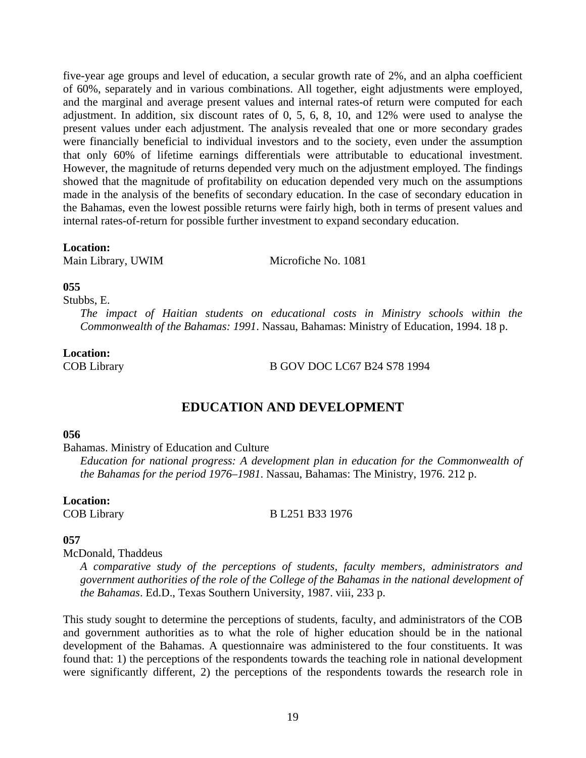<span id="page-24-0"></span>five-year age groups and level of education, a secular growth rate of 2%, and an alpha coefficient of 60%, separately and in various combinations. All together, eight adjustments were employed, and the marginal and average present values and internal rates-of return were computed for each adjustment. In addition, six discount rates of 0, 5, 6, 8, 10, and 12% were used to analyse the present values under each adjustment. The analysis revealed that one or more secondary grades were financially beneficial to individual investors and to the society, even under the assumption that only 60% of lifetime earnings differentials were attributable to educational investment. However, the magnitude of returns depended very much on the adjustment employed. The findings showed that the magnitude of profitability on education depended very much on the assumptions made in the analysis of the benefits of secondary education. In the case of secondary education in the Bahamas, even the lowest possible returns were fairly high, both in terms of present values and internal rates-of-return for possible further investment to expand secondary education.

# **Location:**

Main Library, UWIM Microfiche No. 1081

### **055**

Stubbs, E. *The impact of Haitian students on educational costs in Ministry schools within the Commonwealth of the Bahamas: 1991*. Nassau, Bahamas: Ministry of Education, 1994. 18 p.

# **Location:**

COB Library B GOV DOC LC67 B24 S78 1994

# **EDUCATION AND DEVELOPMENT**

### **056**

Bahamas. Ministry of Education and Culture

*Education for national progress: A development plan in education for the Commonwealth of the Bahamas for the period 1976–1981*. Nassau, Bahamas: The Ministry, 1976. 212 p.

**Location:** 

COB Library B L251 B33 1976

# **057**

McDonald, Thaddeus

*A comparative study of the perceptions of students, faculty members, administrators and government authorities of the role of the College of the Bahamas in the national development of the Bahamas*. Ed.D., Texas Southern University, 1987. viii, 233 p.

This study sought to determine the perceptions of students, faculty, and administrators of the COB and government authorities as to what the role of higher education should be in the national development of the Bahamas. A questionnaire was administered to the four constituents. It was found that: 1) the perceptions of the respondents towards the teaching role in national development were significantly different, 2) the perceptions of the respondents towards the research role in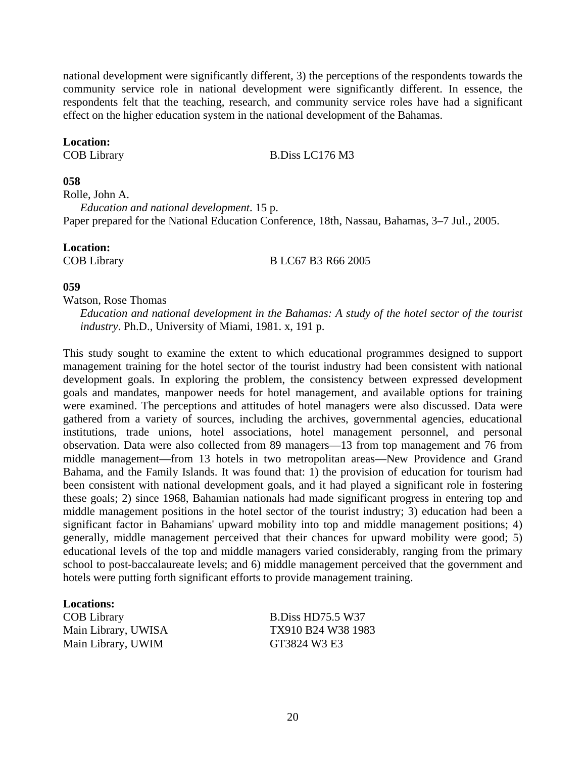national development were significantly different, 3) the perceptions of the respondents towards the community service role in national development were significantly different. In essence, the respondents felt that the teaching, research, and community service roles have had a significant effect on the higher education system in the national development of the Bahamas.

#### **Location:**

COB Library B.Diss LC176 M3

### **058**

Rolle, John A. *Education and national development*. 15 p. Paper prepared for the National Education Conference, 18th, Nassau, Bahamas, 3–7 Jul., 2005.

### **Location:**

COB Library B LC67 B3 R66 2005

# **059**

Watson, Rose Thomas

*Education and national development in the Bahamas: A study of the hotel sector of the tourist industry*. Ph.D., University of Miami, 1981. x, 191 p.

This study sought to examine the extent to which educational programmes designed to support management training for the hotel sector of the tourist industry had been consistent with national development goals. In exploring the problem, the consistency between expressed development goals and mandates, manpower needs for hotel management, and available options for training were examined. The perceptions and attitudes of hotel managers were also discussed. Data were gathered from a variety of sources, including the archives, governmental agencies, educational institutions, trade unions, hotel associations, hotel management personnel, and personal observation. Data were also collected from 89 managers—13 from top management and 76 from middle management—from 13 hotels in two metropolitan areas—New Providence and Grand Bahama, and the Family Islands. It was found that: 1) the provision of education for tourism had been consistent with national development goals, and it had played a significant role in fostering these goals; 2) since 1968, Bahamian nationals had made significant progress in entering top and middle management positions in the hotel sector of the tourist industry; 3) education had been a significant factor in Bahamians' upward mobility into top and middle management positions; 4) generally, middle management perceived that their chances for upward mobility were good; 5) educational levels of the top and middle managers varied considerably, ranging from the primary school to post-baccalaureate levels; and 6) middle management perceived that the government and hotels were putting forth significant efforts to provide management training.

#### **Locations:**

COB Library B.Diss HD75.5 W37 Main Library, UWISA TX910 B24 W38 1983 Main Library, UWIM GT3824 W3 E3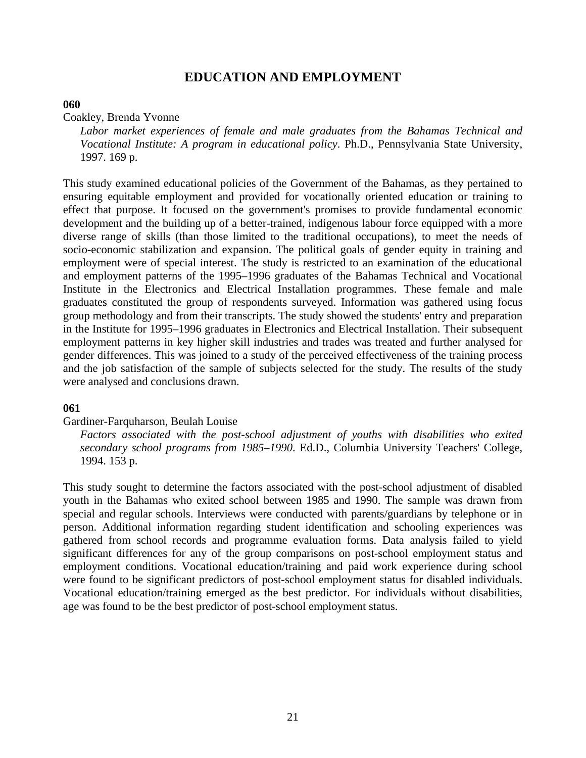# **EDUCATION AND EMPLOYMENT**

#### <span id="page-26-0"></span>**060**

#### Coakley, Brenda Yvonne

*Labor market experiences of female and male graduates from the Bahamas Technical and Vocational Institute: A program in educational policy*. Ph.D., Pennsylvania State University, 1997. 169 p.

This study examined educational policies of the Government of the Bahamas, as they pertained to ensuring equitable employment and provided for vocationally oriented education or training to effect that purpose. It focused on the government's promises to provide fundamental economic development and the building up of a better-trained, indigenous labour force equipped with a more diverse range of skills (than those limited to the traditional occupations), to meet the needs of socio-economic stabilization and expansion. The political goals of gender equity in training and employment were of special interest. The study is restricted to an examination of the educational and employment patterns of the 1995–1996 graduates of the Bahamas Technical and Vocational Institute in the Electronics and Electrical Installation programmes. These female and male graduates constituted the group of respondents surveyed. Information was gathered using focus group methodology and from their transcripts. The study showed the students' entry and preparation in the Institute for 1995–1996 graduates in Electronics and Electrical Installation. Their subsequent employment patterns in key higher skill industries and trades was treated and further analysed for gender differences. This was joined to a study of the perceived effectiveness of the training process and the job satisfaction of the sample of subjects selected for the study. The results of the study were analysed and conclusions drawn.

#### **061**

#### Gardiner-Farquharson, Beulah Louise

*Factors associated with the post-school adjustment of youths with disabilities who exited secondary school programs from 1985–1990*. Ed.D., Columbia University Teachers' College, 1994. 153 p.

This study sought to determine the factors associated with the post-school adjustment of disabled youth in the Bahamas who exited school between 1985 and 1990. The sample was drawn from special and regular schools. Interviews were conducted with parents/guardians by telephone or in person. Additional information regarding student identification and schooling experiences was gathered from school records and programme evaluation forms. Data analysis failed to yield significant differences for any of the group comparisons on post-school employment status and employment conditions. Vocational education/training and paid work experience during school were found to be significant predictors of post-school employment status for disabled individuals. Vocational education/training emerged as the best predictor. For individuals without disabilities, age was found to be the best predictor of post-school employment status.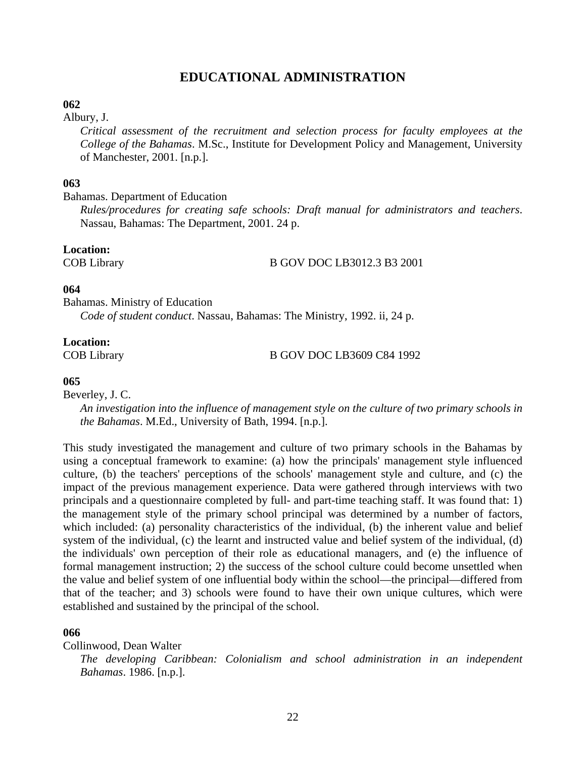# **EDUCATIONAL ADMINISTRATION**

### <span id="page-27-0"></span>**062**

Albury, J.

*Critical assessment of the recruitment and selection process for faculty employees at the College of the Bahamas*. M.Sc., Institute for Development Policy and Management, University of Manchester, 2001. [n.p.].

#### **063**

Bahamas. Department of Education

*Rules/procedures for creating safe schools: Draft manual for administrators and teachers*. Nassau, Bahamas: The Department, 2001. 24 p.

#### **Location:**

COB Library B GOV DOC LB3012.3 B3 2001

#### **064**

Bahamas. Ministry of Education *Code of student conduct*. Nassau, Bahamas: The Ministry, 1992. ii, 24 p.

#### **Location:**

COB Library B GOV DOC LB3609 C84 1992

#### **065**

Beverley, J. C.

*An investigation into the influence of management style on the culture of two primary schools in the Bahamas*. M.Ed., University of Bath, 1994. [n.p.].

This study investigated the management and culture of two primary schools in the Bahamas by using a conceptual framework to examine: (a) how the principals' management style influenced culture, (b) the teachers' perceptions of the schools' management style and culture, and (c) the impact of the previous management experience. Data were gathered through interviews with two principals and a questionnaire completed by full- and part-time teaching staff. It was found that: 1) the management style of the primary school principal was determined by a number of factors, which included: (a) personality characteristics of the individual, (b) the inherent value and belief system of the individual, (c) the learnt and instructed value and belief system of the individual, (d) the individuals' own perception of their role as educational managers, and (e) the influence of formal management instruction; 2) the success of the school culture could become unsettled when the value and belief system of one influential body within the school—the principal—differed from that of the teacher; and 3) schools were found to have their own unique cultures, which were established and sustained by the principal of the school.

#### **066**

Collinwood, Dean Walter

*The developing Caribbean: Colonialism and school administration in an independent Bahamas*. 1986. [n.p.].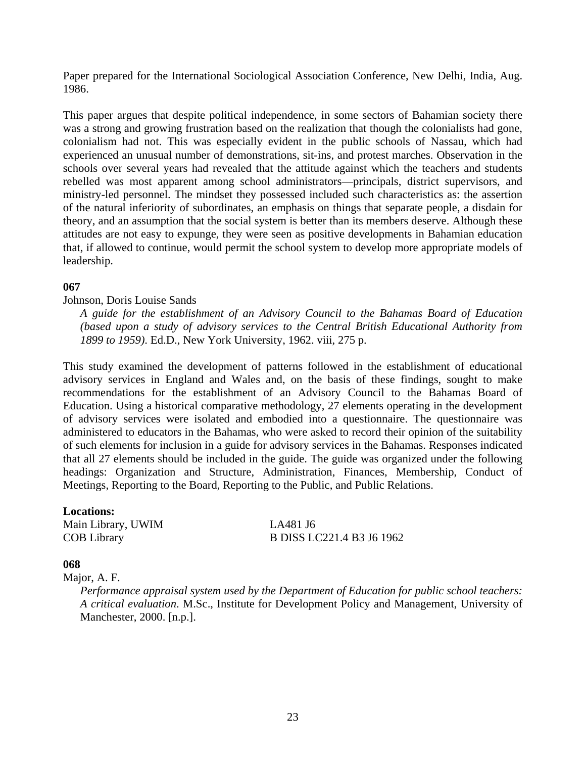Paper prepared for the International Sociological Association Conference, New Delhi, India, Aug. 1986.

This paper argues that despite political independence, in some sectors of Bahamian society there was a strong and growing frustration based on the realization that though the colonialists had gone, colonialism had not. This was especially evident in the public schools of Nassau, which had experienced an unusual number of demonstrations, sit-ins, and protest marches. Observation in the schools over several years had revealed that the attitude against which the teachers and students rebelled was most apparent among school administrators—principals, district supervisors, and ministry-led personnel. The mindset they possessed included such characteristics as: the assertion of the natural inferiority of subordinates, an emphasis on things that separate people, a disdain for theory, and an assumption that the social system is better than its members deserve. Although these attitudes are not easy to expunge, they were seen as positive developments in Bahamian education that, if allowed to continue, would permit the school system to develop more appropriate models of leadership.

# **067**

#### Johnson, Doris Louise Sands

*A guide for the establishment of an Advisory Council to the Bahamas Board of Education (based upon a study of advisory services to the Central British Educational Authority from 1899 to 1959)*. Ed.D., New York University, 1962. viii, 275 p.

This study examined the development of patterns followed in the establishment of educational advisory services in England and Wales and, on the basis of these findings, sought to make recommendations for the establishment of an Advisory Council to the Bahamas Board of Education. Using a historical comparative methodology, 27 elements operating in the development of advisory services were isolated and embodied into a questionnaire. The questionnaire was administered to educators in the Bahamas, who were asked to record their opinion of the suitability of such elements for inclusion in a guide for advisory services in the Bahamas. Responses indicated that all 27 elements should be included in the guide. The guide was organized under the following headings: Organization and Structure, Administration, Finances, Membership, Conduct of Meetings, Reporting to the Board, Reporting to the Public, and Public Relations.

#### **Locations:**

Main Library, UWIM LA481 J6

COB Library B DISS LC221.4 B3 J6 1962

#### **068**

Major, A. F.

*Performance appraisal system used by the Department of Education for public school teachers: A critical evaluation*. M.Sc., Institute for Development Policy and Management, University of Manchester, 2000. [n.p.].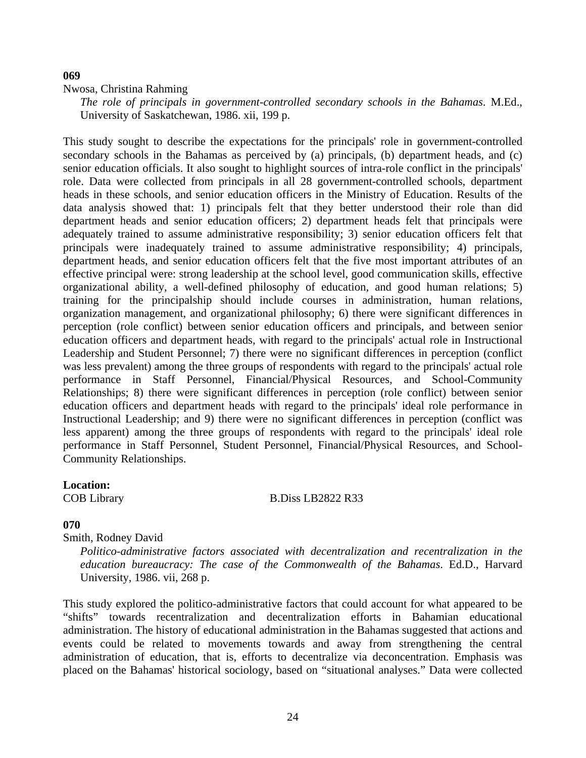Nwosa, Christina Rahming

*The role of principals in government-controlled secondary schools in the Bahamas*. M.Ed., University of Saskatchewan, 1986. xii, 199 p.

This study sought to describe the expectations for the principals' role in government-controlled secondary schools in the Bahamas as perceived by (a) principals, (b) department heads, and (c) senior education officials. It also sought to highlight sources of intra-role conflict in the principals' role. Data were collected from principals in all 28 government-controlled schools, department heads in these schools, and senior education officers in the Ministry of Education. Results of the data analysis showed that: 1) principals felt that they better understood their role than did department heads and senior education officers; 2) department heads felt that principals were adequately trained to assume administrative responsibility; 3) senior education officers felt that principals were inadequately trained to assume administrative responsibility; 4) principals, department heads, and senior education officers felt that the five most important attributes of an effective principal were: strong leadership at the school level, good communication skills, effective organizational ability, a well-defined philosophy of education, and good human relations; 5) training for the principalship should include courses in administration, human relations, organization management, and organizational philosophy; 6) there were significant differences in perception (role conflict) between senior education officers and principals, and between senior education officers and department heads, with regard to the principals' actual role in Instructional Leadership and Student Personnel; 7) there were no significant differences in perception (conflict was less prevalent) among the three groups of respondents with regard to the principals' actual role performance in Staff Personnel, Financial/Physical Resources, and School-Community Relationships; 8) there were significant differences in perception (role conflict) between senior education officers and department heads with regard to the principals' ideal role performance in Instructional Leadership; and 9) there were no significant differences in perception (conflict was less apparent) among the three groups of respondents with regard to the principals' ideal role performance in Staff Personnel, Student Personnel, Financial/Physical Resources, and School-Community Relationships.

#### **Location:**

#### COB Library B.Diss LB2822 R33

#### **070**

Smith, Rodney David

*Politico-administrative factors associated with decentralization and recentralization in the education bureaucracy: The case of the Commonwealth of the Bahamas*. Ed.D., Harvard University, 1986. vii, 268 p.

This study explored the politico-administrative factors that could account for what appeared to be "shifts" towards recentralization and decentralization efforts in Bahamian educational administration. The history of educational administration in the Bahamas suggested that actions and events could be related to movements towards and away from strengthening the central administration of education, that is, efforts to decentralize via deconcentration. Emphasis was placed on the Bahamas' historical sociology, based on "situational analyses." Data were collected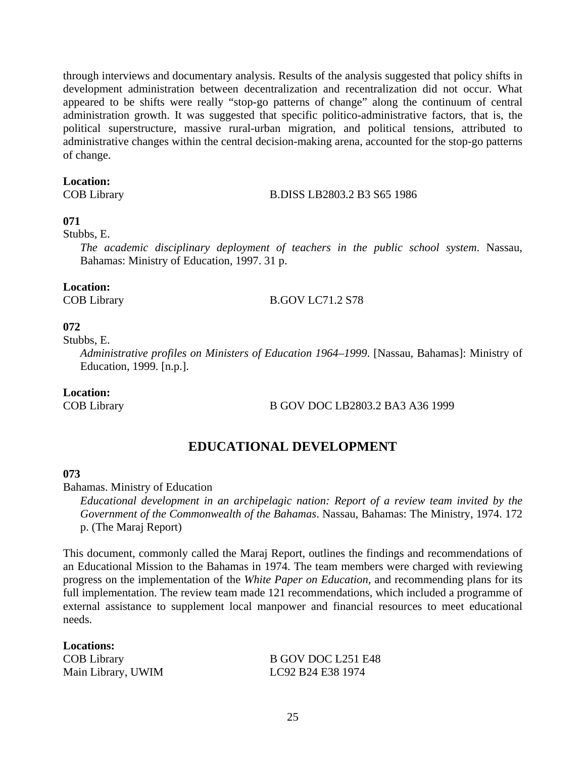<span id="page-30-0"></span>through interviews and documentary analysis. Results of the analysis suggested that policy shifts in development administration between decentralization and recentralization did not occur. What appeared to be shifts were really "stop-go patterns of change" along the continuum of central administration growth. It was suggested that specific politico-administrative factors, that is, the political superstructure, massive rural-urban migration, and political tensions, attributed to administrative changes within the central decision-making arena, accounted for the stop-go patterns of change.

#### **Location:**

COB Library B.DISS LB2803.2 B3 S65 1986

### **071**

Stubbs, E.

*The academic disciplinary deployment of teachers in the public school system*. Nassau, Bahamas: Ministry of Education, 1997. 31 p.

### **Location:**

COB Library B.GOV LC71.2 S78

### **072**

Stubbs, E.

*Administrative profiles on Ministers of Education 1964–1999*. [Nassau, Bahamas]: Ministry of Education, 1999. [n.p.].

#### **Location:**

COB Library B GOV DOC LB2803.2 BA3 A36 1999

# **EDUCATIONAL DEVELOPMENT**

### **073**

Bahamas. Ministry of Education

*Educational development in an archipelagic nation: Report of a review team invited by the Government of the Commonwealth of the Bahamas*. Nassau, Bahamas: The Ministry, 1974. 172 p. (The Maraj Report)

This document, commonly called the Maraj Report, outlines the findings and recommendations of an Educational Mission to the Bahamas in 1974. The team members were charged with reviewing progress on the implementation of the *White Paper on Education*, and recommending plans for its full implementation. The review team made 121 recommendations, which included a programme of external assistance to supplement local manpower and financial resources to meet educational needs.

**Locations:**  Main Library, UWIM LC92 B24 E38 1974

B GOV DOC L251 E48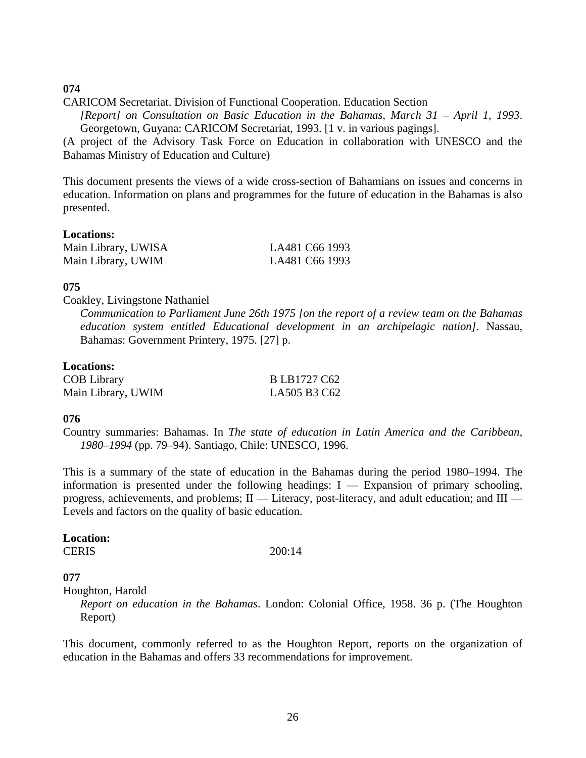CARICOM Secretariat. Division of Functional Cooperation. Education Section

*[Report] on Consultation on Basic Education in the Bahamas, March 31 – April 1, 1993*. Georgetown, Guyana: CARICOM Secretariat, 1993. [1 v. in various pagings].

(A project of the Advisory Task Force on Education in collaboration with UNESCO and the Bahamas Ministry of Education and Culture)

This document presents the views of a wide cross-section of Bahamians on issues and concerns in education. Information on plans and programmes for the future of education in the Bahamas is also presented.

### **Locations:**

Main Library, UWISA LA481 C66 1993 Main Library, UWIM LA481 C66 1993

# **075**

Coakley, Livingstone Nathaniel

*Communication to Parliament June 26th 1975 [on the report of a review team on the Bahamas education system entitled Educational development in an archipelagic nation]*. Nassau, Bahamas: Government Printery, 1975. [27] p.

### **Locations:**

| <b>COB Library</b> | B LB1727 C62 |
|--------------------|--------------|
| Main Library, UWIM | LA505 B3 C62 |

# **076**

Country summaries: Bahamas. In *The state of education in Latin America and the Caribbean, 1980–1994* (pp. 79*–*94). Santiago, Chile: UNESCO, 1996.

This is a summary of the state of education in the Bahamas during the period 1980–1994. The information is presented under the following headings:  $I$  — Expansion of primary schooling, progress, achievements, and problems; II — Literacy, post-literacy, and adult education; and III — Levels and factors on the quality of basic education.

**Location:**  CERIS 200:14

# **077**

Houghton, Harold

*Report on education in the Bahamas*. London: Colonial Office, 1958. 36 p. (The Houghton Report)

This document, commonly referred to as the Houghton Report, reports on the organization of education in the Bahamas and offers 33 recommendations for improvement.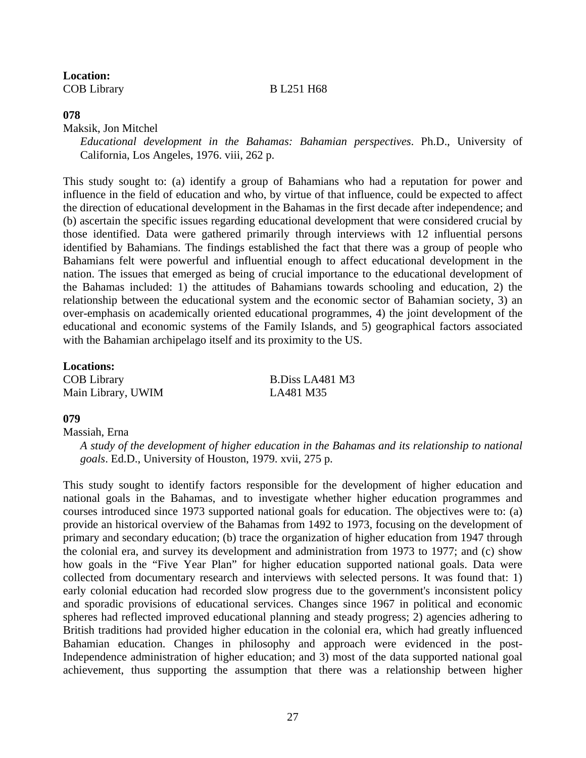### **Location:**  COB Library B L251 H68

#### **078**

Maksik, Jon Mitchel

*Educational development in the Bahamas: Bahamian perspectives*. Ph.D., University of California, Los Angeles, 1976. viii, 262 p.

This study sought to: (a) identify a group of Bahamians who had a reputation for power and influence in the field of education and who, by virtue of that influence, could be expected to affect the direction of educational development in the Bahamas in the first decade after independence; and (b) ascertain the specific issues regarding educational development that were considered crucial by those identified. Data were gathered primarily through interviews with 12 influential persons identified by Bahamians. The findings established the fact that there was a group of people who Bahamians felt were powerful and influential enough to affect educational development in the nation. The issues that emerged as being of crucial importance to the educational development of the Bahamas included: 1) the attitudes of Bahamians towards schooling and education, 2) the relationship between the educational system and the economic sector of Bahamian society, 3) an over-emphasis on academically oriented educational programmes, 4) the joint development of the educational and economic systems of the Family Islands, and 5) geographical factors associated with the Bahamian archipelago itself and its proximity to the US.

#### **Locations:**

COB Library B.Diss LA481 M3 Main Library, UWIM LA481 M35

#### **079**

Massiah, Erna

*A study of the development of higher education in the Bahamas and its relationship to national goals*. Ed.D., University of Houston, 1979. xvii, 275 p.

This study sought to identify factors responsible for the development of higher education and national goals in the Bahamas, and to investigate whether higher education programmes and courses introduced since 1973 supported national goals for education. The objectives were to: (a) provide an historical overview of the Bahamas from 1492 to 1973, focusing on the development of primary and secondary education; (b) trace the organization of higher education from 1947 through the colonial era, and survey its development and administration from 1973 to 1977; and (c) show how goals in the "Five Year Plan" for higher education supported national goals. Data were collected from documentary research and interviews with selected persons. It was found that: 1) early colonial education had recorded slow progress due to the government's inconsistent policy and sporadic provisions of educational services. Changes since 1967 in political and economic spheres had reflected improved educational planning and steady progress; 2) agencies adhering to British traditions had provided higher education in the colonial era, which had greatly influenced Bahamian education. Changes in philosophy and approach were evidenced in the post-Independence administration of higher education; and 3) most of the data supported national goal achievement, thus supporting the assumption that there was a relationship between higher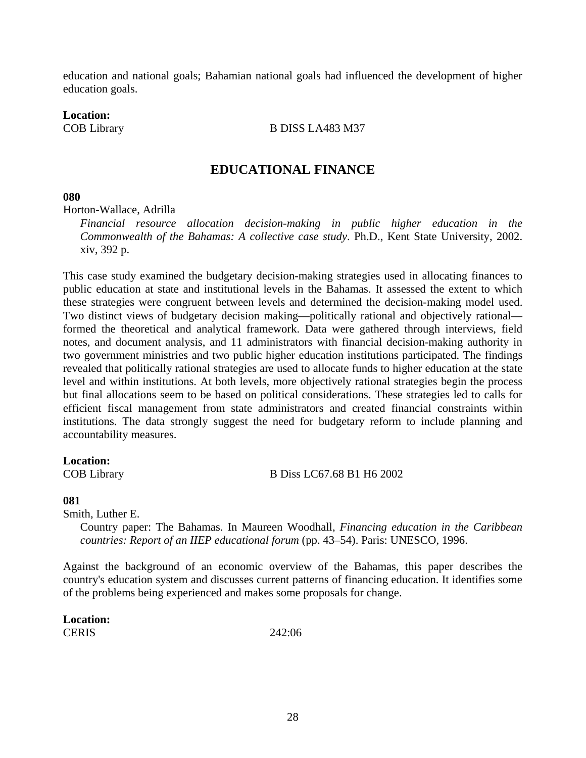<span id="page-33-0"></span>education and national goals; Bahamian national goals had influenced the development of higher education goals.

**Location:** 

### COB Library B DISS LA483 M37

# **EDUCATIONAL FINANCE**

#### **080**

Horton-Wallace, Adrilla

*Financial resource allocation decision-making in public higher education in the Commonwealth of the Bahamas: A collective case study*. Ph.D., Kent State University, 2002. xiv, 392 p.

This case study examined the budgetary decision-making strategies used in allocating finances to public education at state and institutional levels in the Bahamas. It assessed the extent to which these strategies were congruent between levels and determined the decision-making model used. Two distinct views of budgetary decision making—politically rational and objectively rational formed the theoretical and analytical framework. Data were gathered through interviews, field notes, and document analysis, and 11 administrators with financial decision-making authority in two government ministries and two public higher education institutions participated. The findings revealed that politically rational strategies are used to allocate funds to higher education at the state level and within institutions. At both levels, more objectively rational strategies begin the process but final allocations seem to be based on political considerations. These strategies led to calls for efficient fiscal management from state administrators and created financial constraints within institutions. The data strongly suggest the need for budgetary reform to include planning and accountability measures.

#### **Location:**

COB Library B Diss LC67.68 B1 H6 2002

#### **081**

Smith, Luther E.

Country paper: The Bahamas. In Maureen Woodhall, *Financing education in the Caribbean countries: Report of an IIEP educational forum* (pp. 43–54). Paris: UNESCO, 1996.

Against the background of an economic overview of the Bahamas, this paper describes the country's education system and discusses current patterns of financing education. It identifies some of the problems being experienced and makes some proposals for change.

**Location:**  CERIS 242:06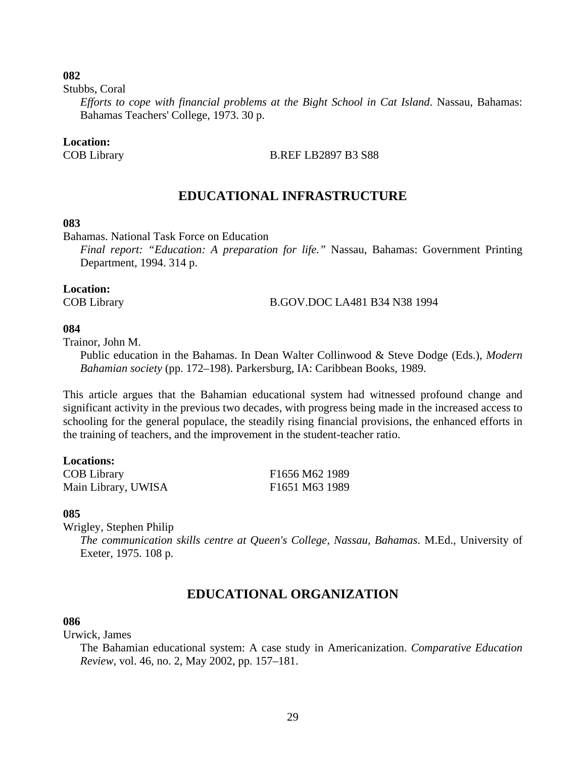<span id="page-34-0"></span>Stubbs, Coral

*Efforts to cope with financial problems at the Bight School in Cat Island*. Nassau, Bahamas: Bahamas Teachers' College, 1973. 30 p.

#### **Location:**

#### COB Library B.REF LB2897 B3 S88

# **EDUCATIONAL INFRASTRUCTURE**

#### **083**

Bahamas. National Task Force on Education

*Final report: "Education: A preparation for life."* Nassau, Bahamas: Government Printing Department, 1994. 314 p.

#### **Location:**

COB Library B.GOV.DOC LA481 B34 N38 1994

#### **084**

Trainor, John M.

Public education in the Bahamas. In Dean Walter Collinwood & Steve Dodge (Eds.), *Modern Bahamian society* (pp. 172–198). Parkersburg, IA: Caribbean Books, 1989.

This article argues that the Bahamian educational system had witnessed profound change and significant activity in the previous two decades, with progress being made in the increased access to schooling for the general populace, the steadily rising financial provisions, the enhanced efforts in the training of teachers, and the improvement in the student-teacher ratio.

| <b>Locations:</b>   |                                        |
|---------------------|----------------------------------------|
| <b>COB</b> Library  | F <sub>1656</sub> M <sub>62</sub> 1989 |
| Main Library, UWISA | F <sub>1651</sub> M <sub>63</sub> 1989 |

#### **085**

Wrigley, Stephen Philip

*The communication skills centre at Queen's College, Nassau, Bahamas*. M.Ed., University of Exeter, 1975. 108 p.

# **EDUCATIONAL ORGANIZATION**

# **086**

Urwick, James

The Bahamian educational system: A case study in Americanization. *Comparative Education Review*, vol. 46, no. 2, May 2002, pp. 157–181.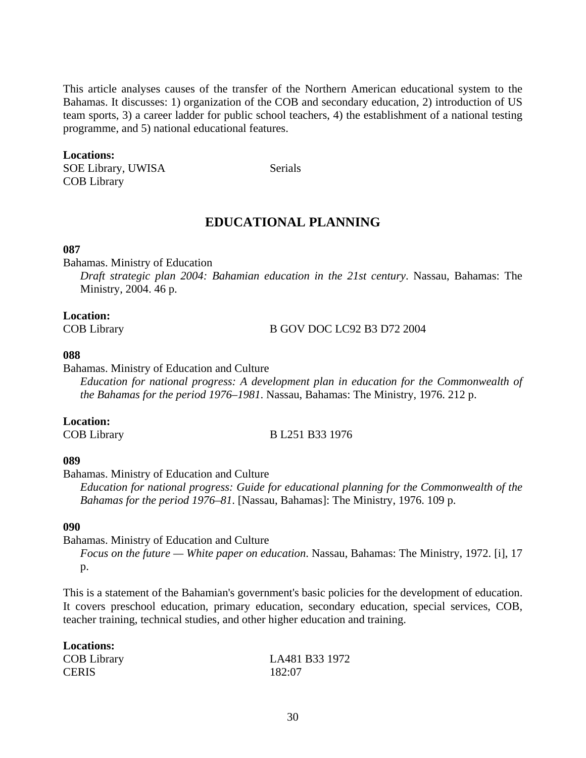<span id="page-35-0"></span>This article analyses causes of the transfer of the Northern American educational system to the Bahamas. It discusses: 1) organization of the COB and secondary education, 2) introduction of US team sports, 3) a career ladder for public school teachers, 4) the establishment of a national testing programme, and 5) national educational features.

#### **Locations:**

SOE Library, UWISA Serials COB Library

# **EDUCATIONAL PLANNING**

#### **087**

Bahamas. Ministry of Education

*Draft strategic plan 2004: Bahamian education in the 21st century*. Nassau, Bahamas: The Ministry, 2004. 46 p.

#### **Location:**

#### COB Library B GOV DOC LC92 B3 D72 2004

#### **088**

Bahamas. Ministry of Education and Culture

*Education for national progress: A development plan in education for the Commonwealth of the Bahamas for the period 1976–1981*. Nassau, Bahamas: The Ministry, 1976. 212 p.

#### **Location:**

COB Library B L251 B33 1976

#### **089**

Bahamas. Ministry of Education and Culture *Education for national progress: Guide for educational planning for the Commonwealth of the Bahamas for the period 1976–81*. [Nassau, Bahamas]: The Ministry, 1976. 109 p.

#### **090**

Bahamas. Ministry of Education and Culture *Focus on the future — White paper on education*. Nassau, Bahamas: The Ministry, 1972. [i], 17 p.

This is a statement of the Bahamian's government's basic policies for the development of education. It covers preschool education, primary education, secondary education, special services, COB, teacher training, technical studies, and other higher education and training.

| <b>Locations:</b>  |                |
|--------------------|----------------|
| <b>COB</b> Library | LA481 B33 1972 |
| <b>CERIS</b>       | 182:07         |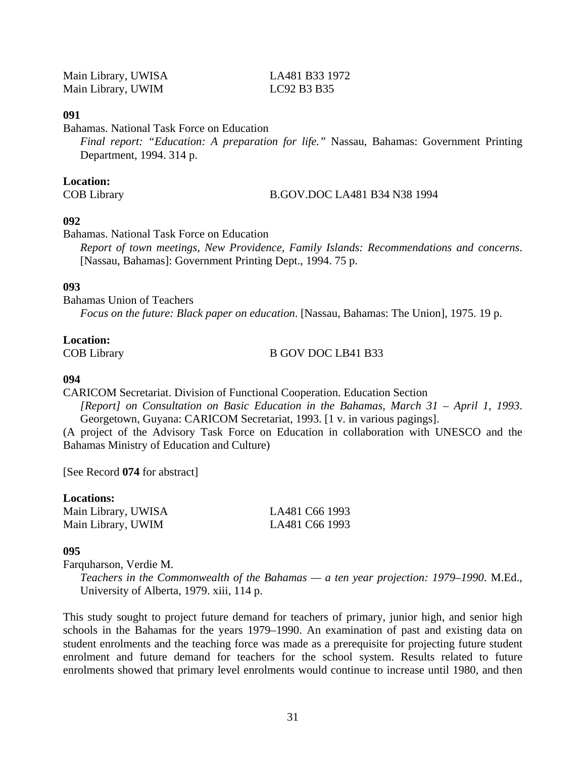Main Library, UWISA LA481 B33 1972 Main Library, UWIM LC92 B3 B35

#### **091**

Bahamas. National Task Force on Education

*Final report: "Education: A preparation for life."* Nassau, Bahamas: Government Printing Department, 1994. 314 p.

#### **Location:**

#### COB Library B.GOV.DOC LA481 B34 N38 1994

#### **092**

Bahamas. National Task Force on Education

*Report of town meetings, New Providence, Family Islands: Recommendations and concerns*. [Nassau, Bahamas]: Government Printing Dept., 1994. 75 p.

#### **093**

Bahamas Union of Teachers *Focus on the future: Black paper on education*. [Nassau, Bahamas: The Union], 1975. 19 p.

#### **Location:**

COB Library B GOV DOC LB41 B33

#### **094**

CARICOM Secretariat. Division of Functional Cooperation. Education Section *[Report] on Consultation on Basic Education in the Bahamas, March 31 – April 1, 1993*. Georgetown, Guyana: CARICOM Secretariat, 1993. [1 v. in various pagings].

(A project of the Advisory Task Force on Education in collaboration with UNESCO and the Bahamas Ministry of Education and Culture)

[See Record **074** for abstract]

## **Locations:**

Main Library, UWISA LA481 C66 1993 Main Library, UWIM LA481 C66 1993

#### **095**

Farquharson, Verdie M.

*Teachers in the Commonwealth of the Bahamas — a ten year projection: 1979–1990*. M.Ed., University of Alberta, 1979. xiii, 114 p.

This study sought to project future demand for teachers of primary, junior high, and senior high schools in the Bahamas for the years 1979*–*1990. An examination of past and existing data on student enrolments and the teaching force was made as a prerequisite for projecting future student enrolment and future demand for teachers for the school system. Results related to future enrolments showed that primary level enrolments would continue to increase until 1980, and then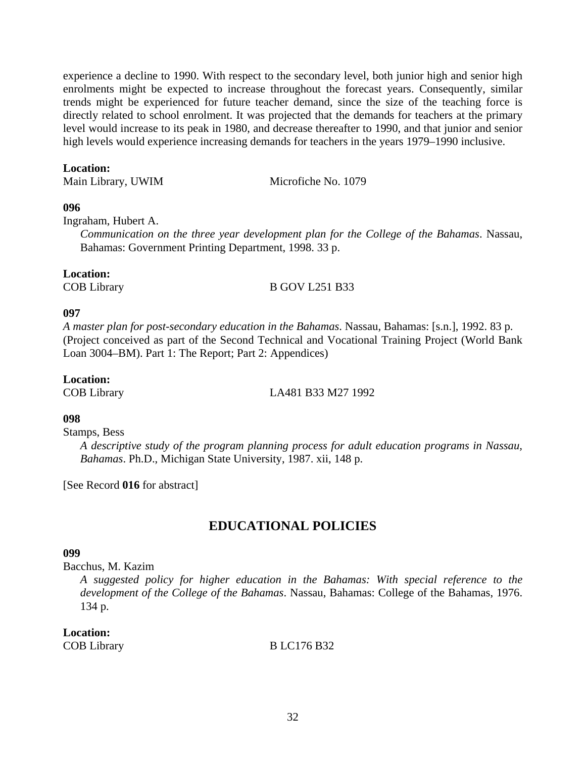experience a decline to 1990. With respect to the secondary level, both junior high and senior high enrolments might be expected to increase throughout the forecast years. Consequently, similar trends might be experienced for future teacher demand, since the size of the teaching force is directly related to school enrolment. It was projected that the demands for teachers at the primary level would increase to its peak in 1980, and decrease thereafter to 1990, and that junior and senior high levels would experience increasing demands for teachers in the years 1979–1990 inclusive.

#### **Location:**

Main Library, UWIM Microfiche No. 1079

#### **096**

Ingraham, Hubert A.

*Communication on the three year development plan for the College of the Bahamas*. Nassau, Bahamas: Government Printing Department, 1998. 33 p.

#### **Location:**

COB Library B GOV L251 B33

#### **097**

*A master plan for post-secondary education in the Bahamas*. Nassau, Bahamas: [s.n.], 1992. 83 p. (Project conceived as part of the Second Technical and Vocational Training Project (World Bank Loan 3004–BM). Part 1: The Report; Part 2: Appendices)

#### **Location:**

COB Library LA481 B33 M27 1992

#### **098**

Stamps, Bess

*A descriptive study of the program planning process for adult education programs in Nassau, Bahamas*. Ph.D., Michigan State University, 1987. xii, 148 p.

[See Record **016** for abstract]

# **EDUCATIONAL POLICIES**

## **099**

Bacchus, M. Kazim

*A suggested policy for higher education in the Bahamas: With special reference to the development of the College of the Bahamas*. Nassau, Bahamas: College of the Bahamas, 1976. 134 p.

# **Location:**

#### COB Library B LC176 B32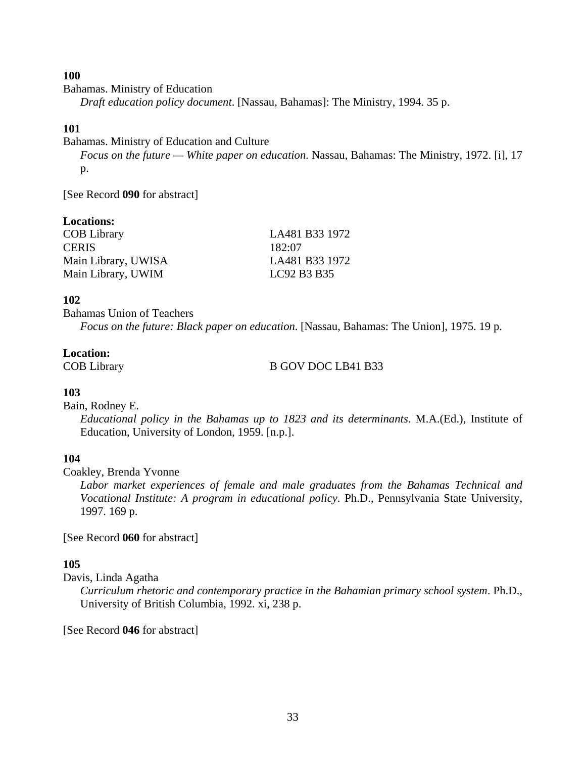Bahamas. Ministry of Education

*Draft education policy document*. [Nassau, Bahamas]: The Ministry, 1994. 35 p.

## **101**

Bahamas. Ministry of Education and Culture

*Focus on the future — White paper on education*. Nassau, Bahamas: The Ministry, 1972. [i], 17 p.

[See Record **090** for abstract]

## **Locations:**

| <b>COB</b> Library  | LA481 B33 1972 |
|---------------------|----------------|
| <b>CERIS</b>        | 182:07         |
| Main Library, UWISA | LA481 B33 1972 |
| Main Library, UWIM  | LC92 B3 B35    |

## **102**

Bahamas Union of Teachers *Focus on the future: Black paper on education*. [Nassau, Bahamas: The Union], 1975. 19 p.

## **Location:**

COB Library B GOV DOC LB41 B33

#### **103**

Bain, Rodney E.

*Educational policy in the Bahamas up to 1823 and its determinants*. M.A.(Ed.), Institute of Education, University of London, 1959. [n.p.].

## **104**

Coakley, Brenda Yvonne

*Labor market experiences of female and male graduates from the Bahamas Technical and Vocational Institute: A program in educational policy*. Ph.D., Pennsylvania State University, 1997. 169 p.

#### [See Record **060** for abstract]

#### **105**

Davis, Linda Agatha

*Curriculum rhetoric and contemporary practice in the Bahamian primary school system*. Ph.D., University of British Columbia, 1992. xi, 238 p.

[See Record **046** for abstract]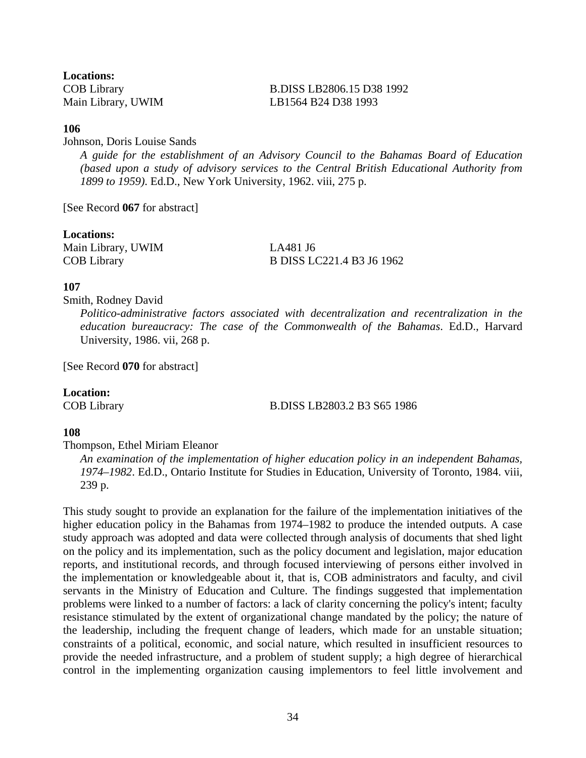**Locations:** 

## COB Library B.DISS LB2806.15 D38 1992 Main Library, UWIM LB1564 B24 D38 1993

#### **106**

Johnson, Doris Louise Sands

*A guide for the establishment of an Advisory Council to the Bahamas Board of Education (based upon a study of advisory services to the Central British Educational Authority from 1899 to 1959)*. Ed.D., New York University, 1962. viii, 275 p.

[See Record **067** for abstract]

**Locations:**  Main Library, UWIM LA481 J6

COB Library B DISS LC221.4 B3 J6 1962

#### **107**

Smith, Rodney David

*Politico-administrative factors associated with decentralization and recentralization in the education bureaucracy: The case of the Commonwealth of the Bahamas*. Ed.D., Harvard University, 1986. vii, 268 p.

[See Record **070** for abstract]

**Location:** 

COB Library B.DISS LB2803.2 B3 S65 1986

#### **108**

Thompson, Ethel Miriam Eleanor

*An examination of the implementation of higher education policy in an independent Bahamas, 1974–1982*. Ed.D., Ontario Institute for Studies in Education, University of Toronto, 1984. viii, 239 p.

This study sought to provide an explanation for the failure of the implementation initiatives of the higher education policy in the Bahamas from 1974*–*1982 to produce the intended outputs. A case study approach was adopted and data were collected through analysis of documents that shed light on the policy and its implementation, such as the policy document and legislation, major education reports, and institutional records, and through focused interviewing of persons either involved in the implementation or knowledgeable about it, that is, COB administrators and faculty, and civil servants in the Ministry of Education and Culture. The findings suggested that implementation problems were linked to a number of factors: a lack of clarity concerning the policy's intent; faculty resistance stimulated by the extent of organizational change mandated by the policy; the nature of the leadership, including the frequent change of leaders, which made for an unstable situation; constraints of a political, economic, and social nature, which resulted in insufficient resources to provide the needed infrastructure, and a problem of student supply; a high degree of hierarchical control in the implementing organization causing implementors to feel little involvement and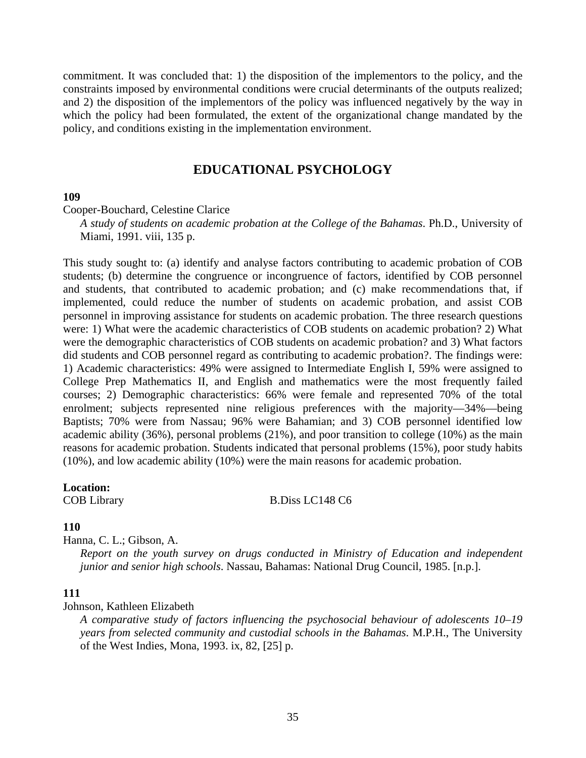commitment. It was concluded that: 1) the disposition of the implementors to the policy, and the constraints imposed by environmental conditions were crucial determinants of the outputs realized; and 2) the disposition of the implementors of the policy was influenced negatively by the way in which the policy had been formulated, the extent of the organizational change mandated by the policy, and conditions existing in the implementation environment.

# **EDUCATIONAL PSYCHOLOGY**

#### **109**

Cooper-Bouchard, Celestine Clarice

*A study of students on academic probation at the College of the Bahamas*. Ph.D., University of Miami, 1991. viii, 135 p.

This study sought to: (a) identify and analyse factors contributing to academic probation of COB students; (b) determine the congruence or incongruence of factors, identified by COB personnel and students, that contributed to academic probation; and (c) make recommendations that, if implemented, could reduce the number of students on academic probation, and assist COB personnel in improving assistance for students on academic probation. The three research questions were: 1) What were the academic characteristics of COB students on academic probation? 2) What were the demographic characteristics of COB students on academic probation? and 3) What factors did students and COB personnel regard as contributing to academic probation?. The findings were: 1) Academic characteristics: 49% were assigned to Intermediate English I, 59% were assigned to College Prep Mathematics II, and English and mathematics were the most frequently failed courses; 2) Demographic characteristics: 66% were female and represented 70% of the total enrolment; subjects represented nine religious preferences with the majority—34%—being Baptists; 70% were from Nassau; 96% were Bahamian; and 3) COB personnel identified low academic ability (36%), personal problems (21%), and poor transition to college (10%) as the main reasons for academic probation. Students indicated that personal problems (15%), poor study habits (10%), and low academic ability (10%) were the main reasons for academic probation.

#### **Location:**

#### COB Library B.Diss LC148 C6

#### **110**

Hanna, C. L.; Gibson, A.

*Report on the youth survey on drugs conducted in Ministry of Education and independent junior and senior high schools*. Nassau, Bahamas: National Drug Council, 1985. [n.p.].

#### **111**

Johnson, Kathleen Elizabeth

*A comparative study of factors influencing the psychosocial behaviour of adolescents 10–19 years from selected community and custodial schools in the Bahamas*. M.P.H., The University of the West Indies, Mona, 1993. ix, 82, [25] p.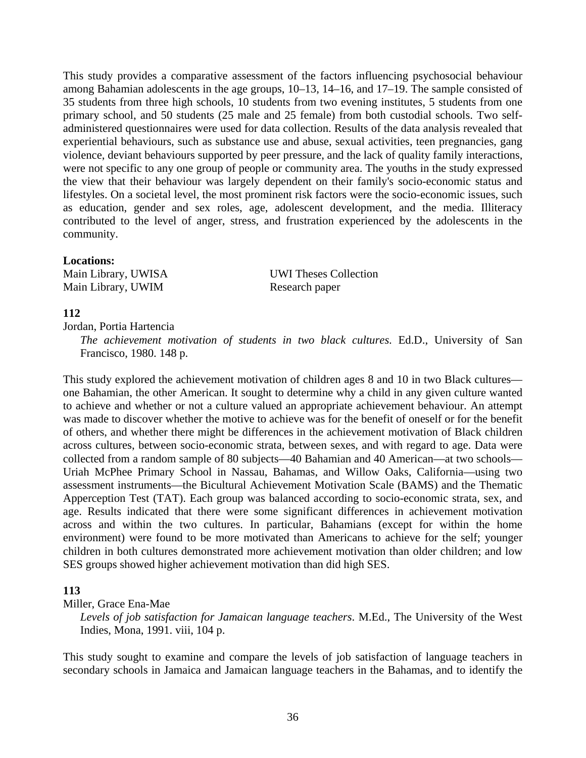This study provides a comparative assessment of the factors influencing psychosocial behaviour among Bahamian adolescents in the age groups, 10–13, 14–16, and 17–19. The sample consisted of 35 students from three high schools, 10 students from two evening institutes, 5 students from one primary school, and 50 students (25 male and 25 female) from both custodial schools. Two selfadministered questionnaires were used for data collection. Results of the data analysis revealed that experiential behaviours, such as substance use and abuse, sexual activities, teen pregnancies, gang violence, deviant behaviours supported by peer pressure, and the lack of quality family interactions, were not specific to any one group of people or community area. The youths in the study expressed the view that their behaviour was largely dependent on their family's socio-economic status and lifestyles. On a societal level, the most prominent risk factors were the socio-economic issues, such as education, gender and sex roles, age, adolescent development, and the media. Illiteracy contributed to the level of anger, stress, and frustration experienced by the adolescents in the community.

#### **Locations:**

Main Library, UWIM Research paper

Main Library, UWISA UWI Theses Collection

#### **112**

Jordan, Portia Hartencia

*The achievement motivation of students in two black cultures*. Ed.D., University of San Francisco, 1980. 148 p.

This study explored the achievement motivation of children ages 8 and 10 in two Black cultures one Bahamian, the other American. It sought to determine why a child in any given culture wanted to achieve and whether or not a culture valued an appropriate achievement behaviour. An attempt was made to discover whether the motive to achieve was for the benefit of oneself or for the benefit of others, and whether there might be differences in the achievement motivation of Black children across cultures, between socio-economic strata, between sexes, and with regard to age. Data were collected from a random sample of 80 subjects—40 Bahamian and 40 American—at two schools— Uriah McPhee Primary School in Nassau, Bahamas, and Willow Oaks, California—using two assessment instruments—the Bicultural Achievement Motivation Scale (BAMS) and the Thematic Apperception Test (TAT). Each group was balanced according to socio-economic strata, sex, and age. Results indicated that there were some significant differences in achievement motivation across and within the two cultures. In particular, Bahamians (except for within the home environment) were found to be more motivated than Americans to achieve for the self; younger children in both cultures demonstrated more achievement motivation than older children; and low SES groups showed higher achievement motivation than did high SES.

## **113**

Miller, Grace Ena-Mae

*Levels of job satisfaction for Jamaican language teachers*. M.Ed., The University of the West Indies, Mona, 1991. viii, 104 p.

This study sought to examine and compare the levels of job satisfaction of language teachers in secondary schools in Jamaica and Jamaican language teachers in the Bahamas, and to identify the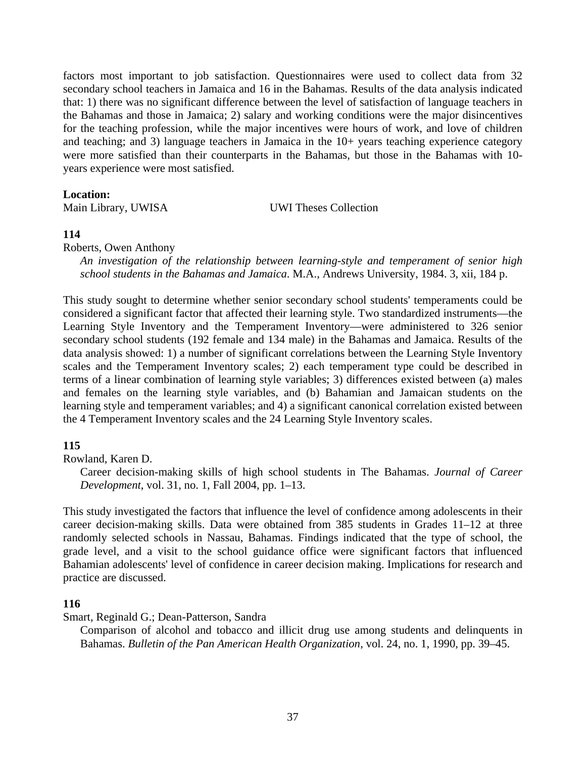factors most important to job satisfaction. Questionnaires were used to collect data from 32 secondary school teachers in Jamaica and 16 in the Bahamas. Results of the data analysis indicated that: 1) there was no significant difference between the level of satisfaction of language teachers in the Bahamas and those in Jamaica; 2) salary and working conditions were the major disincentives for the teaching profession, while the major incentives were hours of work, and love of children and teaching; and 3) language teachers in Jamaica in the 10+ years teaching experience category were more satisfied than their counterparts in the Bahamas, but those in the Bahamas with 10 years experience were most satisfied.

#### **Location:**

Main Library, UWISA UWI Theses Collection

## **114**

Roberts, Owen Anthony

*An investigation of the relationship between learning-style and temperament of senior high school students in the Bahamas and Jamaica*. M.A., Andrews University, 1984. 3, xii, 184 p.

This study sought to determine whether senior secondary school students' temperaments could be considered a significant factor that affected their learning style. Two standardized instruments—the Learning Style Inventory and the Temperament Inventory—were administered to 326 senior secondary school students (192 female and 134 male) in the Bahamas and Jamaica. Results of the data analysis showed: 1) a number of significant correlations between the Learning Style Inventory scales and the Temperament Inventory scales; 2) each temperament type could be described in terms of a linear combination of learning style variables; 3) differences existed between (a) males and females on the learning style variables, and (b) Bahamian and Jamaican students on the learning style and temperament variables; and 4) a significant canonical correlation existed between the 4 Temperament Inventory scales and the 24 Learning Style Inventory scales.

## **115**

Rowland, Karen D.

Career decision-making skills of high school students in The Bahamas. *Journal of Career Development*, vol. 31, no. 1, Fall 2004, pp. 1–13.

This study investigated the factors that influence the level of confidence among adolescents in their career decision-making skills. Data were obtained from 385 students in Grades 11–12 at three randomly selected schools in Nassau, Bahamas. Findings indicated that the type of school, the grade level, and a visit to the school guidance office were significant factors that influenced Bahamian adolescents' level of confidence in career decision making. Implications for research and practice are discussed.

## **116**

Smart, Reginald G.; Dean-Patterson, Sandra

Comparison of alcohol and tobacco and illicit drug use among students and delinquents in Bahamas. *Bulletin of the Pan American Health Organization*, vol. 24, no. 1, 1990, pp. 39–45.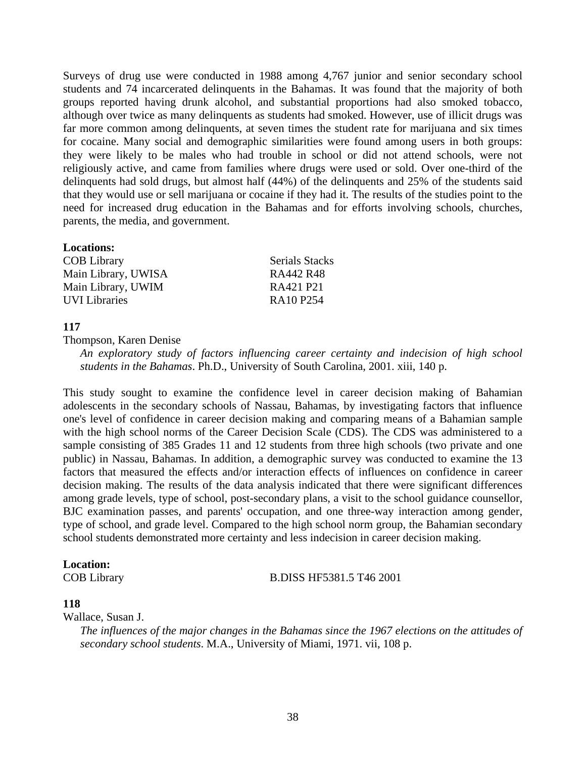Surveys of drug use were conducted in 1988 among 4,767 junior and senior secondary school students and 74 incarcerated delinquents in the Bahamas. It was found that the majority of both groups reported having drunk alcohol, and substantial proportions had also smoked tobacco, although over twice as many delinquents as students had smoked. However, use of illicit drugs was far more common among delinquents, at seven times the student rate for marijuana and six times for cocaine. Many social and demographic similarities were found among users in both groups: they were likely to be males who had trouble in school or did not attend schools, were not religiously active, and came from families where drugs were used or sold. Over one-third of the delinquents had sold drugs, but almost half (44%) of the delinquents and 25% of the students said that they would use or sell marijuana or cocaine if they had it. The results of the studies point to the need for increased drug education in the Bahamas and for efforts involving schools, churches, parents, the media, and government.

#### **Locations:**

| <b>COB Library</b>   | <b>Serials Stacks</b> |
|----------------------|-----------------------|
| Main Library, UWISA  | RA442 R48             |
| Main Library, UWIM   | RA421 P21             |
| <b>UVI</b> Libraries | RA10 P254             |

## **117**

#### Thompson, Karen Denise

*An exploratory study of factors influencing career certainty and indecision of high school students in the Bahamas*. Ph.D., University of South Carolina, 2001. xiii, 140 p.

This study sought to examine the confidence level in career decision making of Bahamian adolescents in the secondary schools of Nassau, Bahamas, by investigating factors that influence one's level of confidence in career decision making and comparing means of a Bahamian sample with the high school norms of the Career Decision Scale (CDS). The CDS was administered to a sample consisting of 385 Grades 11 and 12 students from three high schools (two private and one public) in Nassau, Bahamas. In addition, a demographic survey was conducted to examine the 13 factors that measured the effects and/or interaction effects of influences on confidence in career decision making. The results of the data analysis indicated that there were significant differences among grade levels, type of school, post-secondary plans, a visit to the school guidance counsellor, BJC examination passes, and parents' occupation, and one three-way interaction among gender, type of school, and grade level. Compared to the high school norm group, the Bahamian secondary school students demonstrated more certainty and less indecision in career decision making.

## **Location:**

## COB Library B.DISS HF5381.5 T46 2001

## **118**

Wallace, Susan J.

*The influences of the major changes in the Bahamas since the 1967 elections on the attitudes of secondary school students*. M.A., University of Miami, 1971. vii, 108 p.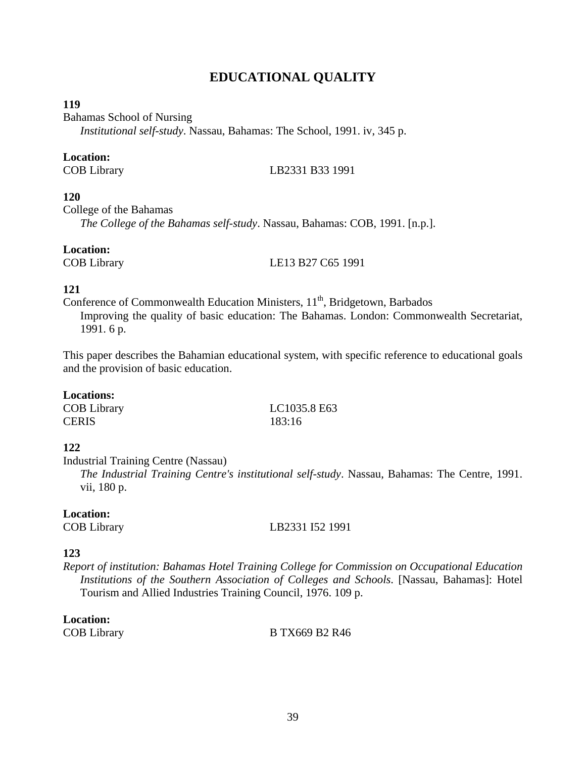# **EDUCATIONAL QUALITY**

#### **119**

Bahamas School of Nursing

*Institutional self-study*. Nassau, Bahamas: The School, 1991. iv, 345 p.

## **Location:**

COB Library LB2331 B33 1991

## **120**

College of the Bahamas *The College of the Bahamas self-study*. Nassau, Bahamas: COB, 1991. [n.p.].

## **Location:**

COB Library LE13 B27 C65 1991

## **121**

Conference of Commonwealth Education Ministers, 11<sup>th</sup>, Bridgetown, Barbados Improving the quality of basic education: The Bahamas. London: Commonwealth Secretariat, 1991. 6 p.

This paper describes the Bahamian educational system, with specific reference to educational goals and the provision of basic education.

## **Locations:**

CERIS 183:16

COB Library LC1035.8 E63

## **122**

Industrial Training Centre (Nassau)

*The Industrial Training Centre's institutional self-study*. Nassau, Bahamas: The Centre, 1991. vii, 180 p.

## **Location:**

COB Library LB2331 I52 1991

## **123**

*Report of institution: Bahamas Hotel Training College for Commission on Occupational Education Institutions of the Southern Association of Colleges and Schools*. [Nassau, Bahamas]: Hotel Tourism and Allied Industries Training Council, 1976. 109 p.

# **Location:**

COB Library B TX669 B2 R46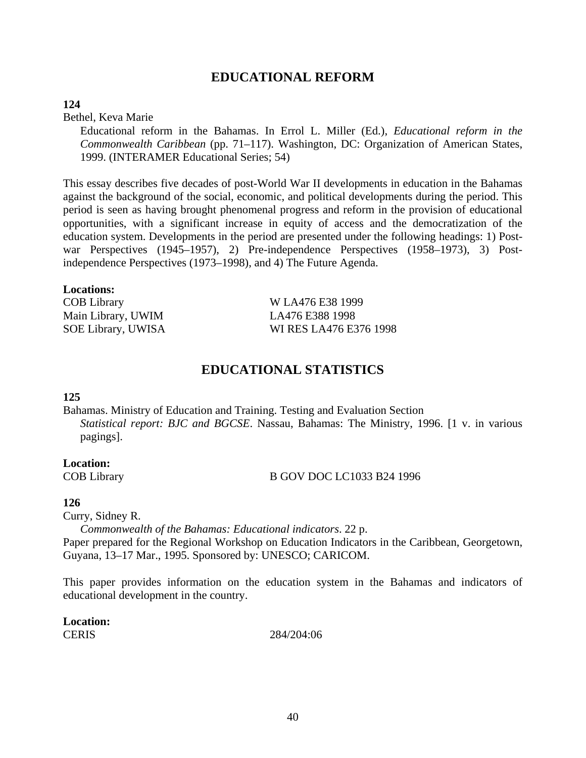# **EDUCATIONAL REFORM**

## **124**

Bethel, Keva Marie

Educational reform in the Bahamas. In Errol L. Miller (Ed.), *Educational reform in the Commonwealth Caribbean* (pp. 71–117). Washington, DC: Organization of American States, 1999. (INTERAMER Educational Series; 54)

This essay describes five decades of post-World War II developments in education in the Bahamas against the background of the social, economic, and political developments during the period. This period is seen as having brought phenomenal progress and reform in the provision of educational opportunities, with a significant increase in equity of access and the democratization of the education system. Developments in the period are presented under the following headings: 1) Postwar Perspectives (1945–1957), 2) Pre-independence Perspectives (1958–1973), 3) Postindependence Perspectives (1973–1998), and 4) The Future Agenda.

## **Locations:**

COB Library W LA476 E38 1999 Main Library, UWIM LA476 E388 1998

SOE Library, UWISA WI RES LA476 E376 1998

# **EDUCATIONAL STATISTICS**

## **125**

Bahamas. Ministry of Education and Training. Testing and Evaluation Section *Statistical report: BJC and BGCSE*. Nassau, Bahamas: The Ministry, 1996. [1 v. in various pagings].

## **Location:**

COB Library B GOV DOC LC1033 B24 1996

## **126**

Curry, Sidney R.

*Commonwealth of the Bahamas: Educational indicators*. 22 p.

Paper prepared for the Regional Workshop on Education Indicators in the Caribbean, Georgetown, Guyana, 13–17 Mar., 1995. Sponsored by: UNESCO; CARICOM.

This paper provides information on the education system in the Bahamas and indicators of educational development in the country.

**Location:** 

CERIS 284/204:06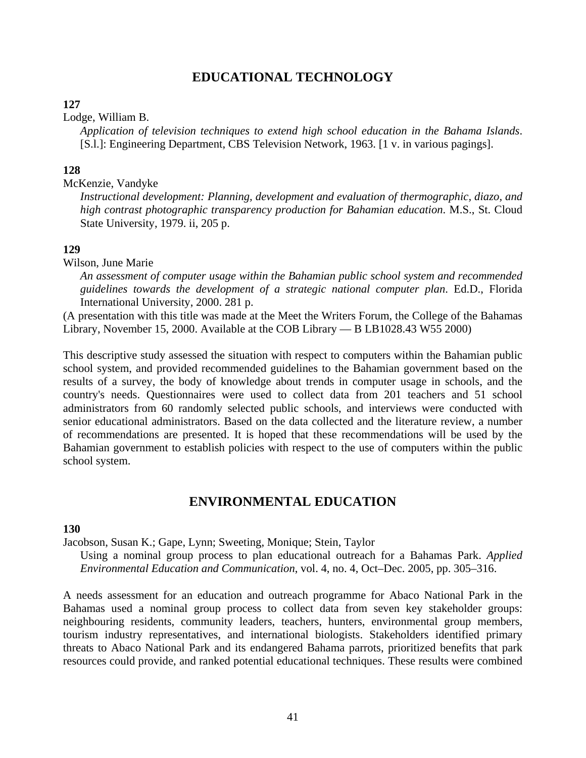# **EDUCATIONAL TECHNOLOGY**

#### **127**

#### Lodge, William B.

*Application of television techniques to extend high school education in the Bahama Islands*. [S.l.]: Engineering Department, CBS Television Network, 1963. [1 v. in various pagings].

## **128**

#### McKenzie, Vandyke

*Instructional development: Planning, development and evaluation of thermographic, diazo, and high contrast photographic transparency production for Bahamian education*. M.S., St. Cloud State University, 1979. ii, 205 p.

## **129**

#### Wilson, June Marie

*An assessment of computer usage within the Bahamian public school system and recommended guidelines towards the development of a strategic national computer plan*. Ed.D., Florida International University, 2000. 281 p.

(A presentation with this title was made at the Meet the Writers Forum, the College of the Bahamas Library, November 15, 2000. Available at the COB Library — B LB1028.43 W55 2000)

This descriptive study assessed the situation with respect to computers within the Bahamian public school system, and provided recommended guidelines to the Bahamian government based on the results of a survey, the body of knowledge about trends in computer usage in schools, and the country's needs. Questionnaires were used to collect data from 201 teachers and 51 school administrators from 60 randomly selected public schools, and interviews were conducted with senior educational administrators. Based on the data collected and the literature review, a number of recommendations are presented. It is hoped that these recommendations will be used by the Bahamian government to establish policies with respect to the use of computers within the public school system.

# **ENVIRONMENTAL EDUCATION**

## **130**

Jacobson, Susan K.; Gape, Lynn; Sweeting, Monique; Stein, Taylor

Using a nominal group process to plan educational outreach for a Bahamas Park. *Applied Environmental Education and Communication*, vol. 4, no. 4, Oct–Dec. 2005, pp. 305–316.

A needs assessment for an education and outreach programme for Abaco National Park in the Bahamas used a nominal group process to collect data from seven key stakeholder groups: neighbouring residents, community leaders, teachers, hunters, environmental group members, tourism industry representatives, and international biologists. Stakeholders identified primary threats to Abaco National Park and its endangered Bahama parrots, prioritized benefits that park resources could provide, and ranked potential educational techniques. These results were combined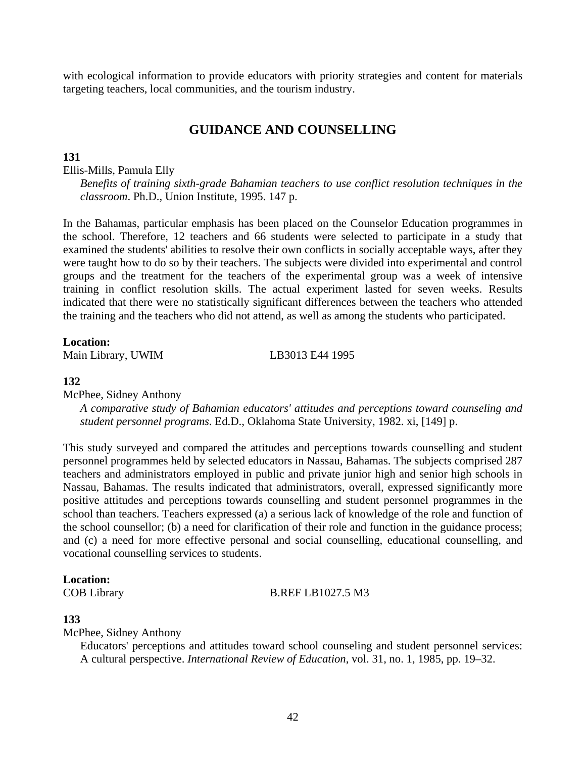with ecological information to provide educators with priority strategies and content for materials targeting teachers, local communities, and the tourism industry.

# **GUIDANCE AND COUNSELLING**

#### **131**

Ellis-Mills, Pamula Elly

*Benefits of training sixth-grade Bahamian teachers to use conflict resolution techniques in the classroom*. Ph.D., Union Institute, 1995. 147 p.

In the Bahamas, particular emphasis has been placed on the Counselor Education programmes in the school. Therefore, 12 teachers and 66 students were selected to participate in a study that examined the students' abilities to resolve their own conflicts in socially acceptable ways, after they were taught how to do so by their teachers. The subjects were divided into experimental and control groups and the treatment for the teachers of the experimental group was a week of intensive training in conflict resolution skills. The actual experiment lasted for seven weeks. Results indicated that there were no statistically significant differences between the teachers who attended the training and the teachers who did not attend, as well as among the students who participated.

#### **Location:**

Main Library, UWIM LB3013 E44 1995

#### **132**

McPhee, Sidney Anthony

*A comparative study of Bahamian educators' attitudes and perceptions toward counseling and student personnel programs*. Ed.D., Oklahoma State University, 1982. xi, [149] p.

This study surveyed and compared the attitudes and perceptions towards counselling and student personnel programmes held by selected educators in Nassau, Bahamas. The subjects comprised 287 teachers and administrators employed in public and private junior high and senior high schools in Nassau, Bahamas. The results indicated that administrators, overall, expressed significantly more positive attitudes and perceptions towards counselling and student personnel programmes in the school than teachers. Teachers expressed (a) a serious lack of knowledge of the role and function of the school counsellor; (b) a need for clarification of their role and function in the guidance process; and (c) a need for more effective personal and social counselling, educational counselling, and vocational counselling services to students.

#### **Location:**

COB Library B.REF LB1027.5 M3

#### **133**

McPhee, Sidney Anthony

Educators' perceptions and attitudes toward school counseling and student personnel services: A cultural perspective. *International Review of Education*, vol. 31, no. 1, 1985, pp. 19–32.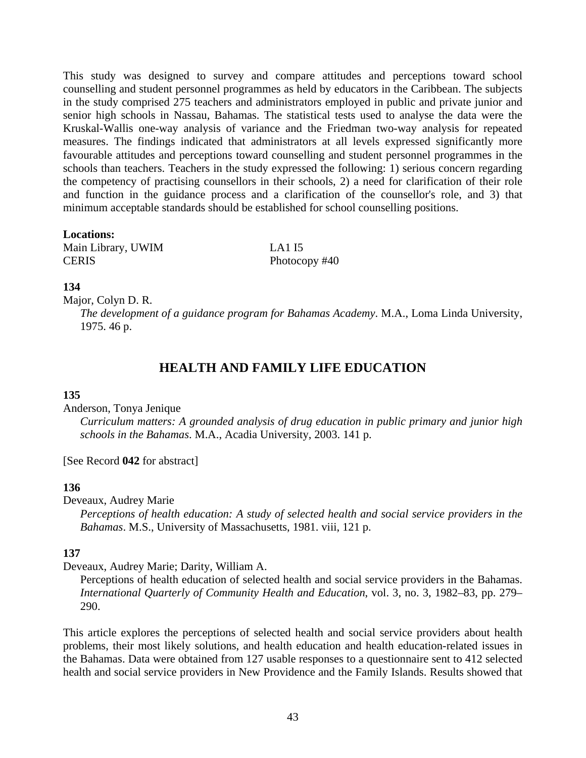This study was designed to survey and compare attitudes and perceptions toward school counselling and student personnel programmes as held by educators in the Caribbean. The subjects in the study comprised 275 teachers and administrators employed in public and private junior and senior high schools in Nassau, Bahamas. The statistical tests used to analyse the data were the Kruskal-Wallis one-way analysis of variance and the Friedman two-way analysis for repeated measures. The findings indicated that administrators at all levels expressed significantly more favourable attitudes and perceptions toward counselling and student personnel programmes in the schools than teachers. Teachers in the study expressed the following: 1) serious concern regarding the competency of practising counsellors in their schools, 2) a need for clarification of their role and function in the guidance process and a clarification of the counsellor's role, and 3) that minimum acceptable standards should be established for school counselling positions.

## **Locations:**

Main Library, UWIM LA1 I5 CERIS Photocopy #40

## **134**

Major, Colyn D. R. *The development of a guidance program for Bahamas Academy*. M.A., Loma Linda University, 1975. 46 p.

# **HEALTH AND FAMILY LIFE EDUCATION**

## **135**

Anderson, Tonya Jenique

*Curriculum matters: A grounded analysis of drug education in public primary and junior high schools in the Bahamas*. M.A., Acadia University, 2003. 141 p.

[See Record **042** for abstract]

## **136**

Deveaux, Audrey Marie

*Perceptions of health education: A study of selected health and social service providers in the Bahamas*. M.S., University of Massachusetts, 1981. viii, 121 p.

## **137**

Deveaux, Audrey Marie; Darity, William A.

Perceptions of health education of selected health and social service providers in the Bahamas. *International Quarterly of Community Health and Education*, vol. 3, no. 3, 1982–83, pp. 279– 290.

This article explores the perceptions of selected health and social service providers about health problems, their most likely solutions, and health education and health education-related issues in the Bahamas. Data were obtained from 127 usable responses to a questionnaire sent to 412 selected health and social service providers in New Providence and the Family Islands. Results showed that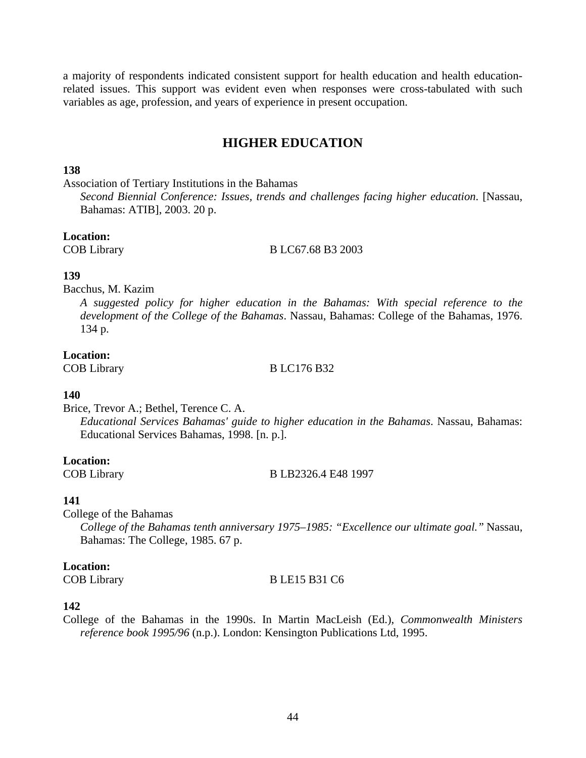a majority of respondents indicated consistent support for health education and health educationrelated issues. This support was evident even when responses were cross-tabulated with such variables as age, profession, and years of experience in present occupation.

# **HIGHER EDUCATION**

#### **138**

Association of Tertiary Institutions in the Bahamas

*Second Biennial Conference: Issues, trends and challenges facing higher education*. [Nassau, Bahamas: ATIB], 2003. 20 p.

#### **Location:**

COB Library B LC67.68 B3 2003

#### **139**

Bacchus, M. Kazim

*A suggested policy for higher education in the Bahamas: With special reference to the development of the College of the Bahamas*. Nassau, Bahamas: College of the Bahamas, 1976. 134 p.

#### **Location:**

COB Library B LC176 B32

## **140**

Brice, Trevor A.; Bethel, Terence C. A.

*Educational Services Bahamas' guide to higher education in the Bahamas*. Nassau, Bahamas: Educational Services Bahamas, 1998. [n. p.].

#### **Location:**

COB Library B LB2326.4 E48 1997

#### **141**

College of the Bahamas

*College of the Bahamas tenth anniversary 1975–1985: "Excellence our ultimate goal."* Nassau, Bahamas: The College, 1985. 67 p.

#### **Location:**

#### COB Library B LE15 B31 C6

#### **142**

College of the Bahamas in the 1990s. In Martin MacLeish (Ed.), *Commonwealth Ministers reference book 1995/96* (n.p.). London: Kensington Publications Ltd, 1995.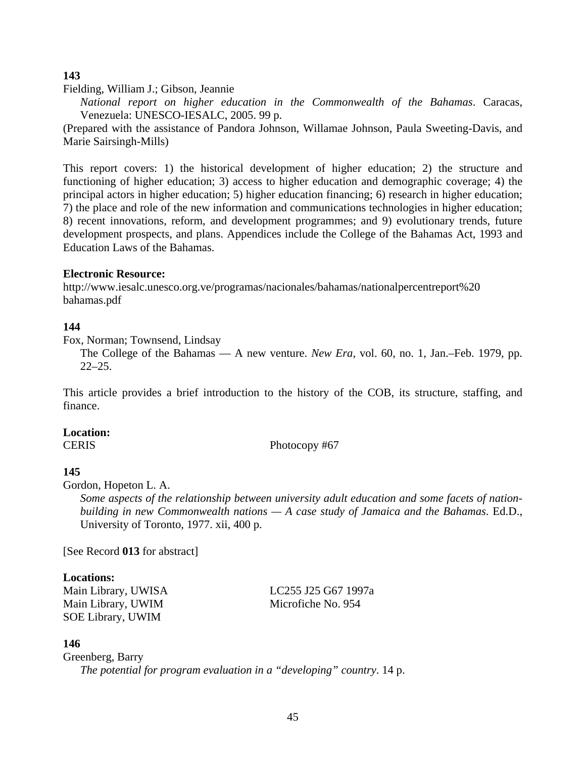Fielding, William J.; Gibson, Jeannie

*National report on higher education in the Commonwealth of the Bahamas*. Caracas, Venezuela: UNESCO-IESALC, 2005. 99 p.

(Prepared with the assistance of Pandora Johnson, Willamae Johnson, Paula Sweeting-Davis, and Marie Sairsingh-Mills)

This report covers: 1) the historical development of higher education; 2) the structure and functioning of higher education; 3) access to higher education and demographic coverage; 4) the principal actors in higher education; 5) higher education financing; 6) research in higher education; 7) the place and role of the new information and communications technologies in higher education; 8) recent innovations, reform, and development programmes; and 9) evolutionary trends, future development prospects, and plans. Appendices include the College of the Bahamas Act, 1993 and Education Laws of the Bahamas.

#### **Electronic Resource:**

http://www.iesalc.unesco.org.ve/programas/nacionales/bahamas/nationalpercentreport%20 bahamas.pdf

#### **144**

Fox, Norman; Townsend, Lindsay

The College of the Bahamas — A new venture. *New Era*, vol. 60, no. 1, Jan.–Feb. 1979, pp. 22–25.

This article provides a brief introduction to the history of the COB, its structure, staffing, and finance.

## **Location:**

CERIS Photocopy #67

#### **145**

Gordon, Hopeton L. A.

*Some aspects of the relationship between university adult education and some facets of nationbuilding in new Commonwealth nations — A case study of Jamaica and the Bahamas*. Ed.D., University of Toronto, 1977. xii, 400 p.

[See Record **013** for abstract]

#### **Locations:**

Main Library, UWISA LC255 J25 G67 1997a Main Library, UWIM Microfiche No. 954 SOE Library, UWIM

#### **146**

Greenberg, Barry *The potential for program evaluation in a "developing" country*. 14 p.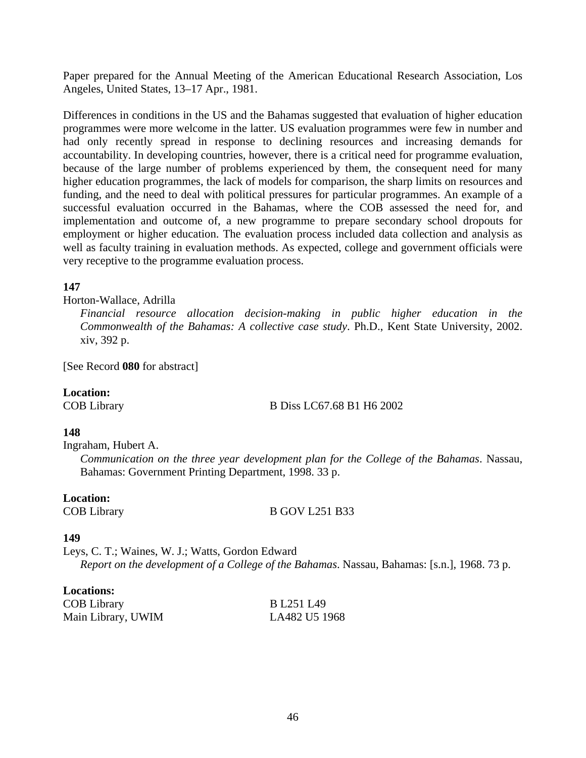Paper prepared for the Annual Meeting of the American Educational Research Association, Los Angeles, United States, 13–17 Apr., 1981.

Differences in conditions in the US and the Bahamas suggested that evaluation of higher education programmes were more welcome in the latter. US evaluation programmes were few in number and had only recently spread in response to declining resources and increasing demands for accountability. In developing countries, however, there is a critical need for programme evaluation, because of the large number of problems experienced by them, the consequent need for many higher education programmes, the lack of models for comparison, the sharp limits on resources and funding, and the need to deal with political pressures for particular programmes. An example of a successful evaluation occurred in the Bahamas, where the COB assessed the need for, and implementation and outcome of, a new programme to prepare secondary school dropouts for employment or higher education. The evaluation process included data collection and analysis as well as faculty training in evaluation methods. As expected, college and government officials were very receptive to the programme evaluation process.

# **147**

Horton-Wallace, Adrilla

*Financial resource allocation decision-making in public higher education in the Commonwealth of the Bahamas: A collective case study*. Ph.D., Kent State University, 2002. xiv, 392 p.

[See Record **080** for abstract]

## **Location:**

COB Library B Diss LC67.68 B1 H6 2002

## **148**

Ingraham, Hubert A.

*Communication on the three year development plan for the College of the Bahamas*. Nassau, Bahamas: Government Printing Department, 1998. 33 p.

## **Location:**

COB Library B GOV L251 B33

## **149**

Leys, C. T.; Waines, W. J.; Watts, Gordon Edward *Report on the development of a College of the Bahamas*. Nassau, Bahamas: [s.n.], 1968. 73 p.

# **Locations:**

| COB Library        | B L251 L49    |
|--------------------|---------------|
| Main Library, UWIM | LA482 U5 1968 |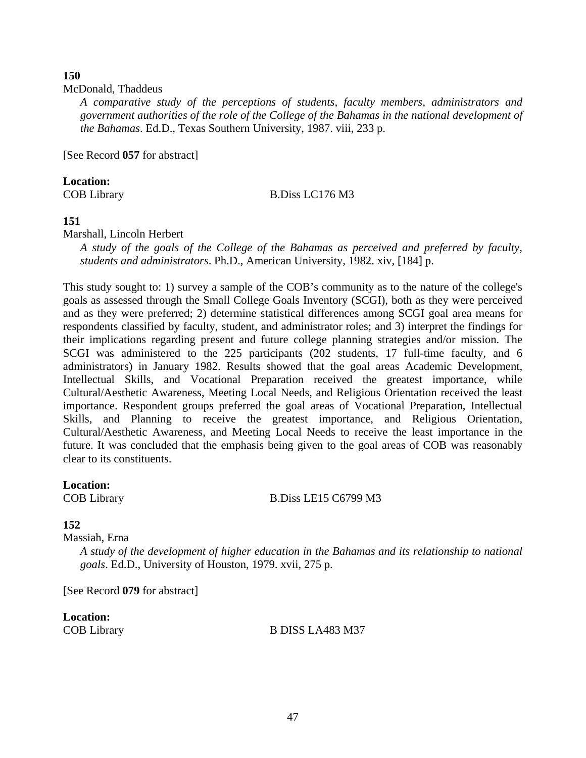McDonald, Thaddeus

*A comparative study of the perceptions of students, faculty members, administrators and government authorities of the role of the College of the Bahamas in the national development of the Bahamas*. Ed.D., Texas Southern University, 1987. viii, 233 p.

[See Record **057** for abstract]

## **Location:**

## COB Library B.Diss LC176 M3

# **151**

## Marshall, Lincoln Herbert

*A study of the goals of the College of the Bahamas as perceived and preferred by faculty, students and administrators*. Ph.D., American University, 1982. xiv, [184] p.

This study sought to: 1) survey a sample of the COB's community as to the nature of the college's goals as assessed through the Small College Goals Inventory (SCGI), both as they were perceived and as they were preferred; 2) determine statistical differences among SCGI goal area means for respondents classified by faculty, student, and administrator roles; and 3) interpret the findings for their implications regarding present and future college planning strategies and/or mission. The SCGI was administered to the 225 participants (202 students, 17 full-time faculty, and 6 administrators) in January 1982. Results showed that the goal areas Academic Development, Intellectual Skills, and Vocational Preparation received the greatest importance, while Cultural/Aesthetic Awareness, Meeting Local Needs, and Religious Orientation received the least importance. Respondent groups preferred the goal areas of Vocational Preparation, Intellectual Skills, and Planning to receive the greatest importance, and Religious Orientation, Cultural/Aesthetic Awareness, and Meeting Local Needs to receive the least importance in the future. It was concluded that the emphasis being given to the goal areas of COB was reasonably clear to its constituents.

## **Location:**

COB Library B.Diss LE15 C6799 M3

## **152**

Massiah, Erna

*A study of the development of higher education in the Bahamas and its relationship to national goals*. Ed.D., University of Houston, 1979. xvii, 275 p.

[See Record **079** for abstract]

**Location:** 

COB Library B DISS LA483 M37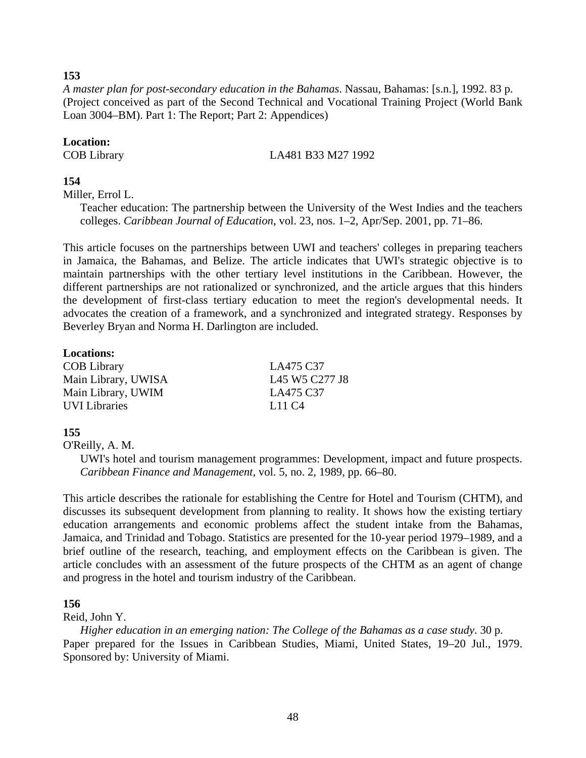*A master plan for post-secondary education in the Bahamas*. Nassau, Bahamas: [s.n.], 1992. 83 p. (Project conceived as part of the Second Technical and Vocational Training Project (World Bank Loan 3004–BM). Part 1: The Report; Part 2: Appendices)

## **Location:**

COB Library LA481 B33 M27 1992

## **154**

Miller, Errol L.

Teacher education: The partnership between the University of the West Indies and the teachers colleges. *Caribbean Journal of Education*, vol. 23, nos. 1–2, Apr/Sep. 2001, pp. 71–86.

This article focuses on the partnerships between UWI and teachers' colleges in preparing teachers in Jamaica, the Bahamas, and Belize. The article indicates that UWI's strategic objective is to maintain partnerships with the other tertiary level institutions in the Caribbean. However, the different partnerships are not rationalized or synchronized, and the article argues that this hinders the development of first-class tertiary education to meet the region's developmental needs. It advocates the creation of a framework, and a synchronized and integrated strategy. Responses by Beverley Bryan and Norma H. Darlington are included.

## **Locations:**

| LA475 C37                                                      |
|----------------------------------------------------------------|
| L <sub>45</sub> W <sub>5</sub> C <sub>277</sub> J <sub>8</sub> |
| LA475 C37                                                      |
| L11 C4                                                         |
|                                                                |

## **155**

O'Reilly, A. M.

UWI's hotel and tourism management programmes: Development, impact and future prospects. *Caribbean Finance and Management*, vol. 5, no. 2, 1989, pp. 66–80.

This article describes the rationale for establishing the Centre for Hotel and Tourism (CHTM), and discusses its subsequent development from planning to reality. It shows how the existing tertiary education arrangements and economic problems affect the student intake from the Bahamas, Jamaica, and Trinidad and Tobago. Statistics are presented for the 10-year period 1979–1989, and a brief outline of the research, teaching, and employment effects on the Caribbean is given. The article concludes with an assessment of the future prospects of the CHTM as an agent of change and progress in the hotel and tourism industry of the Caribbean.

## **156**

Reid, John Y.

*Higher education in an emerging nation: The College of the Bahamas as a case study*. 30 p. Paper prepared for the Issues in Caribbean Studies, Miami, United States, 19–20 Jul., 1979. Sponsored by: University of Miami.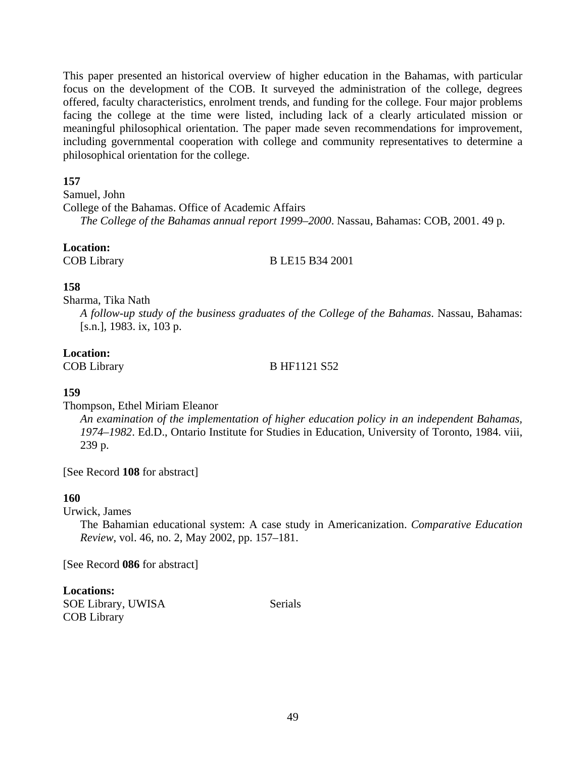This paper presented an historical overview of higher education in the Bahamas, with particular focus on the development of the COB. It surveyed the administration of the college, degrees offered, faculty characteristics, enrolment trends, and funding for the college. Four major problems facing the college at the time were listed, including lack of a clearly articulated mission or meaningful philosophical orientation. The paper made seven recommendations for improvement, including governmental cooperation with college and community representatives to determine a philosophical orientation for the college.

## **157**

Samuel, John College of the Bahamas. Office of Academic Affairs *The College of the Bahamas annual report 1999–2000*. Nassau, Bahamas: COB, 2001. 49 p.

## **Location:**

COB Library B LE15 B34 2001

## **158**

Sharma, Tika Nath *A follow-up study of the business graduates of the College of the Bahamas*. Nassau, Bahamas: [s.n.], 1983. ix, 103 p.

## **Location:**

COB Library B HF1121 S52

## **159**

Thompson, Ethel Miriam Eleanor

*An examination of the implementation of higher education policy in an independent Bahamas, 1974–1982*. Ed.D., Ontario Institute for Studies in Education, University of Toronto, 1984. viii, 239 p.

[See Record **108** for abstract]

## **160**

Urwick, James

The Bahamian educational system: A case study in Americanization. *Comparative Education Review*, vol. 46, no. 2, May 2002, pp. 157–181.

[See Record **086** for abstract]

**Locations:**  SOE Library, UWISA Serials COB Library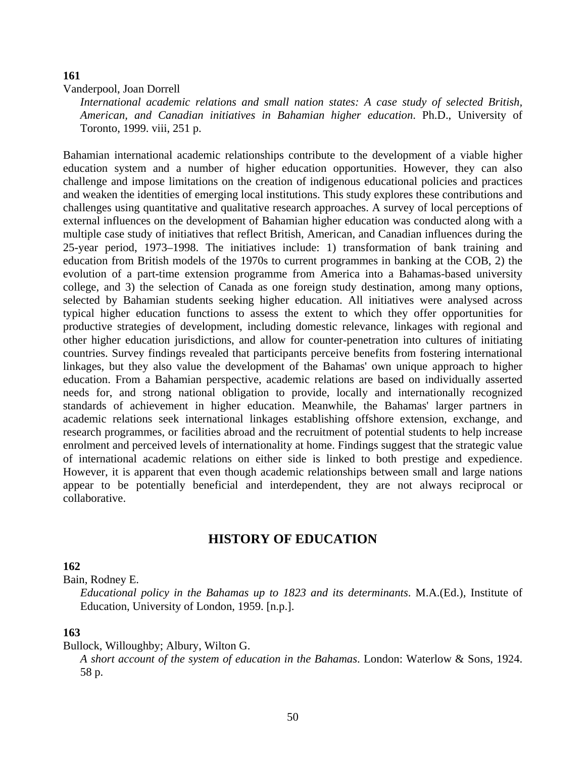Vanderpool, Joan Dorrell

*International academic relations and small nation states: A case study of selected British, American, and Canadian initiatives in Bahamian higher education*. Ph.D., University of Toronto, 1999. viii, 251 p.

Bahamian international academic relationships contribute to the development of a viable higher education system and a number of higher education opportunities. However, they can also challenge and impose limitations on the creation of indigenous educational policies and practices and weaken the identities of emerging local institutions. This study explores these contributions and challenges using quantitative and qualitative research approaches. A survey of local perceptions of external influences on the development of Bahamian higher education was conducted along with a multiple case study of initiatives that reflect British, American, and Canadian influences during the 25-year period, 1973–1998. The initiatives include: 1) transformation of bank training and education from British models of the 1970s to current programmes in banking at the COB, 2) the evolution of a part-time extension programme from America into a Bahamas-based university college, and 3) the selection of Canada as one foreign study destination, among many options, selected by Bahamian students seeking higher education. All initiatives were analysed across typical higher education functions to assess the extent to which they offer opportunities for productive strategies of development, including domestic relevance, linkages with regional and other higher education jurisdictions, and allow for counter-penetration into cultures of initiating countries. Survey findings revealed that participants perceive benefits from fostering international linkages, but they also value the development of the Bahamas' own unique approach to higher education. From a Bahamian perspective, academic relations are based on individually asserted needs for, and strong national obligation to provide, locally and internationally recognized standards of achievement in higher education. Meanwhile, the Bahamas' larger partners in academic relations seek international linkages establishing offshore extension, exchange, and research programmes, or facilities abroad and the recruitment of potential students to help increase enrolment and perceived levels of internationality at home. Findings suggest that the strategic value of international academic relations on either side is linked to both prestige and expedience. However, it is apparent that even though academic relationships between small and large nations appear to be potentially beneficial and interdependent, they are not always reciprocal or collaborative.

## **HISTORY OF EDUCATION**

#### **162**

Bain, Rodney E.

*Educational policy in the Bahamas up to 1823 and its determinants*. M.A.(Ed.), Institute of Education, University of London, 1959. [n.p.].

## **163**

Bullock, Willoughby; Albury, Wilton G.

*A short account of the system of education in the Bahamas*. London: Waterlow & Sons, 1924. 58 p.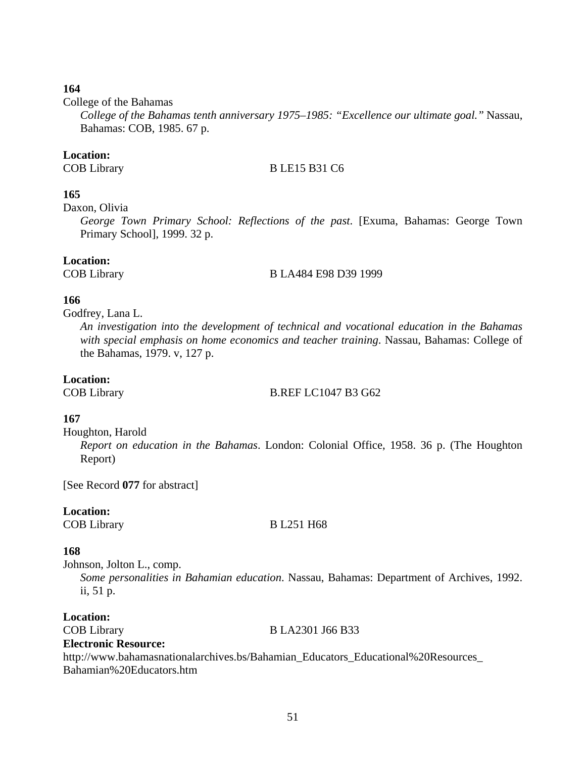College of the Bahamas

*College of the Bahamas tenth anniversary 1975–1985: "Excellence our ultimate goal."* Nassau, Bahamas: COB, 1985. 67 p.

## **Location:**

## COB Library B LE15 B31 C6

## **165**

Daxon, Olivia

*George Town Primary School: Reflections of the past*. [Exuma, Bahamas: George Town Primary School], 1999. 32 p.

## **Location:**

COB Library B LA484 E98 D39 1999

## **166**

Godfrey, Lana L.

*An investigation into the development of technical and vocational education in the Bahamas with special emphasis on home economics and teacher training*. Nassau, Bahamas: College of the Bahamas, 1979. v, 127 p.

## **Location:**

COB Library B.REF LC1047 B3 G62

## **167**

Houghton, Harold

*Report on education in the Bahamas*. London: Colonial Office, 1958. 36 p. (The Houghton Report)

[See Record **077** for abstract]

## **Location:**

COB Library B L251 H68

## **168**

Johnson, Jolton L., comp.

*Some personalities in Bahamian education*. Nassau, Bahamas: Department of Archives, 1992. ii, 51 p.

## **Location:**

COB Library B LA2301 J66 B33 **Electronic Resource:** http://www.bahamasnationalarchives.bs/Bahamian\_Educators\_Educational%20Resources\_ Bahamian%20Educators.htm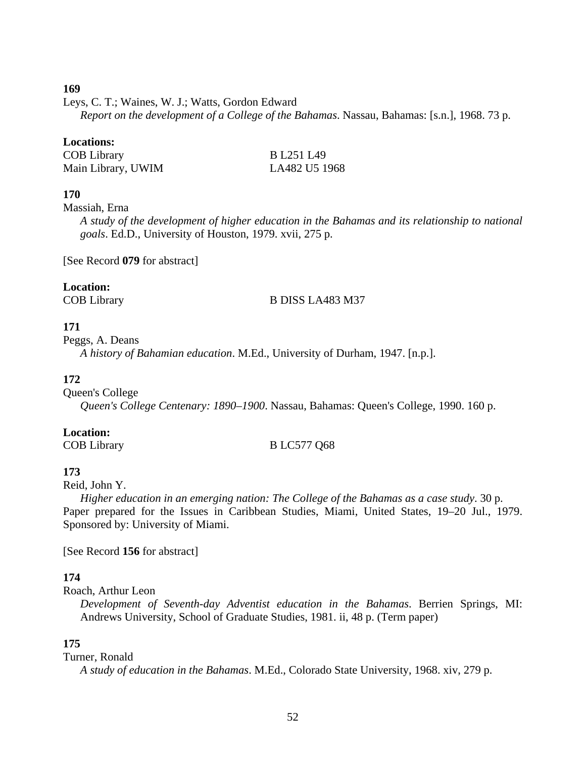Leys, C. T.; Waines, W. J.; Watts, Gordon Edward *Report on the development of a College of the Bahamas*. Nassau, Bahamas: [s.n.], 1968. 73 p.

# **Locations:**

| <b>COB</b> Library | B L251 L49    |
|--------------------|---------------|
| Main Library, UWIM | LA482 U5 1968 |

## **170**

Massiah, Erna

*A study of the development of higher education in the Bahamas and its relationship to national goals*. Ed.D., University of Houston, 1979. xvii, 275 p.

[See Record **079** for abstract]

## **Location:**

COB Library B DISS LA483 M37

## **171**

Peggs, A. Deans

*A history of Bahamian education*. M.Ed., University of Durham, 1947. [n.p.].

## **172**

Queen's College

*Queen's College Centenary: 1890–1900*. Nassau, Bahamas: Queen's College, 1990. 160 p.

## **Location:**

## COB Library B LC577 Q68

## **173**

Reid, John Y.

*Higher education in an emerging nation: The College of the Bahamas as a case study*. 30 p. Paper prepared for the Issues in Caribbean Studies, Miami, United States, 19–20 Jul., 1979. Sponsored by: University of Miami.

[See Record **156** for abstract]

## **174**

Roach, Arthur Leon

*Development of Seventh-day Adventist education in the Bahamas*. Berrien Springs, MI: Andrews University, School of Graduate Studies, 1981. ii, 48 p. (Term paper)

## **175**

#### Turner, Ronald

*A study of education in the Bahamas*. M.Ed., Colorado State University, 1968. xiv, 279 p.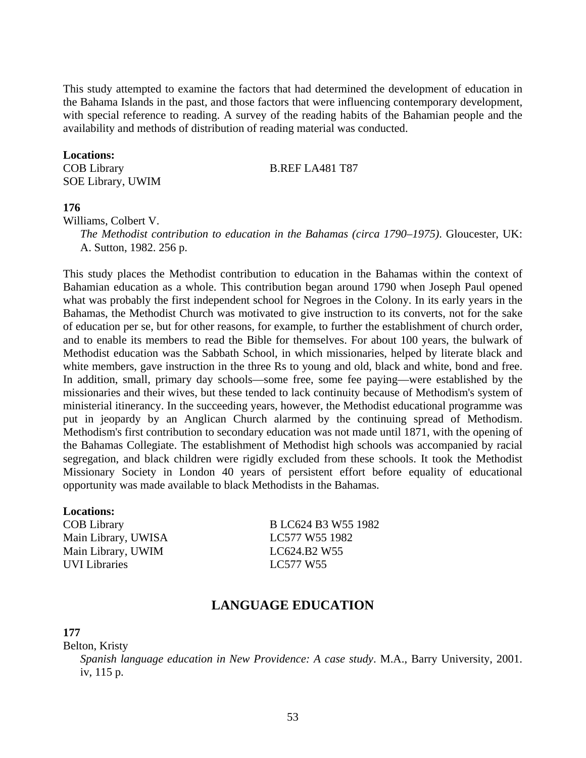This study attempted to examine the factors that had determined the development of education in the Bahama Islands in the past, and those factors that were influencing contemporary development, with special reference to reading. A survey of the reading habits of the Bahamian people and the availability and methods of distribution of reading material was conducted.

#### **Locations:**

COB Library B.REF LA481 T87 SOE Library, UWIM

#### **176**

Williams, Colbert V. *The Methodist contribution to education in the Bahamas (circa 1790–1975)*. Gloucester, UK: A. Sutton, 1982. 256 p.

This study places the Methodist contribution to education in the Bahamas within the context of Bahamian education as a whole. This contribution began around 1790 when Joseph Paul opened what was probably the first independent school for Negroes in the Colony. In its early years in the Bahamas, the Methodist Church was motivated to give instruction to its converts, not for the sake of education per se, but for other reasons, for example, to further the establishment of church order, and to enable its members to read the Bible for themselves. For about 100 years, the bulwark of Methodist education was the Sabbath School, in which missionaries, helped by literate black and white members, gave instruction in the three Rs to young and old, black and white, bond and free. In addition, small, primary day schools—some free, some fee paying—were established by the missionaries and their wives, but these tended to lack continuity because of Methodism's system of ministerial itinerancy. In the succeeding years, however, the Methodist educational programme was put in jeopardy by an Anglican Church alarmed by the continuing spread of Methodism. Methodism's first contribution to secondary education was not made until 1871, with the opening of the Bahamas Collegiate. The establishment of Methodist high schools was accompanied by racial segregation, and black children were rigidly excluded from these schools. It took the Methodist Missionary Society in London 40 years of persistent effort before equality of educational opportunity was made available to black Methodists in the Bahamas.

#### **Locations:**

Main Library, UWISA LC577 W55 1982 Main Library, UWIM LC624.B2 W55 UVI Libraries LC577 W55

COB Library B LC624 B3 W55 1982

# **LANGUAGE EDUCATION**

**177** 

Belton, Kristy

*Spanish language education in New Providence: A case study*. M.A., Barry University, 2001. iv, 115 p.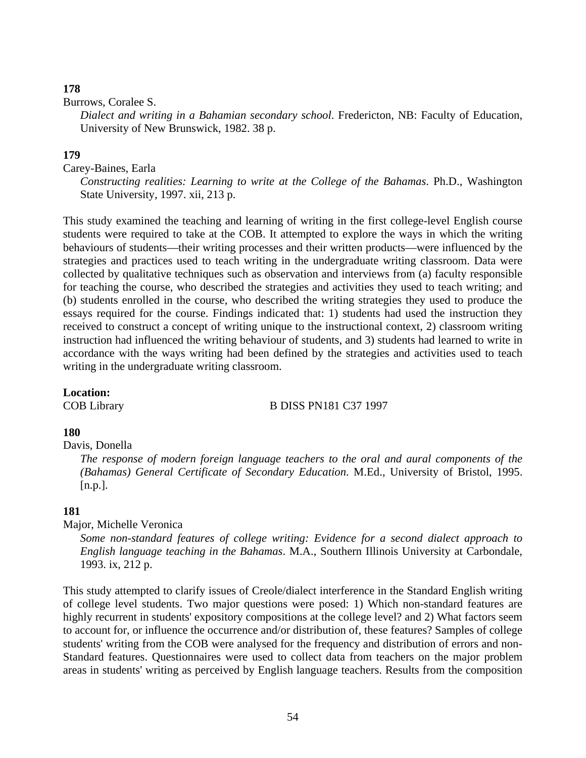Burrows, Coralee S.

*Dialect and writing in a Bahamian secondary school*. Fredericton, NB: Faculty of Education, University of New Brunswick, 1982. 38 p.

## **179**

Carey-Baines, Earla

*Constructing realities: Learning to write at the College of the Bahamas*. Ph.D., Washington State University, 1997. xii, 213 p.

This study examined the teaching and learning of writing in the first college-level English course students were required to take at the COB. It attempted to explore the ways in which the writing behaviours of students—their writing processes and their written products—were influenced by the strategies and practices used to teach writing in the undergraduate writing classroom. Data were collected by qualitative techniques such as observation and interviews from (a) faculty responsible for teaching the course, who described the strategies and activities they used to teach writing; and (b) students enrolled in the course, who described the writing strategies they used to produce the essays required for the course. Findings indicated that: 1) students had used the instruction they received to construct a concept of writing unique to the instructional context, 2) classroom writing instruction had influenced the writing behaviour of students, and 3) students had learned to write in accordance with the ways writing had been defined by the strategies and activities used to teach writing in the undergraduate writing classroom.

## **Location:**

COB Library B DISS PN181 C37 1997

## **180**

Davis, Donella

*The response of modern foreign language teachers to the oral and aural components of the (Bahamas) General Certificate of Secondary Education*. M.Ed., University of Bristol, 1995.  $[n.p.]$ .

## **181**

Major, Michelle Veronica

*Some non-standard features of college writing: Evidence for a second dialect approach to English language teaching in the Bahamas*. M.A., Southern Illinois University at Carbondale, 1993. ix, 212 p.

This study attempted to clarify issues of Creole/dialect interference in the Standard English writing of college level students. Two major questions were posed: 1) Which non-standard features are highly recurrent in students' expository compositions at the college level? and 2) What factors seem to account for, or influence the occurrence and/or distribution of, these features? Samples of college students' writing from the COB were analysed for the frequency and distribution of errors and non-Standard features. Questionnaires were used to collect data from teachers on the major problem areas in students' writing as perceived by English language teachers. Results from the composition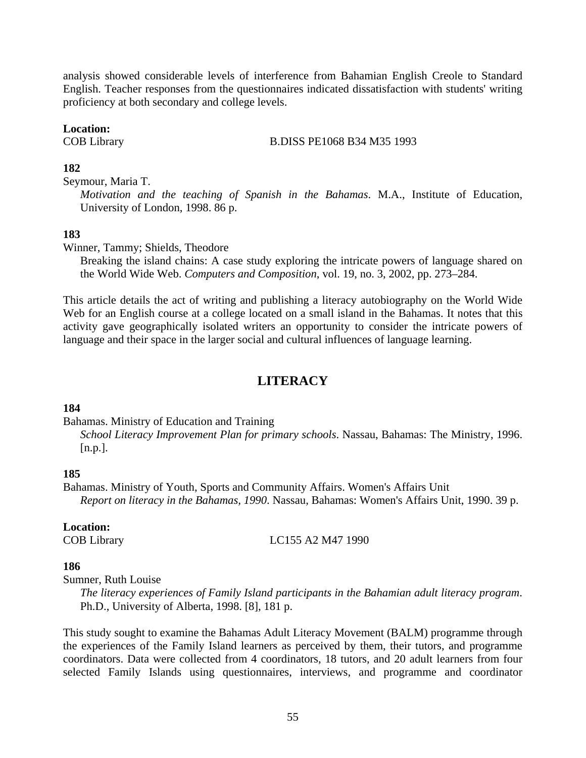analysis showed considerable levels of interference from Bahamian English Creole to Standard English. Teacher responses from the questionnaires indicated dissatisfaction with students' writing proficiency at both secondary and college levels.

#### **Location:**

#### COB Library B.DISS PE1068 B34 M35 1993

## **182**

Seymour, Maria T.

*Motivation and the teaching of Spanish in the Bahamas*. M.A., Institute of Education, University of London, 1998. 86 p.

#### **183**

Winner, Tammy; Shields, Theodore

Breaking the island chains: A case study exploring the intricate powers of language shared on the World Wide Web. *Computers and Composition*, vol. 19, no. 3, 2002, pp. 273–284.

This article details the act of writing and publishing a literacy autobiography on the World Wide Web for an English course at a college located on a small island in the Bahamas. It notes that this activity gave geographically isolated writers an opportunity to consider the intricate powers of language and their space in the larger social and cultural influences of language learning.

# **LITERACY**

#### **184**

Bahamas. Ministry of Education and Training

*School Literacy Improvement Plan for primary schools*. Nassau, Bahamas: The Ministry, 1996.  $[n.p.]$ .

## **185**

Bahamas. Ministry of Youth, Sports and Community Affairs. Women's Affairs Unit *Report on literacy in the Bahamas, 1990*. Nassau, Bahamas: Women's Affairs Unit, 1990. 39 p.

#### **Location:**

COB Library LC155 A2 M47 1990

#### **186**

Sumner, Ruth Louise

*The literacy experiences of Family Island participants in the Bahamian adult literacy program*. Ph.D., University of Alberta, 1998. [8], 181 p.

This study sought to examine the Bahamas Adult Literacy Movement (BALM) programme through the experiences of the Family Island learners as perceived by them, their tutors, and programme coordinators. Data were collected from 4 coordinators, 18 tutors, and 20 adult learners from four selected Family Islands using questionnaires, interviews, and programme and coordinator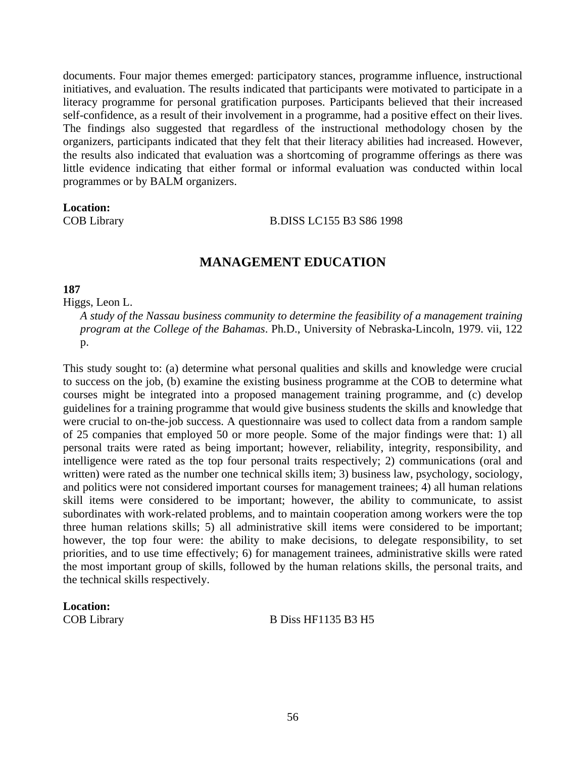documents. Four major themes emerged: participatory stances, programme influence, instructional initiatives, and evaluation. The results indicated that participants were motivated to participate in a literacy programme for personal gratification purposes. Participants believed that their increased self-confidence, as a result of their involvement in a programme, had a positive effect on their lives. The findings also suggested that regardless of the instructional methodology chosen by the organizers, participants indicated that they felt that their literacy abilities had increased. However, the results also indicated that evaluation was a shortcoming of programme offerings as there was little evidence indicating that either formal or informal evaluation was conducted within local programmes or by BALM organizers.

## **Location:**

COB Library B.DISS LC155 B3 S86 1998

# **MANAGEMENT EDUCATION**

#### **187**

Higgs, Leon L.

*A study of the Nassau business community to determine the feasibility of a management training program at the College of the Bahamas*. Ph.D., University of Nebraska-Lincoln, 1979. vii, 122 p.

This study sought to: (a) determine what personal qualities and skills and knowledge were crucial to success on the job, (b) examine the existing business programme at the COB to determine what courses might be integrated into a proposed management training programme, and (c) develop guidelines for a training programme that would give business students the skills and knowledge that were crucial to on-the-job success. A questionnaire was used to collect data from a random sample of 25 companies that employed 50 or more people. Some of the major findings were that: 1) all personal traits were rated as being important; however, reliability, integrity, responsibility, and intelligence were rated as the top four personal traits respectively; 2) communications (oral and written) were rated as the number one technical skills item; 3) business law, psychology, sociology, and politics were not considered important courses for management trainees; 4) all human relations skill items were considered to be important; however, the ability to communicate, to assist subordinates with work-related problems, and to maintain cooperation among workers were the top three human relations skills; 5) all administrative skill items were considered to be important; however, the top four were: the ability to make decisions, to delegate responsibility, to set priorities, and to use time effectively; 6) for management trainees, administrative skills were rated the most important group of skills, followed by the human relations skills, the personal traits, and the technical skills respectively.

#### **Location:**

COB Library B Diss HF1135 B3 H5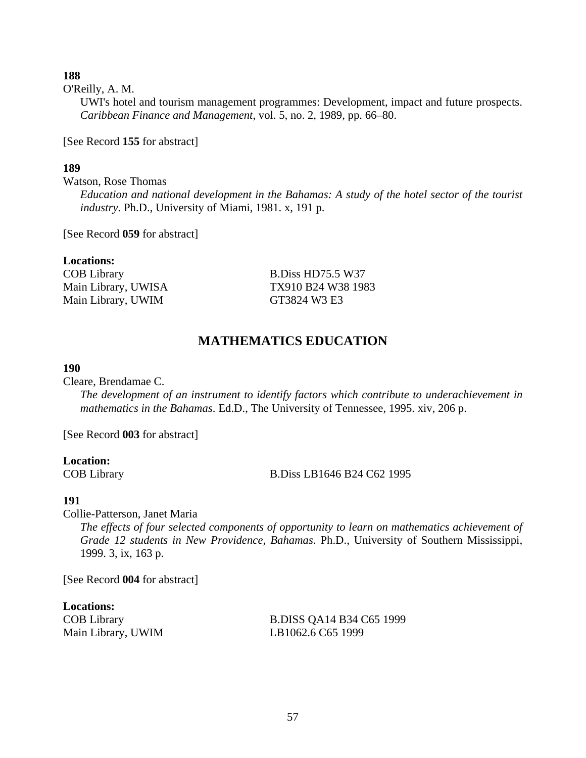O'Reilly, A. M.

UWI's hotel and tourism management programmes: Development, impact and future prospects. *Caribbean Finance and Management*, vol. 5, no. 2, 1989, pp. 66–80.

[See Record **155** for abstract]

#### **189**

Watson, Rose Thomas *Education and national development in the Bahamas: A study of the hotel sector of the tourist industry*. Ph.D., University of Miami, 1981. x, 191 p.

[See Record **059** for abstract]

#### **Locations:**

COB Library B.Diss HD75.5 W37 Main Library, UWISA TX910 B24 W38 1983 Main Library, UWIM GT3824 W3 E3

# **MATHEMATICS EDUCATION**

#### **190**

Cleare, Brendamae C.

*The development of an instrument to identify factors which contribute to underachievement in mathematics in the Bahamas*. Ed.D., The University of Tennessee, 1995. xiv, 206 p.

[See Record **003** for abstract]

#### **Location:**

COB Library B.Diss LB1646 B24 C62 1995

## **191**

Collie-Patterson, Janet Maria

*The effects of four selected components of opportunity to learn on mathematics achievement of Grade 12 students in New Providence, Bahamas*. Ph.D., University of Southern Mississippi, 1999. 3, ix, 163 p.

[See Record **004** for abstract]

**Locations:**  Main Library, UWIM LB1062.6 C65 1999

COB Library B.DISS QA14 B34 C65 1999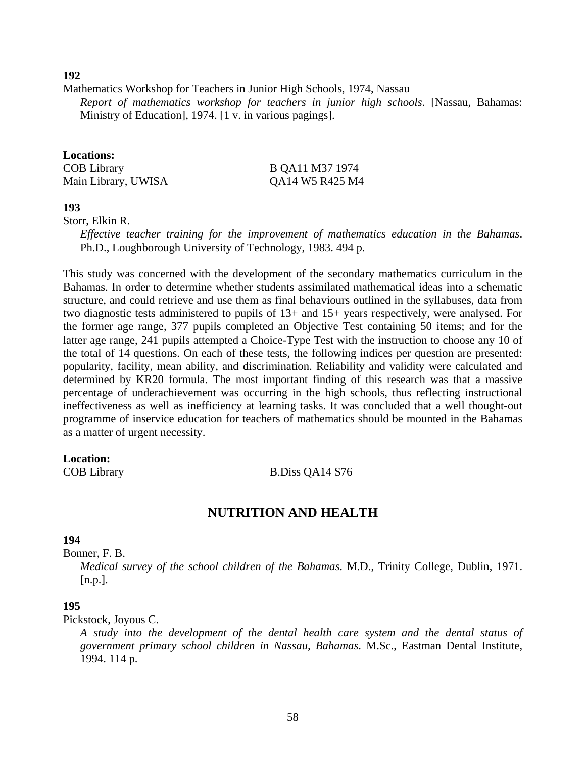Mathematics Workshop for Teachers in Junior High Schools, 1974, Nassau

*Report of mathematics workshop for teachers in junior high schools*. [Nassau, Bahamas: Ministry of Education], 1974. [1 v. in various pagings].

## **Locations:**

COB Library B QA11 M37 1974 Main Library, UWISA QA14 W5 R425 M4

## **193**

Storr, Elkin R.

*Effective teacher training for the improvement of mathematics education in the Bahamas*. Ph.D., Loughborough University of Technology, 1983. 494 p.

This study was concerned with the development of the secondary mathematics curriculum in the Bahamas. In order to determine whether students assimilated mathematical ideas into a schematic structure, and could retrieve and use them as final behaviours outlined in the syllabuses, data from two diagnostic tests administered to pupils of 13+ and 15+ years respectively, were analysed. For the former age range, 377 pupils completed an Objective Test containing 50 items; and for the latter age range, 241 pupils attempted a Choice-Type Test with the instruction to choose any 10 of the total of 14 questions. On each of these tests, the following indices per question are presented: popularity, facility, mean ability, and discrimination. Reliability and validity were calculated and determined by KR20 formula. The most important finding of this research was that a massive percentage of underachievement was occurring in the high schools, thus reflecting instructional ineffectiveness as well as inefficiency at learning tasks. It was concluded that a well thought-out programme of inservice education for teachers of mathematics should be mounted in the Bahamas as a matter of urgent necessity.

## **Location:**

COB Library B.Diss QA14 S76

# **NUTRITION AND HEALTH**

#### **194**

#### Bonner, F. B.

*Medical survey of the school children of the Bahamas*. M.D., Trinity College, Dublin, 1971.  $[n.p.]$ .

#### **195**

Pickstock, Joyous C.

*A study into the development of the dental health care system and the dental status of government primary school children in Nassau, Bahamas*. M.Sc., Eastman Dental Institute, 1994. 114 p.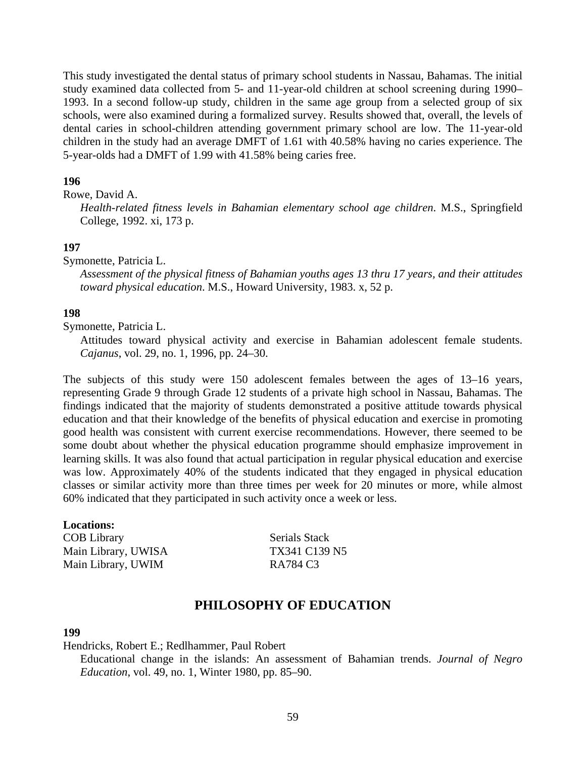This study investigated the dental status of primary school students in Nassau, Bahamas. The initial study examined data collected from 5- and 11-year-old children at school screening during 1990– 1993. In a second follow-up study, children in the same age group from a selected group of six schools, were also examined during a formalized survey. Results showed that, overall, the levels of dental caries in school-children attending government primary school are low. The 11-year-old children in the study had an average DMFT of 1.61 with 40.58% having no caries experience. The 5-year-olds had a DMFT of 1.99 with 41.58% being caries free.

#### **196**

Rowe, David A.

*Health-related fitness levels in Bahamian elementary school age children*. M.S., Springfield College, 1992. xi, 173 p.

#### **197**

Symonette, Patricia L.

*Assessment of the physical fitness of Bahamian youths ages 13 thru 17 years, and their attitudes toward physical education*. M.S., Howard University, 1983. x, 52 p.

#### **198**

Symonette, Patricia L.

Attitudes toward physical activity and exercise in Bahamian adolescent female students. *Cajanus*, vol. 29, no. 1, 1996, pp. 24–30.

The subjects of this study were 150 adolescent females between the ages of 13–16 years, representing Grade 9 through Grade 12 students of a private high school in Nassau, Bahamas. The findings indicated that the majority of students demonstrated a positive attitude towards physical education and that their knowledge of the benefits of physical education and exercise in promoting good health was consistent with current exercise recommendations. However, there seemed to be some doubt about whether the physical education programme should emphasize improvement in learning skills. It was also found that actual participation in regular physical education and exercise was low. Approximately 40% of the students indicated that they engaged in physical education classes or similar activity more than three times per week for 20 minutes or more, while almost 60% indicated that they participated in such activity once a week or less.

#### **Locations:**

COB Library Serials Stack Main Library, UWISA TX341 C139 N5 Main Library, UWIM RA784 C3

## **PHILOSOPHY OF EDUCATION**

#### **199**

Hendricks, Robert E.; Redlhammer, Paul Robert

Educational change in the islands: An assessment of Bahamian trends. *Journal of Negro Education*, vol. 49, no. 1, Winter 1980, pp. 85–90.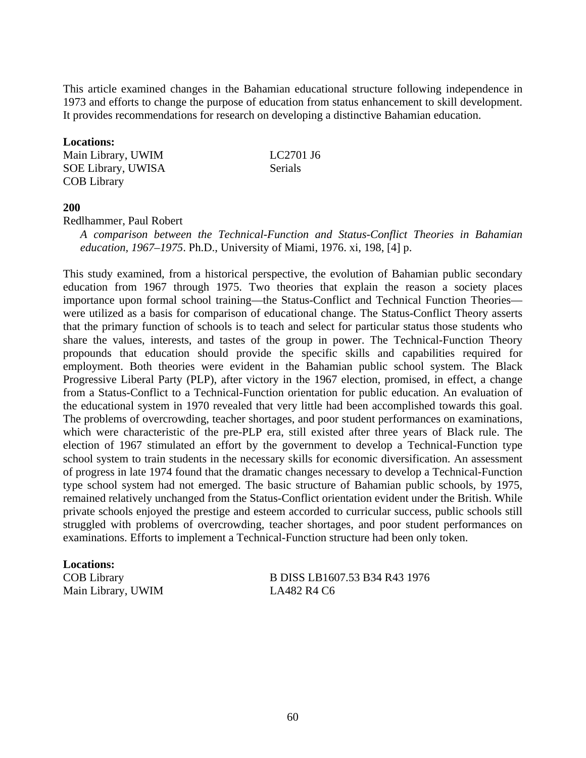This article examined changes in the Bahamian educational structure following independence in 1973 and efforts to change the purpose of education from status enhancement to skill development. It provides recommendations for research on developing a distinctive Bahamian education.

#### **Locations:**

Main Library, UWIM LC2701 J6 SOE Library, UWISA Serials COB Library

#### **200**

Redlhammer, Paul Robert

*A comparison between the Technical-Function and Status-Conflict Theories in Bahamian education, 1967–1975*. Ph.D., University of Miami, 1976. xi, 198, [4] p.

This study examined, from a historical perspective, the evolution of Bahamian public secondary education from 1967 through 1975. Two theories that explain the reason a society places importance upon formal school training—the Status-Conflict and Technical Function Theories were utilized as a basis for comparison of educational change. The Status-Conflict Theory asserts that the primary function of schools is to teach and select for particular status those students who share the values, interests, and tastes of the group in power. The Technical-Function Theory propounds that education should provide the specific skills and capabilities required for employment. Both theories were evident in the Bahamian public school system. The Black Progressive Liberal Party (PLP), after victory in the 1967 election, promised, in effect, a change from a Status-Conflict to a Technical-Function orientation for public education. An evaluation of the educational system in 1970 revealed that very little had been accomplished towards this goal. The problems of overcrowding, teacher shortages, and poor student performances on examinations, which were characteristic of the pre-PLP era, still existed after three years of Black rule. The election of 1967 stimulated an effort by the government to develop a Technical-Function type school system to train students in the necessary skills for economic diversification. An assessment of progress in late 1974 found that the dramatic changes necessary to develop a Technical-Function type school system had not emerged. The basic structure of Bahamian public schools, by 1975, remained relatively unchanged from the Status-Conflict orientation evident under the British. While private schools enjoyed the prestige and esteem accorded to curricular success, public schools still struggled with problems of overcrowding, teacher shortages, and poor student performances on examinations. Efforts to implement a Technical-Function structure had been only token.

**Locations:**  Main Library, UWIM LA482 R4 C6

COB Library B DISS LB1607.53 B34 R43 1976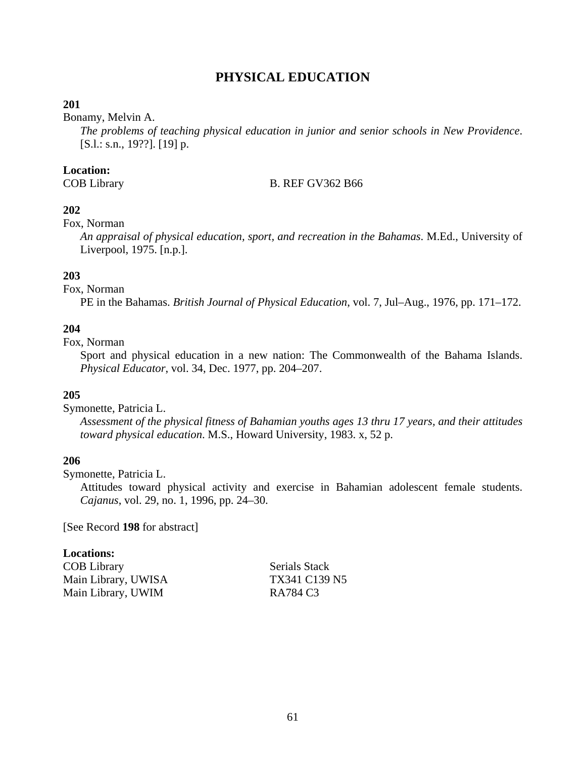# **PHYSICAL EDUCATION**

#### **201**

#### Bonamy, Melvin A.

*The problems of teaching physical education in junior and senior schools in New Providence*. [S.l.: s.n., 19??]. [19] p.

## **Location:**

#### COB Library B. REF GV362 B66

#### **202**

#### Fox, Norman

*An appraisal of physical education, sport, and recreation in the Bahamas*. M.Ed., University of Liverpool, 1975. [n.p.].

# **203**

#### Fox, Norman

PE in the Bahamas. *British Journal of Physical Education*, vol. 7, Jul–Aug., 1976, pp. 171–172.

## **204**

Fox, Norman

Sport and physical education in a new nation: The Commonwealth of the Bahama Islands. *Physical Educator*, vol. 34, Dec. 1977, pp. 204–207.

## **205**

#### Symonette, Patricia L.

*Assessment of the physical fitness of Bahamian youths ages 13 thru 17 years, and their attitudes toward physical education*. M.S., Howard University, 1983. x, 52 p.

#### **206**

Symonette, Patricia L.

Attitudes toward physical activity and exercise in Bahamian adolescent female students. *Cajanus*, vol. 29, no. 1, 1996, pp. 24–30.

[See Record **198** for abstract]

| <b>Locations:</b>   |                      |
|---------------------|----------------------|
| <b>COB</b> Library  | <b>Serials Stack</b> |
| Main Library, UWISA | TX341 C139 N5        |
| Main Library, UWIM  | RA784 C3             |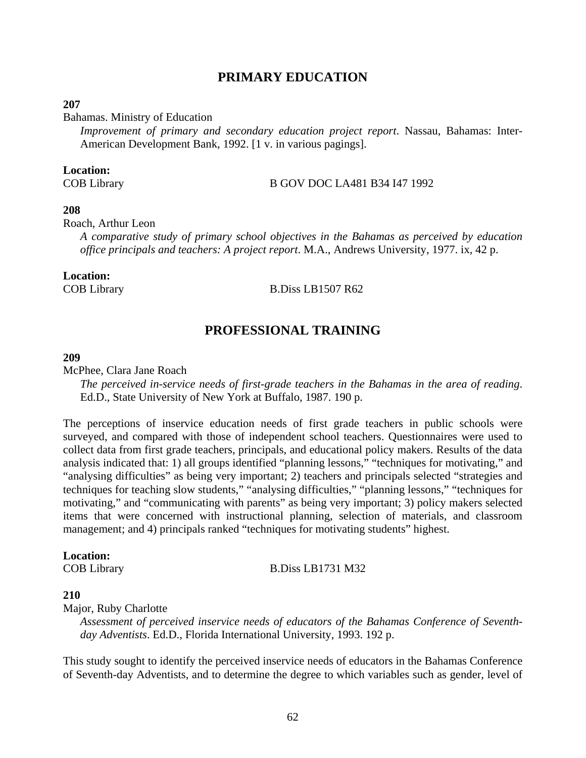# **PRIMARY EDUCATION**

#### **207**

Bahamas. Ministry of Education

*Improvement of primary and secondary education project report*. Nassau, Bahamas: Inter-American Development Bank, 1992. [1 v. in various pagings].

#### **Location:**

#### COB Library B GOV DOC LA481 B34 I47 1992

#### **208**

Roach, Arthur Leon

*A comparative study of primary school objectives in the Bahamas as perceived by education office principals and teachers: A project report*. M.A., Andrews University, 1977. ix, 42 p.

#### **Location:**

#### COB Library B.Diss LB1507 R62

## **PROFESSIONAL TRAINING**

#### **209**

McPhee, Clara Jane Roach

*The perceived in-service needs of first-grade teachers in the Bahamas in the area of reading*. Ed.D., State University of New York at Buffalo, 1987. 190 p.

The perceptions of inservice education needs of first grade teachers in public schools were surveyed, and compared with those of independent school teachers. Questionnaires were used to collect data from first grade teachers, principals, and educational policy makers. Results of the data analysis indicated that: 1) all groups identified "planning lessons," "techniques for motivating," and "analysing difficulties" as being very important; 2) teachers and principals selected "strategies and techniques for teaching slow students," "analysing difficulties," "planning lessons," "techniques for motivating," and "communicating with parents" as being very important; 3) policy makers selected items that were concerned with instructional planning, selection of materials, and classroom management; and 4) principals ranked "techniques for motivating students" highest.

#### **Location:**

COB Library B.Diss LB1731 M32

#### **210**

#### Major, Ruby Charlotte

*Assessment of perceived inservice needs of educators of the Bahamas Conference of Seventhday Adventists*. Ed.D., Florida International University, 1993. 192 p.

This study sought to identify the perceived inservice needs of educators in the Bahamas Conference of Seventh-day Adventists, and to determine the degree to which variables such as gender, level of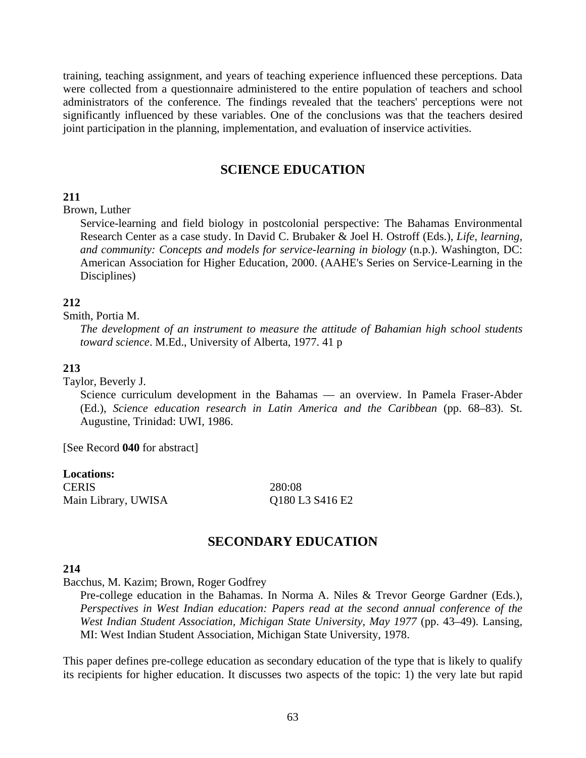training, teaching assignment, and years of teaching experience influenced these perceptions. Data were collected from a questionnaire administered to the entire population of teachers and school administrators of the conference. The findings revealed that the teachers' perceptions were not significantly influenced by these variables. One of the conclusions was that the teachers desired joint participation in the planning, implementation, and evaluation of inservice activities.

# **SCIENCE EDUCATION**

#### **211**

Brown, Luther

Service-learning and field biology in postcolonial perspective: The Bahamas Environmental Research Center as a case study. In David C. Brubaker & Joel H. Ostroff (Eds.), *Life, learning, and community: Concepts and models for service-learning in biology* (n.p.). Washington, DC: American Association for Higher Education, 2000. (AAHE's Series on Service-Learning in the Disciplines)

#### **212**

#### Smith, Portia M.

*The development of an instrument to measure the attitude of Bahamian high school students toward science*. M.Ed., University of Alberta, 1977. 41 p

## **213**

Taylor, Beverly J.

Science curriculum development in the Bahamas — an overview. In Pamela Fraser-Abder (Ed.), *Science education research in Latin America and the Caribbean* (pp. 68–83). St. Augustine, Trinidad: UWI, 1986.

[See Record **040** for abstract]

**Locations:**  CERIS 280:08 Main Library, UWISA Q180 L3 S416 E2

## **SECONDARY EDUCATION**

#### **214**

Bacchus, M. Kazim; Brown, Roger Godfrey

Pre-college education in the Bahamas. In Norma A. Niles & Trevor George Gardner (Eds.), *Perspectives in West Indian education: Papers read at the second annual conference of the West Indian Student Association, Michigan State University, May 1977* (pp. 43–49). Lansing, MI: West Indian Student Association, Michigan State University, 1978.

This paper defines pre-college education as secondary education of the type that is likely to qualify its recipients for higher education. It discusses two aspects of the topic: 1) the very late but rapid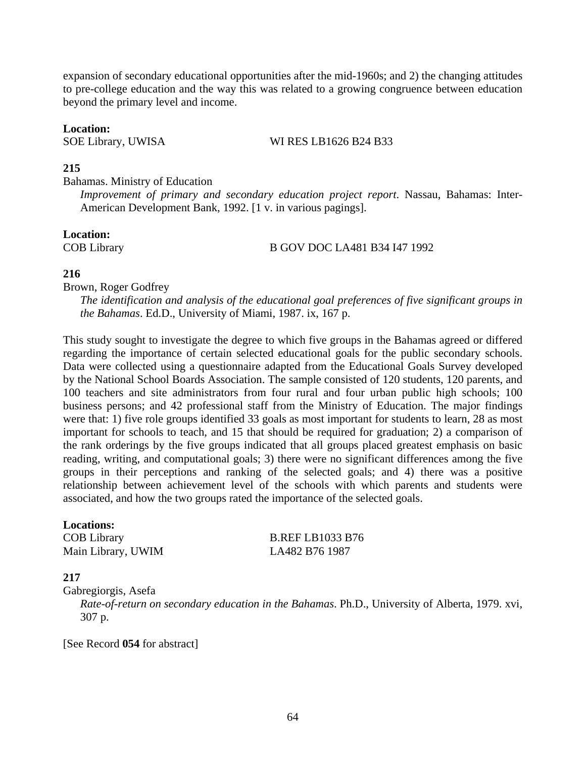expansion of secondary educational opportunities after the mid-1960s; and 2) the changing attitudes to pre-college education and the way this was related to a growing congruence between education beyond the primary level and income.

#### **Location:**

SOE Library, UWISA WI RES LB1626 B24 B33

## **215**

Bahamas. Ministry of Education

*Improvement of primary and secondary education project report*. Nassau, Bahamas: Inter-American Development Bank, 1992. [1 v. in various pagings].

#### **Location:**

#### COB Library B GOV DOC LA481 B34 I47 1992

## **216**

Brown, Roger Godfrey

*The identification and analysis of the educational goal preferences of five significant groups in the Bahamas*. Ed.D., University of Miami, 1987. ix, 167 p.

This study sought to investigate the degree to which five groups in the Bahamas agreed or differed regarding the importance of certain selected educational goals for the public secondary schools. Data were collected using a questionnaire adapted from the Educational Goals Survey developed by the National School Boards Association. The sample consisted of 120 students, 120 parents, and 100 teachers and site administrators from four rural and four urban public high schools; 100 business persons; and 42 professional staff from the Ministry of Education. The major findings were that: 1) five role groups identified 33 goals as most important for students to learn, 28 as most important for schools to teach, and 15 that should be required for graduation; 2) a comparison of the rank orderings by the five groups indicated that all groups placed greatest emphasis on basic reading, writing, and computational goals; 3) there were no significant differences among the five groups in their perceptions and ranking of the selected goals; and 4) there was a positive relationship between achievement level of the schools with which parents and students were associated, and how the two groups rated the importance of the selected goals.

#### **Locations:**

COB Library B.REF LB1033 B76 Main Library, UWIM LA482 B76 1987

## **217**

Gabregiorgis, Asefa

*Rate-of-return on secondary education in the Bahamas*. Ph.D., University of Alberta, 1979. xvi, 307 p.

[See Record **054** for abstract]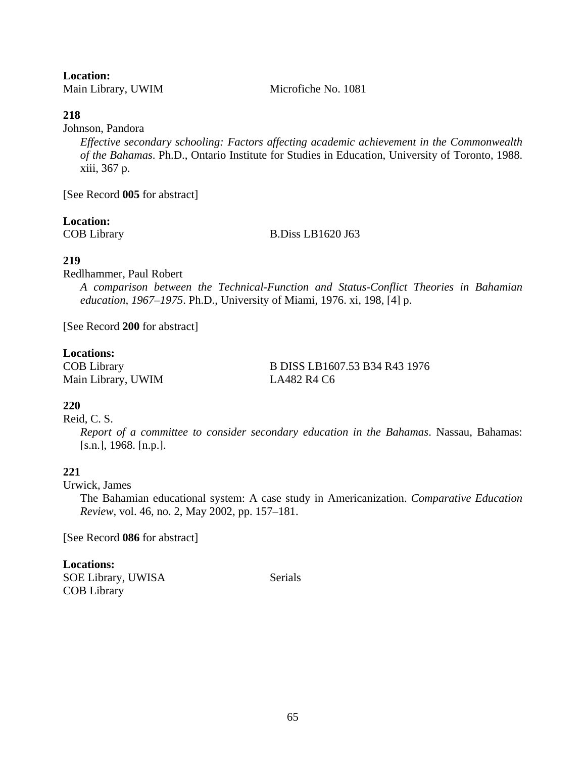## **Location:**

Main Library, UWIM Microfiche No. 1081

## **218**

Johnson, Pandora

*Effective secondary schooling: Factors affecting academic achievement in the Commonwealth of the Bahamas*. Ph.D., Ontario Institute for Studies in Education, University of Toronto, 1988. xiii, 367 p.

[See Record **005** for abstract]

**Location:** 

COB Library B.Diss LB1620 J63

## **219**

Redlhammer, Paul Robert

*A comparison between the Technical-Function and Status-Conflict Theories in Bahamian education, 1967–1975*. Ph.D., University of Miami, 1976. xi, 198, [4] p.

[See Record **200** for abstract]

# **Locations:**

Main Library, UWIM LA482 R4 C6

COB Library B DISS LB1607.53 B34 R43 1976

## **220**

## Reid, C. S.

*Report of a committee to consider secondary education in the Bahamas*. Nassau, Bahamas: [s.n.], 1968. [n.p.].

## **221**

Urwick, James

The Bahamian educational system: A case study in Americanization. *Comparative Education Review*, vol. 46, no. 2, May 2002, pp. 157–181.

[See Record **086** for abstract]

## **Locations:**

| SOE Library, UWISA |  |
|--------------------|--|
| <b>COB</b> Library |  |

Serials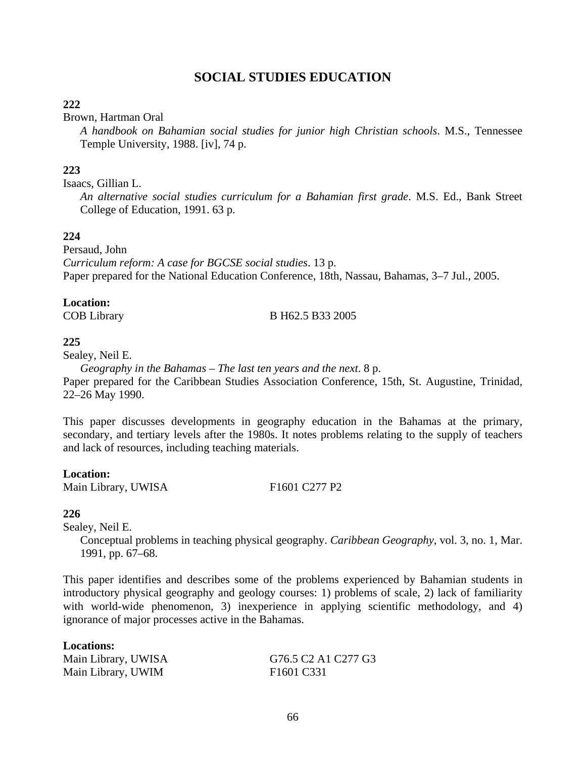# **SOCIAL STUDIES EDUCATION**

#### **222**

Brown, Hartman Oral

*A handbook on Bahamian social studies for junior high Christian schools*. M.S., Tennessee Temple University, 1988. [iv], 74 p.

## **223**

Isaacs, Gillian L.

*An alternative social studies curriculum for a Bahamian first grade*. M.S. Ed., Bank Street College of Education, 1991. 63 p.

## **224**

Persaud, John *Curriculum reform: A case for BGCSE social studies*. 13 p. Paper prepared for the National Education Conference, 18th, Nassau, Bahamas, 3–7 Jul., 2005.

## **Location:**

COB Library B H62.5 B33 2005

## **225**

Sealey, Neil E.

*Geography in the Bahamas – The last ten years and the next*. 8 p. Paper prepared for the Caribbean Studies Association Conference, 15th, St. Augustine, Trinidad, 22–26 May 1990.

This paper discusses developments in geography education in the Bahamas at the primary, secondary, and tertiary levels after the 1980s. It notes problems relating to the supply of teachers and lack of resources, including teaching materials.

## **Location:**

Main Library, UWISA F1601 C277 P2

## **226**

Sealey, Neil E.

Conceptual problems in teaching physical geography. *Caribbean Geography*, vol. 3, no. 1, Mar. 1991, pp. 67–68.

This paper identifies and describes some of the problems experienced by Bahamian students in introductory physical geography and geology courses: 1) problems of scale, 2) lack of familiarity with world-wide phenomenon, 3) inexperience in applying scientific methodology, and 4) ignorance of major processes active in the Bahamas.

| <b>Locations:</b>   |                                    |
|---------------------|------------------------------------|
| Main Library, UWISA | G76.5 C2 A1 C277 G3                |
| Main Library, UWIM  | F <sub>1601</sub> C <sub>331</sub> |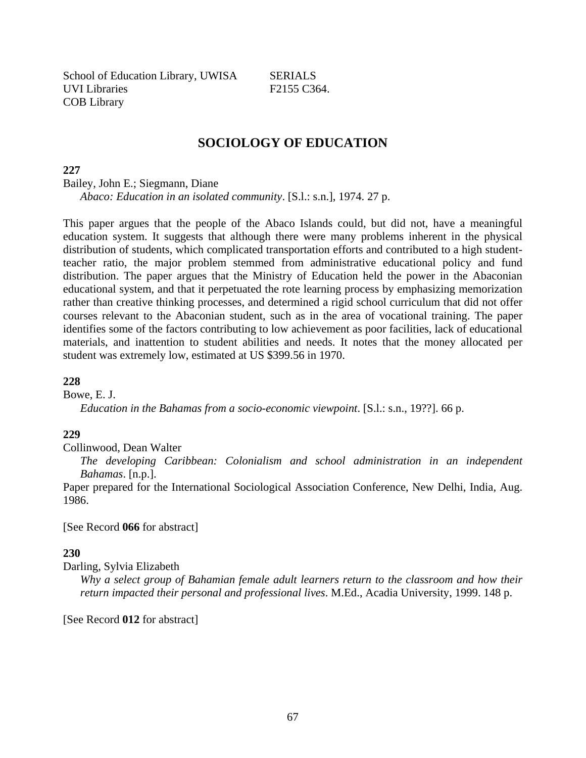<span id="page-72-0"></span>School of Education Library, UWISA SERIALS UVI Libraries F2155 C364. COB Library

# **SOCIOLOGY OF EDUCATION**

#### **227**

Bailey, John E.; Siegmann, Diane

*Abaco: Education in an isolated community*. [S.l.: s.n.], 1974. 27 p.

This paper argues that the people of the Abaco Islands could, but did not, have a meaningful education system. It suggests that although there were many problems inherent in the physical distribution of students, which complicated transportation efforts and contributed to a high studentteacher ratio, the major problem stemmed from administrative educational policy and fund distribution. The paper argues that the Ministry of Education held the power in the Abaconian educational system, and that it perpetuated the rote learning process by emphasizing memorization rather than creative thinking processes, and determined a rigid school curriculum that did not offer courses relevant to the Abaconian student, such as in the area of vocational training. The paper identifies some of the factors contributing to low achievement as poor facilities, lack of educational materials, and inattention to student abilities and needs. It notes that the money allocated per student was extremely low, estimated at US \$399.56 in 1970.

#### **228**

Bowe, E. J.

*Education in the Bahamas from a socio-economic viewpoint*. [S.l.: s.n., 19??]. 66 p.

#### **229**

Collinwood, Dean Walter

*The developing Caribbean: Colonialism and school administration in an independent Bahamas*. [n.p.].

Paper prepared for the International Sociological Association Conference, New Delhi, India, Aug. 1986.

[See Record **066** for abstract]

# **230**

Darling, Sylvia Elizabeth

*Why a select group of Bahamian female adult learners return to the classroom and how their return impacted their personal and professional lives*. M.Ed., Acadia University, 1999. 148 p.

[See Record **012** for abstract]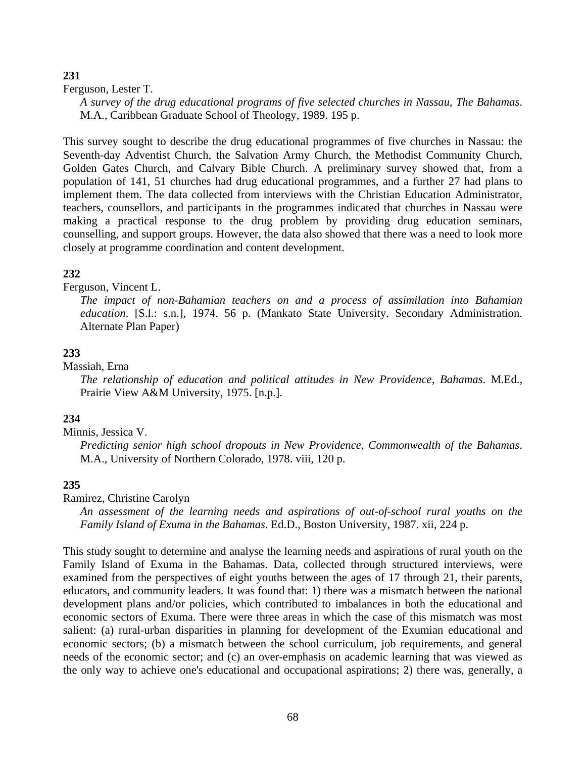Ferguson, Lester T.

*A survey of the drug educational programs of five selected churches in Nassau, The Bahamas*. M.A., Caribbean Graduate School of Theology, 1989. 195 p.

This survey sought to describe the drug educational programmes of five churches in Nassau: the Seventh-day Adventist Church, the Salvation Army Church, the Methodist Community Church, Golden Gates Church, and Calvary Bible Church. A preliminary survey showed that, from a population of 141, 51 churches had drug educational programmes, and a further 27 had plans to implement them. The data collected from interviews with the Christian Education Administrator, teachers, counsellors, and participants in the programmes indicated that churches in Nassau were making a practical response to the drug problem by providing drug education seminars, counselling, and support groups. However, the data also showed that there was a need to look more closely at programme coordination and content development.

# **232**

Ferguson, Vincent L.

*The impact of non-Bahamian teachers on and a process of assimilation into Bahamian education*. [S.l.: s.n.], 1974. 56 p. (Mankato State University. Secondary Administration. Alternate Plan Paper)

#### **233**

Massiah, Erna

*The relationship of education and political attitudes in New Providence, Bahamas*. M.Ed., Prairie View A&M University, 1975. [n.p.].

#### **234**

# Minnis, Jessica V.

*Predicting senior high school dropouts in New Providence, Commonwealth of the Bahamas*. M.A., University of Northern Colorado, 1978. viii, 120 p.

#### **235**

#### Ramirez, Christine Carolyn

*An assessment of the learning needs and aspirations of out-of-school rural youths on the Family Island of Exuma in the Bahamas*. Ed.D., Boston University, 1987. xii, 224 p.

This study sought to determine and analyse the learning needs and aspirations of rural youth on the Family Island of Exuma in the Bahamas. Data, collected through structured interviews, were examined from the perspectives of eight youths between the ages of 17 through 21, their parents, educators, and community leaders. It was found that: 1) there was a mismatch between the national development plans and/or policies, which contributed to imbalances in both the educational and economic sectors of Exuma. There were three areas in which the case of this mismatch was most salient: (a) rural-urban disparities in planning for development of the Exumian educational and economic sectors; (b) a mismatch between the school curriculum, job requirements, and general needs of the economic sector; and (c) an over-emphasis on academic learning that was viewed as the only way to achieve one's educational and occupational aspirations; 2) there was, generally, a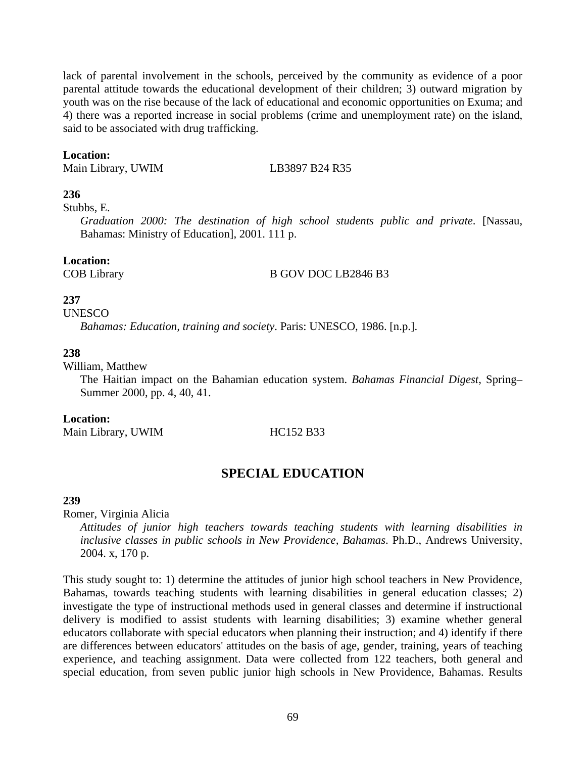<span id="page-74-0"></span>lack of parental involvement in the schools, perceived by the community as evidence of a poor parental attitude towards the educational development of their children; 3) outward migration by youth was on the rise because of the lack of educational and economic opportunities on Exuma; and 4) there was a reported increase in social problems (crime and unemployment rate) on the island, said to be associated with drug trafficking.

#### **Location:**

Main Library, UWIM LB3897 B24 R35

#### **236**

Stubbs, E.

*Graduation 2000: The destination of high school students public and private*. [Nassau, Bahamas: Ministry of Education], 2001. 111 p.

#### **Location:**

COB Library B GOV DOC LB2846 B3

#### **237**

# **UNESCO**

*Bahamas: Education, training and society*. Paris: UNESCO, 1986. [n.p.].

#### **238**

William, Matthew

The Haitian impact on the Bahamian education system. *Bahamas Financial Digest*, Spring– Summer 2000, pp. 4, 40, 41.

#### **Location:**

Main Library, UWIM HC152 B33

# **SPECIAL EDUCATION**

#### **239**

Romer, Virginia Alicia

*Attitudes of junior high teachers towards teaching students with learning disabilities in inclusive classes in public schools in New Providence, Bahamas*. Ph.D., Andrews University, 2004. x, 170 p.

This study sought to: 1) determine the attitudes of junior high school teachers in New Providence, Bahamas, towards teaching students with learning disabilities in general education classes; 2) investigate the type of instructional methods used in general classes and determine if instructional delivery is modified to assist students with learning disabilities; 3) examine whether general educators collaborate with special educators when planning their instruction; and 4) identify if there are differences between educators' attitudes on the basis of age, gender, training, years of teaching experience, and teaching assignment. Data were collected from 122 teachers, both general and special education, from seven public junior high schools in New Providence, Bahamas. Results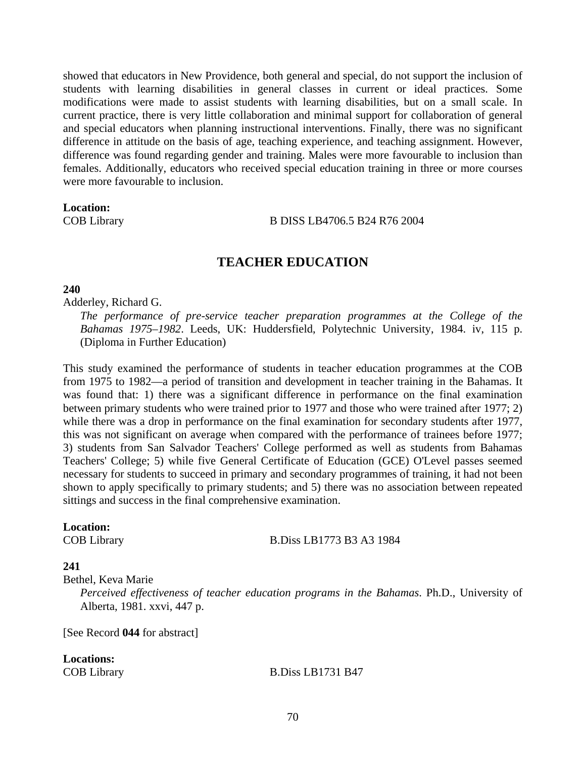<span id="page-75-0"></span>showed that educators in New Providence, both general and special, do not support the inclusion of students with learning disabilities in general classes in current or ideal practices. Some modifications were made to assist students with learning disabilities, but on a small scale. In current practice, there is very little collaboration and minimal support for collaboration of general and special educators when planning instructional interventions. Finally, there was no significant difference in attitude on the basis of age, teaching experience, and teaching assignment. However, difference was found regarding gender and training. Males were more favourable to inclusion than females. Additionally, educators who received special education training in three or more courses were more favourable to inclusion.

# **Location:**

COB Library B DISS LB4706.5 B24 R76 2004

# **TEACHER EDUCATION**

# **240**

Adderley, Richard G.

*The performance of pre-service teacher preparation programmes at the College of the Bahamas 1975–1982*. Leeds, UK: Huddersfield, Polytechnic University, 1984. iv, 115 p. (Diploma in Further Education)

This study examined the performance of students in teacher education programmes at the COB from 1975 to 1982—a period of transition and development in teacher training in the Bahamas. It was found that: 1) there was a significant difference in performance on the final examination between primary students who were trained prior to 1977 and those who were trained after 1977; 2) while there was a drop in performance on the final examination for secondary students after 1977, this was not significant on average when compared with the performance of trainees before 1977; 3) students from San Salvador Teachers' College performed as well as students from Bahamas Teachers' College; 5) while five General Certificate of Education (GCE) O'Level passes seemed necessary for students to succeed in primary and secondary programmes of training, it had not been shown to apply specifically to primary students; and 5) there was no association between repeated sittings and success in the final comprehensive examination.

# **Location:**

COB Library B.Diss LB1773 B3 A3 1984

# **241**

Bethel, Keva Marie

*Perceived effectiveness of teacher education programs in the Bahamas*. Ph.D., University of Alberta, 1981. xxvi, 447 p.

[See Record **044** for abstract]

**Locations:** 

COB Library B.Diss LB1731 B47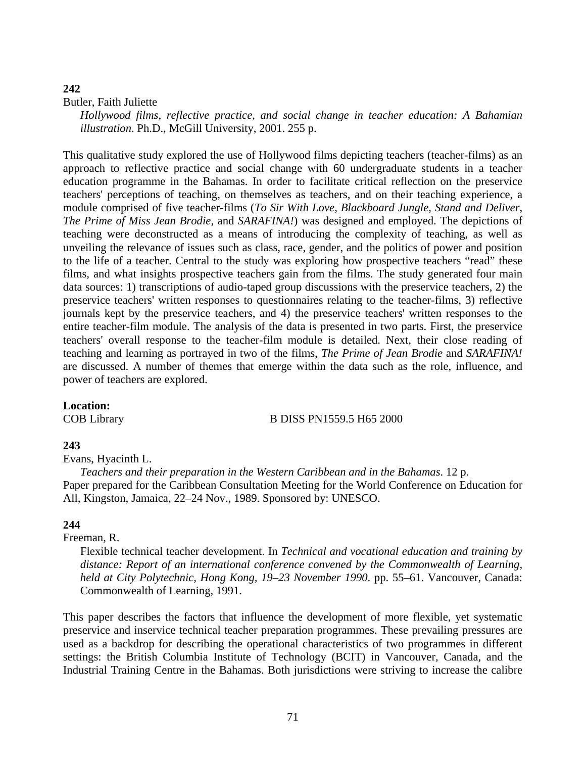Butler, Faith Juliette

*Hollywood films, reflective practice, and social change in teacher education: A Bahamian illustration*. Ph.D., McGill University, 2001. 255 p.

This qualitative study explored the use of Hollywood films depicting teachers (teacher-films) as an approach to reflective practice and social change with 60 undergraduate students in a teacher education programme in the Bahamas. In order to facilitate critical reflection on the preservice teachers' perceptions of teaching, on themselves as teachers, and on their teaching experience, a module comprised of five teacher-films (*To Sir With Love*, *Blackboard Jungle*, *Stand and Deliver*, *The Prime of Miss Jean Brodie*, and *SARAFINA!*) was designed and employed. The depictions of teaching were deconstructed as a means of introducing the complexity of teaching, as well as unveiling the relevance of issues such as class, race, gender, and the politics of power and position to the life of a teacher. Central to the study was exploring how prospective teachers "read" these films, and what insights prospective teachers gain from the films. The study generated four main data sources: 1) transcriptions of audio-taped group discussions with the preservice teachers, 2) the preservice teachers' written responses to questionnaires relating to the teacher-films, 3) reflective journals kept by the preservice teachers, and 4) the preservice teachers' written responses to the entire teacher-film module. The analysis of the data is presented in two parts. First, the preservice teachers' overall response to the teacher-film module is detailed. Next, their close reading of teaching and learning as portrayed in two of the films, *The Prime of Jean Brodie* and *SARAFINA!* are discussed. A number of themes that emerge within the data such as the role, influence, and power of teachers are explored.

#### **Location:**

COB Library B DISS PN1559.5 H65 2000

#### **243**

Evans, Hyacinth L.

*Teachers and their preparation in the Western Caribbean and in the Bahamas*. 12 p. Paper prepared for the Caribbean Consultation Meeting for the World Conference on Education for All, Kingston, Jamaica, 22–24 Nov., 1989. Sponsored by: UNESCO.

#### **244**

#### Freeman, R.

Flexible technical teacher development. In *Technical and vocational education and training by distance: Report of an international conference convened by the Commonwealth of Learning, held at City Polytechnic, Hong Kong, 19–23 November 1990*. pp. 55–61. Vancouver, Canada: Commonwealth of Learning, 1991.

This paper describes the factors that influence the development of more flexible, yet systematic preservice and inservice technical teacher preparation programmes. These prevailing pressures are used as a backdrop for describing the operational characteristics of two programmes in different settings: the British Columbia Institute of Technology (BCIT) in Vancouver, Canada, and the Industrial Training Centre in the Bahamas. Both jurisdictions were striving to increase the calibre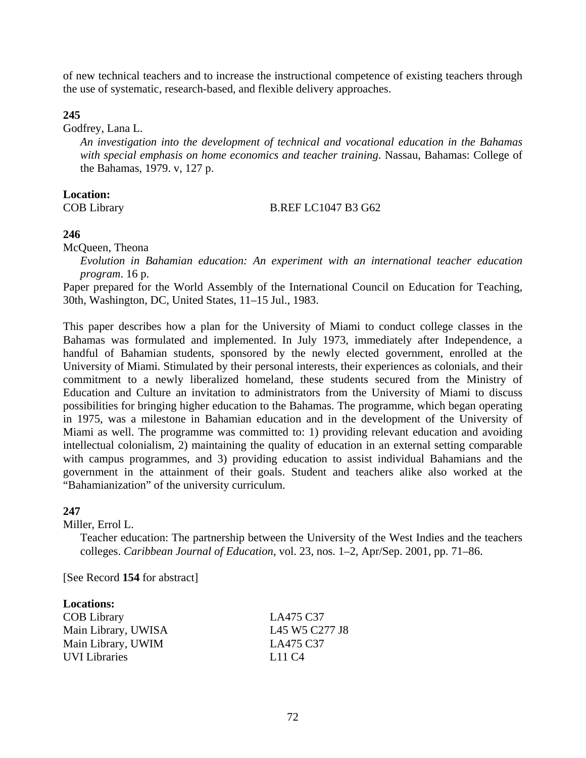of new technical teachers and to increase the instructional competence of existing teachers through the use of systematic, research-based, and flexible delivery approaches.

# **245**

Godfrey, Lana L.

*An investigation into the development of technical and vocational education in the Bahamas with special emphasis on home economics and teacher training*. Nassau, Bahamas: College of the Bahamas, 1979. v, 127 p.

# **Location:**

#### COB Library B.REF LC1047 B3 G62

#### **246**

McQueen, Theona

*Evolution in Bahamian education: An experiment with an international teacher education program*. 16 p.

Paper prepared for the World Assembly of the International Council on Education for Teaching, 30th, Washington, DC, United States, 11–15 Jul., 1983.

This paper describes how a plan for the University of Miami to conduct college classes in the Bahamas was formulated and implemented. In July 1973, immediately after Independence, a handful of Bahamian students, sponsored by the newly elected government, enrolled at the University of Miami. Stimulated by their personal interests, their experiences as colonials, and their commitment to a newly liberalized homeland, these students secured from the Ministry of Education and Culture an invitation to administrators from the University of Miami to discuss possibilities for bringing higher education to the Bahamas. The programme, which began operating in 1975, was a milestone in Bahamian education and in the development of the University of Miami as well. The programme was committed to: 1) providing relevant education and avoiding intellectual colonialism, 2) maintaining the quality of education in an external setting comparable with campus programmes, and 3) providing education to assist individual Bahamians and the government in the attainment of their goals. Student and teachers alike also worked at the "Bahamianization" of the university curriculum.

# **247**

Miller, Errol L.

Teacher education: The partnership between the University of the West Indies and the teachers colleges. *Caribbean Journal of Education*, vol. 23, nos. 1–2, Apr/Sep. 2001, pp. 71–86.

[See Record **154** for abstract]

# **Locations:**

| LA475 C37                                                      |
|----------------------------------------------------------------|
| L <sub>45</sub> W <sub>5</sub> C <sub>277</sub> J <sub>8</sub> |
| LA475 C37                                                      |
| L11 C4                                                         |
|                                                                |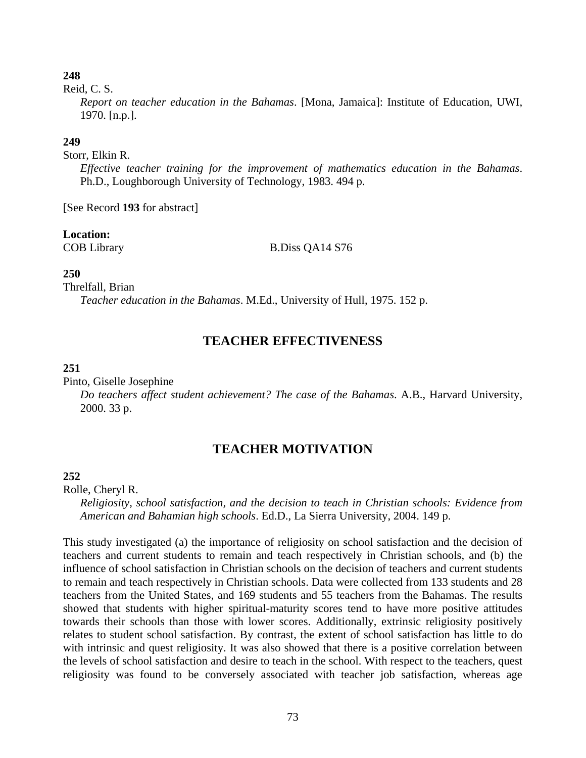<span id="page-78-0"></span>Reid, C. S.

*Report on teacher education in the Bahamas*. [Mona, Jamaica]: Institute of Education, UWI, 1970. [n.p.].

# **249**

Storr, Elkin R.

*Effective teacher training for the improvement of mathematics education in the Bahamas*. Ph.D., Loughborough University of Technology, 1983. 494 p.

[See Record **193** for abstract]

**Location:** 

COB Library B.Diss QA14 S76

#### **250**

Threlfall, Brian

*Teacher education in the Bahamas*. M.Ed., University of Hull, 1975. 152 p.

# **TEACHER EFFECTIVENESS**

#### **251**

Pinto, Giselle Josephine

*Do teachers affect student achievement? The case of the Bahamas*. A.B., Harvard University, 2000. 33 p.

# **TEACHER MOTIVATION**

#### **252**

Rolle, Cheryl R.

*Religiosity, school satisfaction, and the decision to teach in Christian schools: Evidence from American and Bahamian high schools*. Ed.D., La Sierra University, 2004. 149 p.

This study investigated (a) the importance of religiosity on school satisfaction and the decision of teachers and current students to remain and teach respectively in Christian schools, and (b) the influence of school satisfaction in Christian schools on the decision of teachers and current students to remain and teach respectively in Christian schools. Data were collected from 133 students and 28 teachers from the United States, and 169 students and 55 teachers from the Bahamas. The results showed that students with higher spiritual-maturity scores tend to have more positive attitudes towards their schools than those with lower scores. Additionally, extrinsic religiosity positively relates to student school satisfaction. By contrast, the extent of school satisfaction has little to do with intrinsic and quest religiosity. It was also showed that there is a positive correlation between the levels of school satisfaction and desire to teach in the school. With respect to the teachers, quest religiosity was found to be conversely associated with teacher job satisfaction, whereas age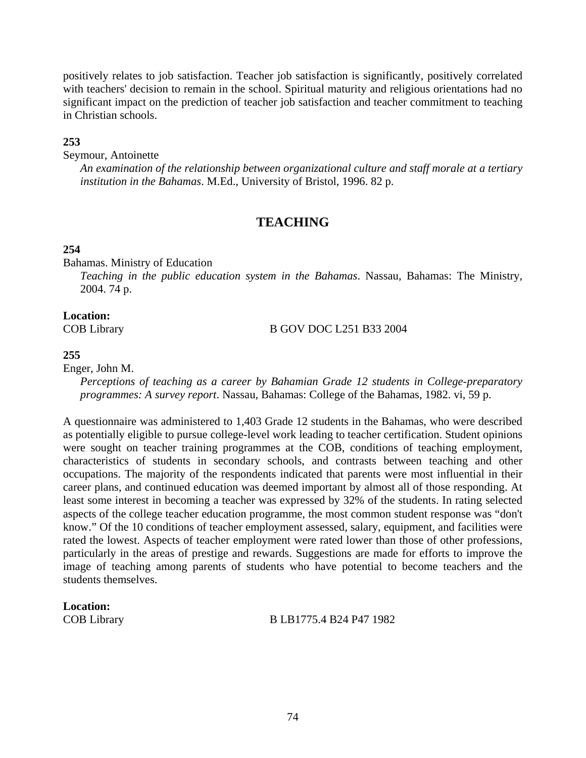<span id="page-79-0"></span>positively relates to job satisfaction. Teacher job satisfaction is significantly, positively correlated with teachers' decision to remain in the school. Spiritual maturity and religious orientations had no significant impact on the prediction of teacher job satisfaction and teacher commitment to teaching in Christian schools.

# **253**

Seymour, Antoinette

*An examination of the relationship between organizational culture and staff morale at a tertiary institution in the Bahamas*. M.Ed., University of Bristol, 1996. 82 p.

# **TEACHING**

# **254**

Bahamas. Ministry of Education

*Teaching in the public education system in the Bahamas*. Nassau, Bahamas: The Ministry, 2004. 74 p.

# **Location:**

COB Library B GOV DOC L251 B33 2004

#### **255**

Enger, John M.

*Perceptions of teaching as a career by Bahamian Grade 12 students in College-preparatory programmes: A survey report*. Nassau, Bahamas: College of the Bahamas, 1982. vi, 59 p.

A questionnaire was administered to 1,403 Grade 12 students in the Bahamas, who were described as potentially eligible to pursue college-level work leading to teacher certification. Student opinions were sought on teacher training programmes at the COB, conditions of teaching employment, characteristics of students in secondary schools, and contrasts between teaching and other occupations. The majority of the respondents indicated that parents were most influential in their career plans, and continued education was deemed important by almost all of those responding. At least some interest in becoming a teacher was expressed by 32% of the students. In rating selected aspects of the college teacher education programme, the most common student response was "don't know." Of the 10 conditions of teacher employment assessed, salary, equipment, and facilities were rated the lowest. Aspects of teacher employment were rated lower than those of other professions, particularly in the areas of prestige and rewards. Suggestions are made for efforts to improve the image of teaching among parents of students who have potential to become teachers and the students themselves.

#### **Location:**

COB Library B LB1775.4 B24 P47 1982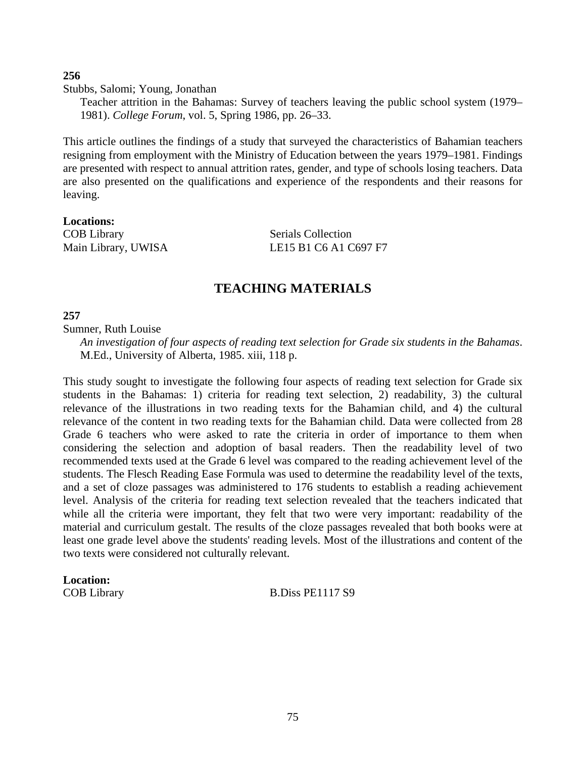<span id="page-80-0"></span>Stubbs, Salomi; Young, Jonathan

Teacher attrition in the Bahamas: Survey of teachers leaving the public school system (1979– 1981). *College Forum*, vol. 5, Spring 1986, pp. 26–33.

This article outlines the findings of a study that surveyed the characteristics of Bahamian teachers resigning from employment with the Ministry of Education between the years 1979–1981. Findings are presented with respect to annual attrition rates, gender, and type of schools losing teachers. Data are also presented on the qualifications and experience of the respondents and their reasons for leaving.

**Locations:**  COB Library Serials Collection

Main Library, UWISA LE15 B1 C6 A1 C697 F7

# **TEACHING MATERIALS**

# **257**

Sumner, Ruth Louise

*An investigation of four aspects of reading text selection for Grade six students in the Bahamas*. M.Ed., University of Alberta, 1985. xiii, 118 p.

This study sought to investigate the following four aspects of reading text selection for Grade six students in the Bahamas: 1) criteria for reading text selection, 2) readability, 3) the cultural relevance of the illustrations in two reading texts for the Bahamian child, and 4) the cultural relevance of the content in two reading texts for the Bahamian child. Data were collected from 28 Grade 6 teachers who were asked to rate the criteria in order of importance to them when considering the selection and adoption of basal readers. Then the readability level of two recommended texts used at the Grade 6 level was compared to the reading achievement level of the students. The Flesch Reading Ease Formula was used to determine the readability level of the texts, and a set of cloze passages was administered to 176 students to establish a reading achievement level. Analysis of the criteria for reading text selection revealed that the teachers indicated that while all the criteria were important, they felt that two were very important: readability of the material and curriculum gestalt. The results of the cloze passages revealed that both books were at least one grade level above the students' reading levels. Most of the illustrations and content of the two texts were considered not culturally relevant.

# **Location:**

COB Library B.Diss PE1117 S9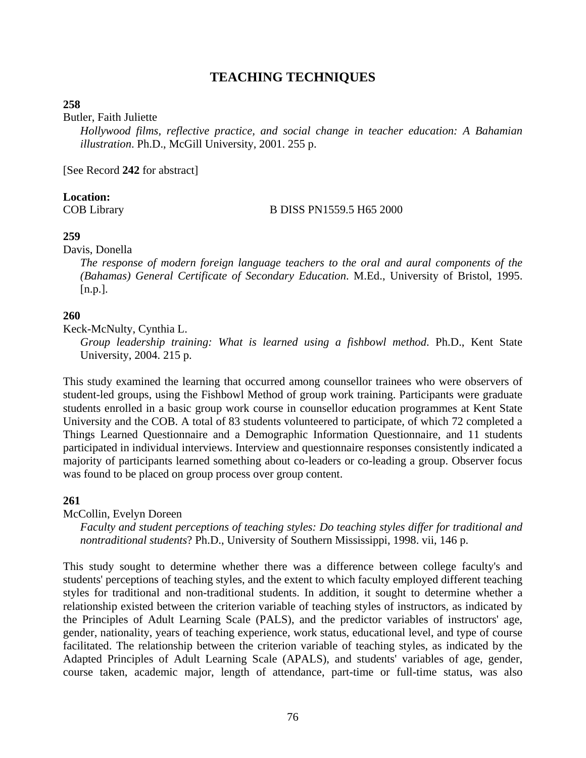# **TEACHING TECHNIQUES**

#### <span id="page-81-0"></span>**258**

Butler, Faith Juliette

*Hollywood films, reflective practice, and social change in teacher education: A Bahamian illustration*. Ph.D., McGill University, 2001. 255 p.

[See Record **242** for abstract]

#### **Location:**

COB Library B DISS PN1559.5 H65 2000

#### **259**

Davis, Donella

*The response of modern foreign language teachers to the oral and aural components of the (Bahamas) General Certificate of Secondary Education*. M.Ed., University of Bristol, 1995.  $[n.p.].$ 

#### **260**

Keck-McNulty, Cynthia L.

*Group leadership training: What is learned using a fishbowl method*. Ph.D., Kent State University, 2004. 215 p.

This study examined the learning that occurred among counsellor trainees who were observers of student-led groups, using the Fishbowl Method of group work training. Participants were graduate students enrolled in a basic group work course in counsellor education programmes at Kent State University and the COB. A total of 83 students volunteered to participate, of which 72 completed a Things Learned Questionnaire and a Demographic Information Questionnaire, and 11 students participated in individual interviews. Interview and questionnaire responses consistently indicated a majority of participants learned something about co-leaders or co-leading a group. Observer focus was found to be placed on group process over group content.

# **261**

McCollin, Evelyn Doreen

*Faculty and student perceptions of teaching styles: Do teaching styles differ for traditional and nontraditional students*? Ph.D., University of Southern Mississippi, 1998. vii, 146 p.

This study sought to determine whether there was a difference between college faculty's and students' perceptions of teaching styles, and the extent to which faculty employed different teaching styles for traditional and non-traditional students. In addition, it sought to determine whether a relationship existed between the criterion variable of teaching styles of instructors, as indicated by the Principles of Adult Learning Scale (PALS), and the predictor variables of instructors' age, gender, nationality, years of teaching experience, work status, educational level, and type of course facilitated. The relationship between the criterion variable of teaching styles, as indicated by the Adapted Principles of Adult Learning Scale (APALS), and students' variables of age, gender, course taken, academic major, length of attendance, part-time or full-time status, was also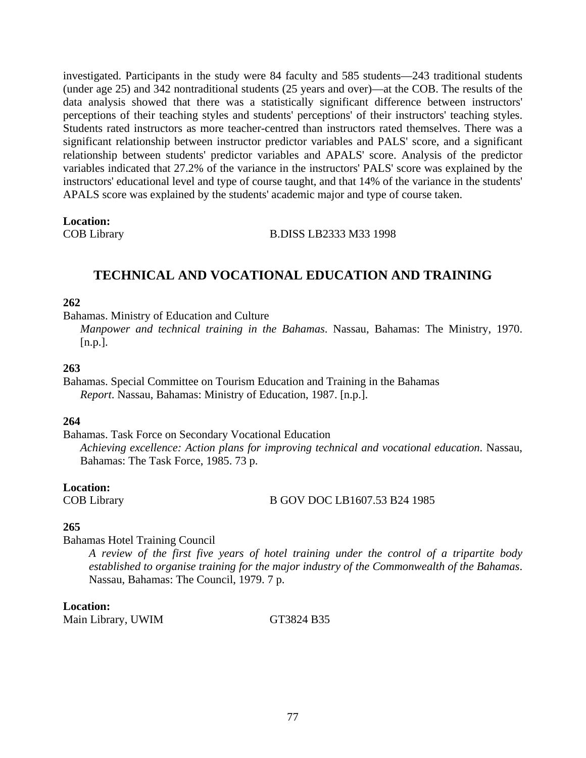<span id="page-82-0"></span>investigated. Participants in the study were 84 faculty and 585 students—243 traditional students (under age 25) and 342 nontraditional students (25 years and over)—at the COB. The results of the data analysis showed that there was a statistically significant difference between instructors' perceptions of their teaching styles and students' perceptions' of their instructors' teaching styles. Students rated instructors as more teacher-centred than instructors rated themselves. There was a significant relationship between instructor predictor variables and PALS' score, and a significant relationship between students' predictor variables and APALS' score. Analysis of the predictor variables indicated that 27.2% of the variance in the instructors' PALS' score was explained by the instructors' educational level and type of course taught, and that 14% of the variance in the students' APALS score was explained by the students' academic major and type of course taken.

#### **Location:**

COB Library B.DISS LB2333 M33 1998

# **TECHNICAL AND VOCATIONAL EDUCATION AND TRAINING**

# **262**

Bahamas. Ministry of Education and Culture

*Manpower and technical training in the Bahamas*. Nassau, Bahamas: The Ministry, 1970. [n.p.].

# **263**

Bahamas. Special Committee on Tourism Education and Training in the Bahamas *Report*. Nassau, Bahamas: Ministry of Education, 1987. [n.p.].

# **264**

Bahamas. Task Force on Secondary Vocational Education *Achieving excellence: Action plans for improving technical and vocational education*. Nassau, Bahamas: The Task Force, 1985. 73 p.

# **Location:**

# COB Library B GOV DOC LB1607.53 B24 1985

# **265**

Bahamas Hotel Training Council

*A review of the first five years of hotel training under the control of a tripartite body established to organise training for the major industry of the Commonwealth of the Bahamas*. Nassau, Bahamas: The Council, 1979. 7 p.

# **Location:**

Main Library, UWIM GT3824 B35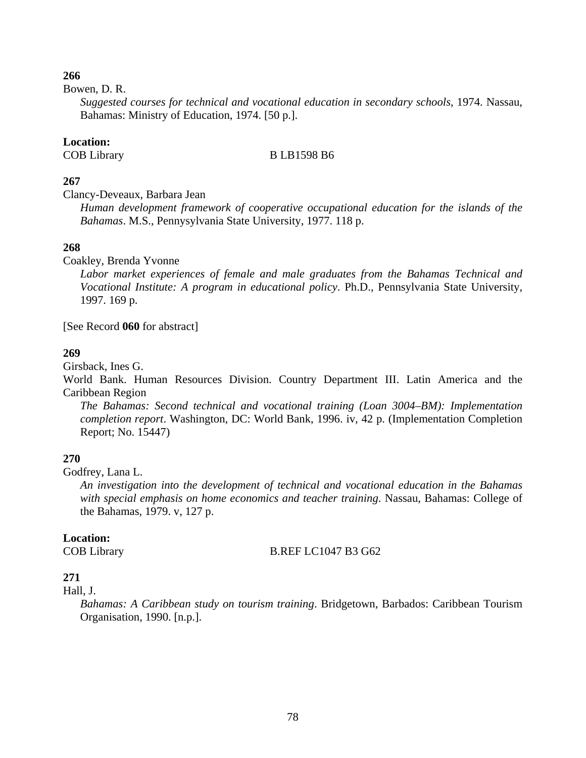Bowen, D. R.

*Suggested courses for technical and vocational education in secondary schools*, 1974. Nassau, Bahamas: Ministry of Education, 1974. [50 p.].

#### **Location:**

#### COB Library B LB1598 B6

#### **267**

Clancy-Deveaux, Barbara Jean

*Human development framework of cooperative occupational education for the islands of the Bahamas*. M.S., Pennysylvania State University, 1977. 118 p.

#### **268**

Coakley, Brenda Yvonne

*Labor market experiences of female and male graduates from the Bahamas Technical and Vocational Institute: A program in educational policy*. Ph.D., Pennsylvania State University, 1997. 169 p.

[See Record **060** for abstract]

#### **269**

Girsback, Ines G.

World Bank. Human Resources Division. Country Department III. Latin America and the Caribbean Region

*The Bahamas: Second technical and vocational training (Loan 3004–BM): Implementation completion report*. Washington, DC: World Bank, 1996. iv, 42 p. (Implementation Completion Report; No. 15447)

# **270**

Godfrey, Lana L.

*An investigation into the development of technical and vocational education in the Bahamas with special emphasis on home economics and teacher training*. Nassau, Bahamas: College of the Bahamas, 1979. v, 127 p.

#### **Location:**

COB Library B.REF LC1047 B3 G62

#### **271**

Hall, J.

*Bahamas: A Caribbean study on tourism training*. Bridgetown, Barbados: Caribbean Tourism Organisation, 1990. [n.p.].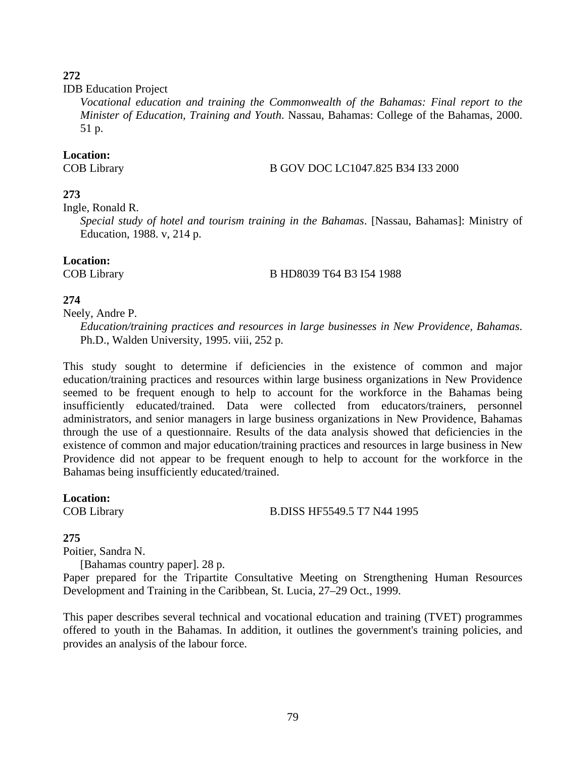# IDB Education Project

*Vocational education and training the Commonwealth of the Bahamas: Final report to the Minister of Education, Training and Youth*. Nassau, Bahamas: College of the Bahamas, 2000. 51 p.

# **Location:**

#### COB Library B GOV DOC LC1047.825 B34 I33 2000

# **273**

Ingle, Ronald R.

*Special study of hotel and tourism training in the Bahamas*. [Nassau, Bahamas]: Ministry of Education, 1988. v, 214 p.

# **Location:**

COB Library B HD8039 T64 B3 I54 1988

# **274**

Neely, Andre P.

*Education/training practices and resources in large businesses in New Providence, Bahamas*. Ph.D., Walden University, 1995. viii, 252 p.

This study sought to determine if deficiencies in the existence of common and major education/training practices and resources within large business organizations in New Providence seemed to be frequent enough to help to account for the workforce in the Bahamas being insufficiently educated/trained. Data were collected from educators/trainers, personnel administrators, and senior managers in large business organizations in New Providence, Bahamas through the use of a questionnaire. Results of the data analysis showed that deficiencies in the existence of common and major education/training practices and resources in large business in New Providence did not appear to be frequent enough to help to account for the workforce in the Bahamas being insufficiently educated/trained.

**Location:** 

COB Library B.DISS HF5549.5 T7 N44 1995

# **275**

Poitier, Sandra N.

[Bahamas country paper]. 28 p.

Paper prepared for the Tripartite Consultative Meeting on Strengthening Human Resources Development and Training in the Caribbean, St. Lucia, 27–29 Oct., 1999.

This paper describes several technical and vocational education and training (TVET) programmes offered to youth in the Bahamas. In addition, it outlines the government's training policies, and provides an analysis of the labour force.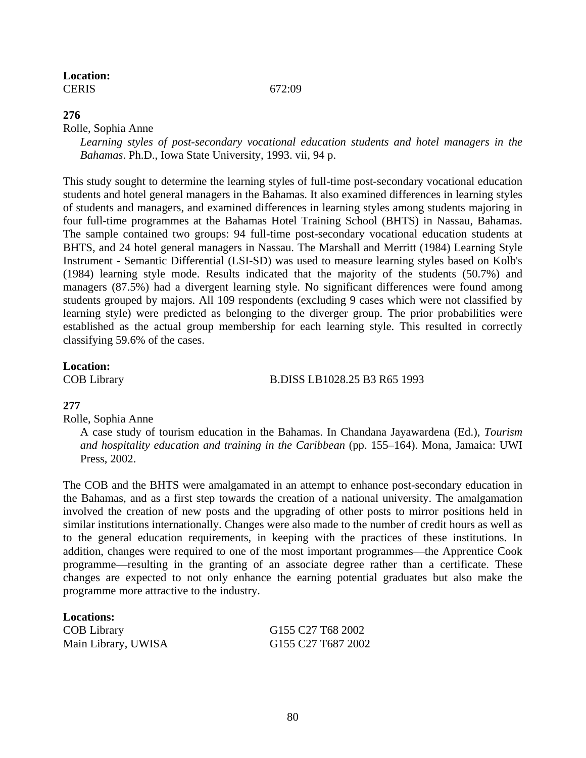#### **Location:**  CERIS 672:09

#### **276**

# Rolle, Sophia Anne

*Learning styles of post-secondary vocational education students and hotel managers in the Bahamas*. Ph.D., Iowa State University, 1993. vii, 94 p.

This study sought to determine the learning styles of full-time post-secondary vocational education students and hotel general managers in the Bahamas. It also examined differences in learning styles of students and managers, and examined differences in learning styles among students majoring in four full-time programmes at the Bahamas Hotel Training School (BHTS) in Nassau, Bahamas. The sample contained two groups: 94 full-time post-secondary vocational education students at BHTS, and 24 hotel general managers in Nassau. The Marshall and Merritt (1984) Learning Style Instrument - Semantic Differential (LSI-SD) was used to measure learning styles based on Kolb's (1984) learning style mode. Results indicated that the majority of the students (50.7%) and managers (87.5%) had a divergent learning style. No significant differences were found among students grouped by majors. All 109 respondents (excluding 9 cases which were not classified by learning style) were predicted as belonging to the diverger group. The prior probabilities were established as the actual group membership for each learning style. This resulted in correctly classifying 59.6% of the cases.

#### **Location:**

**Locations:** 

#### COB Library B.DISS LB1028.25 B3 R65 1993

#### **277**

Rolle, Sophia Anne

A case study of tourism education in the Bahamas. In Chandana Jayawardena (Ed.), *Tourism and hospitality education and training in the Caribbean* (pp. 155–164). Mona, Jamaica: UWI Press, 2002.

The COB and the BHTS were amalgamated in an attempt to enhance post-secondary education in the Bahamas, and as a first step towards the creation of a national university. The amalgamation involved the creation of new posts and the upgrading of other posts to mirror positions held in similar institutions internationally. Changes were also made to the number of credit hours as well as to the general education requirements, in keeping with the practices of these institutions. In addition, changes were required to one of the most important programmes—the Apprentice Cook programme—resulting in the granting of an associate degree rather than a certificate. These changes are expected to not only enhance the earning potential graduates but also make the programme more attractive to the industry.

| <b>LOCALIONS:</b>   |                    |
|---------------------|--------------------|
| <b>COB</b> Library  | G155 C27 T68 2002  |
| Main Library, UWISA | G155 C27 T687 2002 |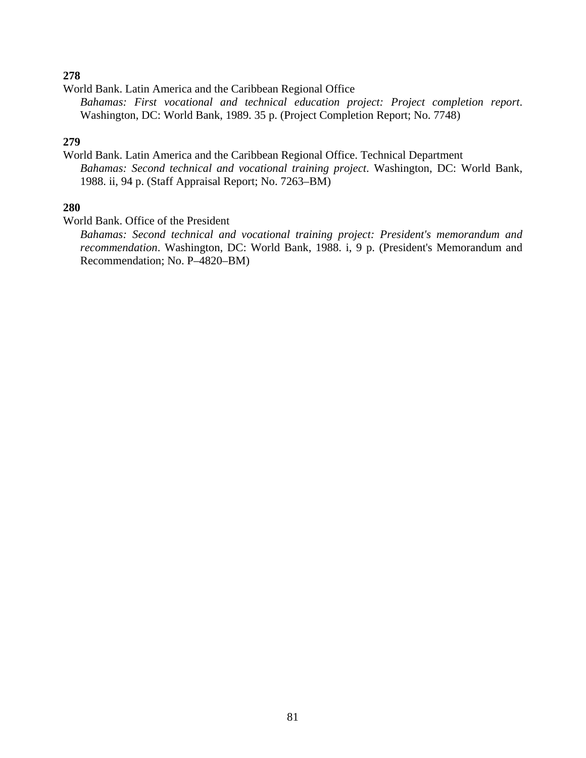World Bank. Latin America and the Caribbean Regional Office

*Bahamas: First vocational and technical education project: Project completion report*. Washington, DC: World Bank, 1989. 35 p. (Project Completion Report; No. 7748)

# **279**

World Bank. Latin America and the Caribbean Regional Office. Technical Department *Bahamas: Second technical and vocational training project*. Washington, DC: World Bank, 1988. ii, 94 p. (Staff Appraisal Report; No. 7263–BM)

# **280**

#### World Bank. Office of the President

*Bahamas: Second technical and vocational training project: President's memorandum and recommendation*. Washington, DC: World Bank, 1988. i, 9 p. (President's Memorandum and Recommendation; No. P–4820–BM)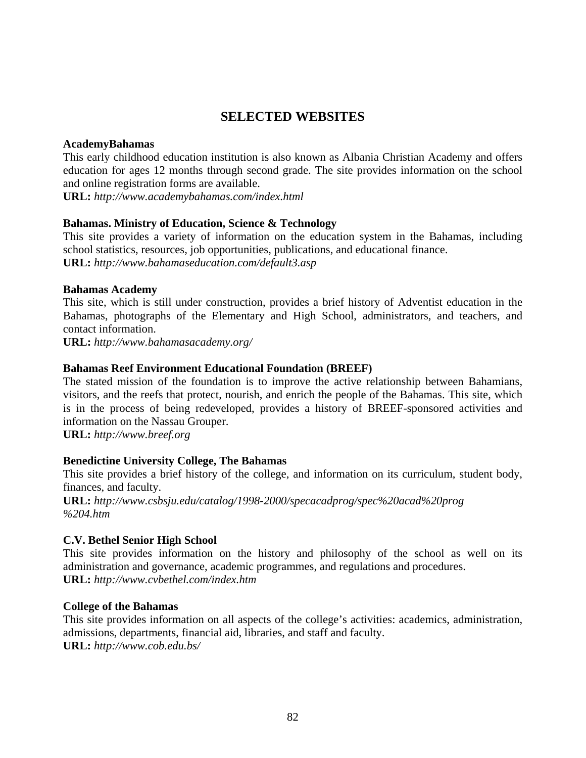# **SELECTED WEBSITES**

#### <span id="page-87-0"></span>**AcademyBahamas**

This early childhood education institution is also known as Albania Christian Academy and offers education for ages 12 months through second grade. The site provides information on the school and online registration forms are available.

**URL:** *http://www.academybahamas.com/index.html* 

#### **Bahamas. Ministry of Education, Science & Technology**

This site provides a variety of information on the education system in the Bahamas, including school statistics, resources, job opportunities, publications, and educational finance. **URL:** *http://www.bahamaseducation.com/default3.asp* 

#### **Bahamas Academy**

This site, which is still under construction, provides a brief history of Adventist education in the Bahamas, photographs of the Elementary and High School, administrators, and teachers, and contact information.

**URL:** *http://www.bahamasacademy.org/* 

# **Bahamas Reef Environment Educational Foundation (BREEF)**

The stated mission of the foundation is to improve the active relationship between Bahamians, visitors, and the reefs that protect, nourish, and enrich the people of the Bahamas. This site, which is in the process of being redeveloped, provides a history of BREEF-sponsored activities and information on the Nassau Grouper.

**URL:** *http://www.breef.org*

# **Benedictine University College, The Bahamas**

This site provides a brief history of the college, and information on its curriculum, student body, finances, and faculty.

**URL:** *http://www.csbsju.edu/catalog/1998-2000/specacadprog/spec%20acad%20prog %204.htm*

# **C.V. Bethel Senior High School**

This site provides information on the history and philosophy of the school as well on its administration and governance, academic programmes, and regulations and procedures. **URL:** *http://www.cvbethel.com/index.htm*

# **College of the Bahamas**

This site provides information on all aspects of the college's activities: academics, administration, admissions, departments, financial aid, libraries, and staff and faculty. **URL:** *http://www.cob.edu.bs/*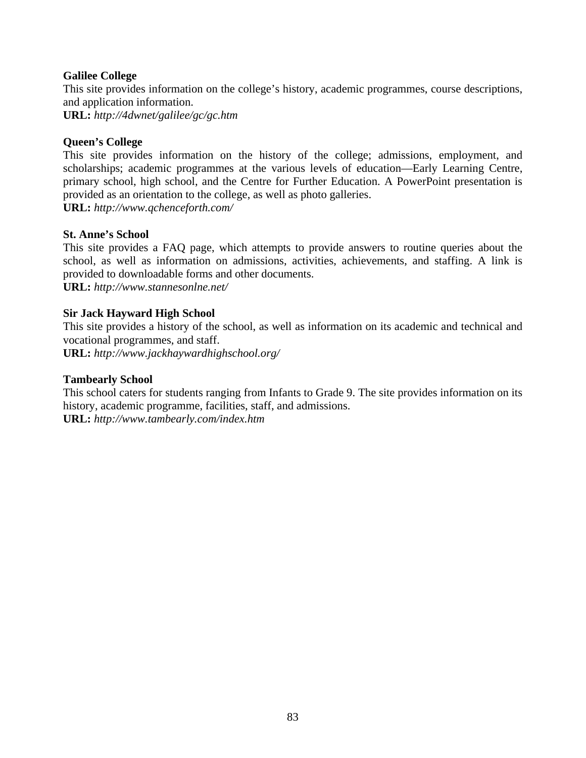# **Galilee College**

This site provides information on the college's history, academic programmes, course descriptions, and application information. **URL:** *http://4dwnet/galilee/gc/gc.htm*

# **Queen's College**

This site provides information on the history of the college; admissions, employment, and scholarships; academic programmes at the various levels of education—Early Learning Centre, primary school, high school, and the Centre for Further Education. A PowerPoint presentation is provided as an orientation to the college, as well as photo galleries. **URL:** *http://www.qchenceforth.com/*

# **St. Anne's School**

This site provides a FAQ page, which attempts to provide answers to routine queries about the school, as well as information on admissions, activities, achievements, and staffing. A link is provided to downloadable forms and other documents. **URL:** *http://www.stannesonlne.net/* 

# **Sir Jack Hayward High School**

This site provides a history of the school, as well as information on its academic and technical and vocational programmes, and staff.

**URL:** *http://www.jackhaywardhighschool.org/* 

# **Tambearly School**

This school caters for students ranging from Infants to Grade 9. The site provides information on its history, academic programme, facilities, staff, and admissions. **URL:** *http://www.tambearly.com/index.htm*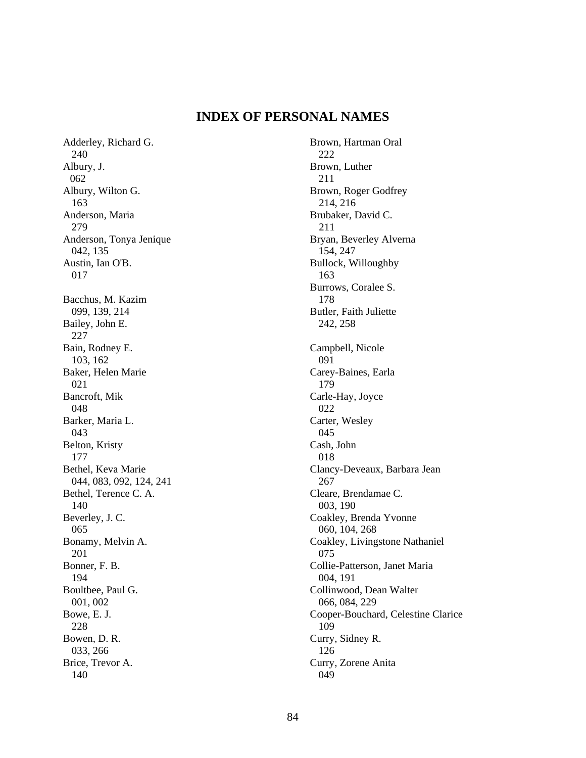# **INDEX OF PERSONAL NAMES**

<span id="page-89-0"></span>Adderley, Richard G. Brown, Hartman Oral 240 222 Albury, J. Brown, Luther 062 211 Albury, Wilton G. Brown, Roger Godfrey 163 214, 216 Anderson, Maria Brubaker, David C. 279 211 Anderson, Tonya Jenique Bryan, Beverley Alverna 042, 135 154, 247 Austin, Ian O'B. Bullock, Willoughby 017 163 Bacchus, M. Kazim 178 099, 139, 214 Butler, Faith Juliette Bailey, John E. 242, 258 227 Bain, Rodney E. Campbell, Nicole 103, 162 091 Baker, Helen Marie Carey-Baines, Earla 021 179 Bancroft, Mik Carle-Hay, Joyce 048 022 Barker, Maria L. Carter, Wesley 043 045 Belton, Kristy Cash, John 177 018 044, 083, 092, 124, 241 267 Bethel, Terence C. A. Cleare, Brendamae C. 140 003, 190 Beverley, J. C. Coakley, Brenda Yvonne 065 060, 104, 268 201 075 Bonner, F. B. Collie-Patterson, Janet Maria 194 004, 191 Boultbee, Paul G. Collinwood, Dean Walter 001, 002 066, 084, 229 228 109 Bowen, D. R. Curry, Sidney R. 033, 266 126 Brice, Trevor A. Curry, Zorene Anita 140 049

Burrows, Coralee S. Bethel, Keva Marie Clancy-Deveaux, Barbara Jean Bonamy, Melvin A. Coakley, Livingstone Nathaniel Bowe, E. J. Cooper-Bouchard, Celestine Clarice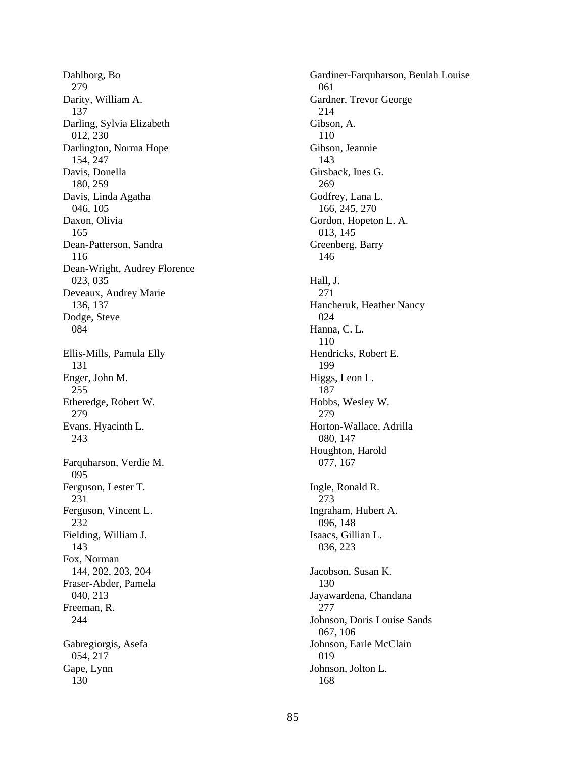279 [061](#page-64-0)  Darity, William A. Gardner, Trevor George 137 [214](#page-67-0)  Darling, Sylvia Elizabeth Gibson, A. 012, 230 110 Darlington, Norma Hope Gibson, Jeannie 154, 247 [143](#page-71-0)  Davis, Donella Girsback, Ines G. 180, 259 [269](#page-74-0)  Davis, Linda Agatha Godfrey, Lana L. 046, 105 166, 245, 270 Daxon, Olivia Gordon, Hopeton L. A.  [165](#page-3-0) [013, 145](#page-79-0)  [Dean-Patterson, Sandra](#page-4-0) Greenberg, Barry 116 [146](#page-81-0)  [Dean-Wright, Audrey Florence](#page-6-0)   [023, 035](#page-6-0) [Hall, J.](#page-87-0)  [Deveaux, Audrey Marie](#page-9-0) 271  [136, 137](#page-10-0) [Hancheruk, Heather Nancy](#page-89-0)  [Dodge, Steve](#page-12-0) 024  [084](#page-13-0) [Hanna, C. L.](#page-97-0)  [Ellis-Mills, Pamula Elly](#page-15-0) Hendricks, Robert E.  [131](#page-17-0) 199 [Enger, John M.](#page-20-0) Higgs, Leon L.  [255](#page-22-0) 187 [Etheredge, Robert W.](#page-23-0) Hobbs, Wesley W.  [279](#page-24-0) 279 [Evans, Hyacinth L.](#page-26-0) **Horton-Wallace**, Adrilla  [243](#page-27-0) 080, 147 [Farquharson, Verdie M.](#page-33-0) 077, 167  [095](#page-34-0)  [Ferguson, Lester T.](#page-34-0) Ingle, Ronald R.  [231](#page-35-0) 273 [Ferguson, Vincent L.](#page-37-0) **Ingraham**, Hubert A.  [232](#page-40-0) 096, 148 [Fielding, William J.](#page-44-0) **Isaacs**, Gillian L.  [143](#page-45-0) 036, 223 [Fox, Norman](#page-45-0)   [144, 202, 203, 204](#page-46-0) Jacobson, Susan K. [Fraser-Abder, Pamela](#page-46-0) 130  [040, 213](#page-47-0) Jayawardena, Chandana [Freeman, R.](#page-48-0) 277  [244](#page-49-0) Johnson, Doris Louise Sands [Gabregiorgis, Asefa](#page-58-0) Johnson, Earle McClain 054, 217 019 [Gape, Lynn](#page-61-0) Johnson, Johnson, Johnson, Johnson, Johnson, Johnson, Johnson, Johnson, Johnson, Johnson, Johnson, Johnson, Johnson, Johnson, Johnson, Johnson, Johnson, Johnson, Johnson, Johnson, Johnson, Johnson, Johnson, John  [130](#page-62-0) 168

Dahlborg, Bo [Gardiner-Farquharson, Beulah Louise](#page-63-0)  110 Houghton, Harold 067, 106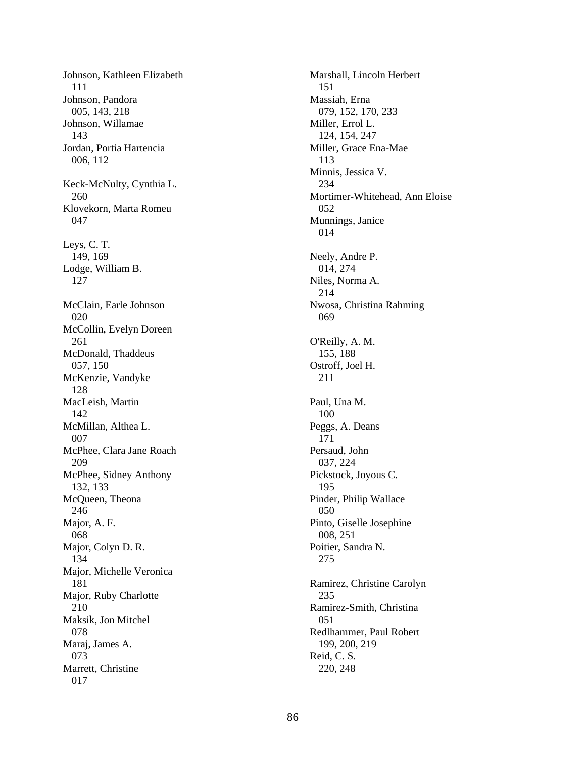Johnson, Kathleen Elizabeth 111 Johnson, Pandora 005, 143, 218 Johnson, Willamae 143 Jordan, Portia Hartencia 006, 112 Keck-McNulty, Cynthia L. 260 Klovekorn, Marta Romeu 047 Leys, C. T. 149, 169 Lodge, William B. 127 McClain, Earle Johnson 020 McCollin, Evelyn Doreen 261 McDonald, Thaddeus 057, 150 McKenzie, Vandyke 128 MacLeish, Martin 142 McMillan, Althea L. 007 McPhee, Clara Jane Roach 209 McPhee, Sidney Anthony 132, 133 McQueen, Theona 246 Major, A. F. 068 Major, Colyn D. R. 134 Major, Michelle Veronica 181 Major, Ruby Charlotte 210 Maksik, Jon Mitchel 078 Maraj, James A. 073 Marrett, Christine 017

Marshall, Lincoln Herbert 151 Massiah, Erna 079, 152, 170, 233 Miller, Errol L. 124, 154, 247 Miller, Grace Ena-Mae 113 Minnis, Jessica V. 234 Mortimer-Whitehead, Ann Eloise 052 Munnings, Janice 014 Neely, Andre P. 014, 274 Niles, Norma A. 214 Nwosa, Christina Rahming 069 O'Reilly, A. M. 155, 188 Ostroff, Joel H. 211 Paul, Una M. 100 Peggs, A. Deans 171 Persaud, John 037, 224 Pickstock, Joyous C. 195 Pinder, Philip Wallace 050 Pinto, Giselle Josephine 008, 251 Poitier, Sandra N. 275 Ramirez, Christine Carolyn 235 Ramirez-Smith, Christina 051 Redlhammer, Paul Robert 199, 200, 219 Reid, C. S. 220, 248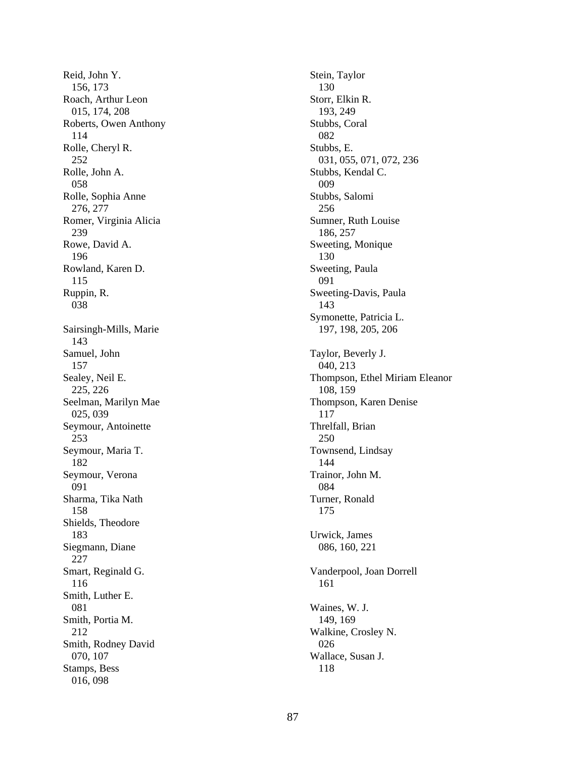Reid, John Y. 156, 173 Roach, Arthur Leon 015, 174, 208 Roberts, Owen Anthony 114 Rolle, Cheryl R. 252 Rolle, John A. 058 Rolle, Sophia Anne 276, 277 Romer, Virginia Alicia 239 Rowe, David A. 196 Rowland, Karen D. 115 Ruppin, R. 038 Sairsingh-Mills, Marie 143 Samuel, John 157 Sealey, Neil E. 225, 226 Seelman, Marilyn Mae 025, 039 Seymour, Antoinette 253 Seymour, Maria T. 182 Seymour, Verona 091 Sharma, Tika Nath 158 Shields, Theodore 183 Siegmann, Diane 227 Smart, Reginald G. 116 Smith, Luther E. 081 Smith, Portia M. 212 Smith, Rodney David 070, 107 Stamps, Bess 016, 098

Stein, Taylor 130 Storr, Elkin R. 193, 249 Stubbs, Coral 082 Stubbs, E. 031, 055, 071, 072, 236 Stubbs, Kendal C. 009 Stubbs, Salomi 256 Sumner, Ruth Louise 186, 257 Sweeting, Monique 130 Sweeting, Paula 091 Sweeting-Davis, Paula 143 Symonette, Patricia L. 197, 198, 205, 206 Taylor, Beverly J. 040, 213 Thompson, Ethel Miriam Eleanor 108, 159 Thompson, Karen Denise 117 Threlfall, Brian 250 Townsend, Lindsay 144 Trainor, John M. 084 Turner, Ronald 175 Urwick, James 086, 160, 221 Vanderpool, Joan Dorrell 161 Waines, W. J. 149, 169 Walkine, Crosley N. 026 Wallace, Susan J. 118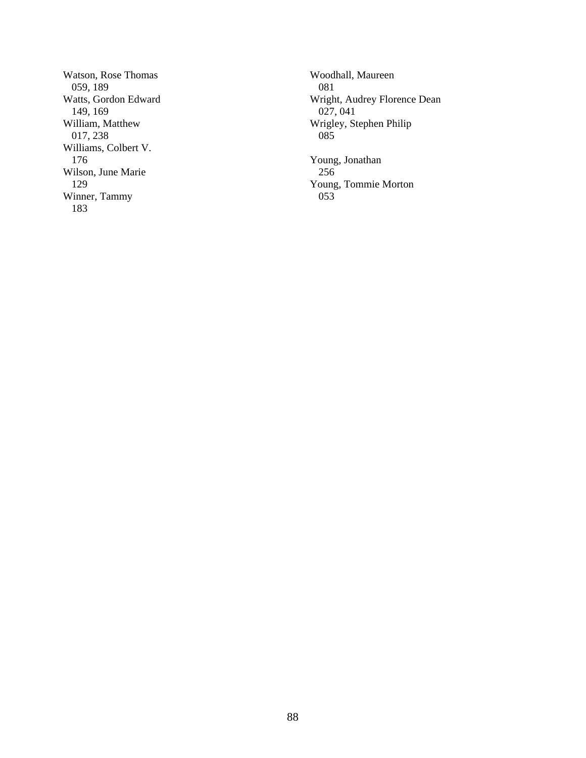Watson, Rose Thomas 059, 189 Watts, Gordon Edward 149, 169 William, Matthew 017, 238 Williams, Colbert V. 176 Wilson, June Marie 129 Winner, Tammy 183

Woodhall, Maureen 081 Wright, Audrey Florence Dean 027, 041 Wrigley, Stephen Philip 085

Young, Jonathan 256 Young, Tommie Morton 053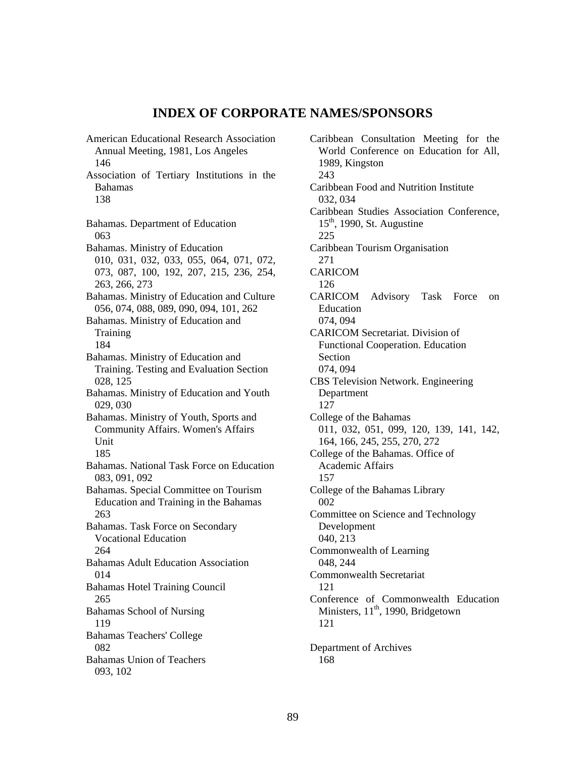# **INDEX OF CORPORATE NAMES/SPONSORS**

 146 Association of Tertiary Institutions in the Bahamas 138 Bahamas. Department of Education 063 Bahamas. Ministry of Education 010, 031, 032, 033, 055, 064, 071, 072, 073, 087, 100, 192, 207, 215, 236, 254, 263, 266, 273 Bahamas. Ministry of Education and Culture 056, 074, 088, 089, 090, 094, 101, 262 Bahamas. Ministry of Education and Training 184 Bahamas. Ministry of Education and Training. Testing and Evaluation Section 028, 125 Bahamas. Ministry of Education and Youth 029, 030 Bahamas. Ministry of Youth, Sports and Community Affairs. Women's Affairs Unit 185 Bahamas. National Task Force on Education 083, 091, 092 Bahamas. Special Committee on Tourism Education and Training in the Bahamas 263 Bahamas. Task Force on Secondary Vocational Education 264 Bahamas Adult Education Association 014 Bahamas Hotel Training Council 265 Bahamas School of Nursing 119 Bahamas Teachers' College 082 Bahamas Union of Teachers 093, 102

<span id="page-94-0"></span>American Educational Research Association Annual Meeting, 1981, Los Angeles

Caribbean Consultation Meeting for the World Conference on Education for All, 1989, Kingston 243 Caribbean Food and Nutrition Institute 032, 034 Caribbean Studies Association Conference,  $15<sup>th</sup>$ , 1990, St. Augustine 225 Caribbean Tourism Organisation 271 CARICOM 126 CARICOM Advisory Task Force on Education 074, 094 CARICOM Secretariat. Division of Functional Cooperation. Education Section 074, 094 CBS Television Network. Engineering Department 127 College of the Bahamas 011, 032, 051, 099, 120, 139, 141, 142, 164, 166, 245, 255, 270, 272 College of the Bahamas. Office of Academic Affairs 157 College of the Bahamas Library 002 Committee on Science and Technology Development 040, 213 Commonwealth of Learning 048, 244 Commonwealth Secretariat 121 Conference of Commonwealth Education Ministers,  $11<sup>th</sup>$ , 1990, Bridgetown 121 Department of Archives 168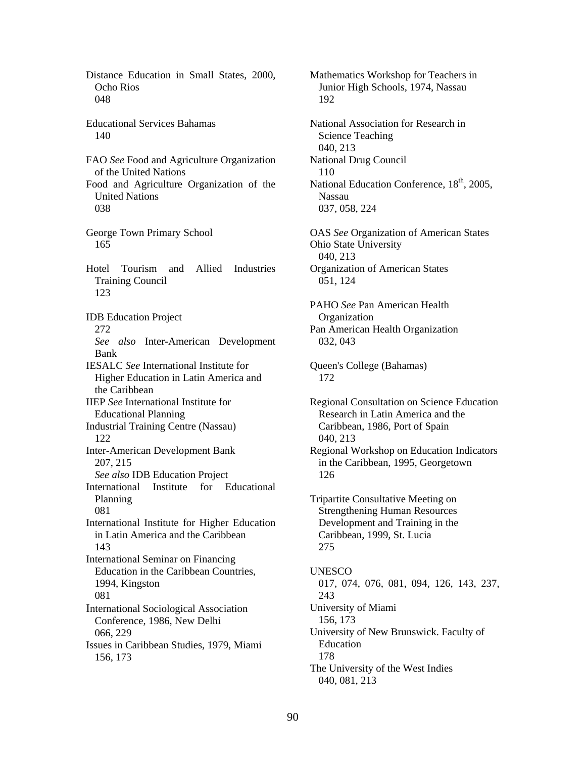Distance Education in Small States, 2000, Ocho Rios 048 Educational Services Bahamas 140 FAO *See* Food and Agriculture Organization of the United Nations Food and Agriculture Organization of the United Nations 038 George Town Primary School 165 Hotel Tourism and Allied Industries Training Council 123 IDB Education Project 272 *See also* Inter-American Development Bank IESALC *See* International Institute for Higher Education in Latin America and the Caribbean IIEP *See* International Institute for Educational Planning Industrial Training Centre (Nassau) 122 Inter-American Development Bank 207, 215 *See also* IDB Education Project International Institute for Educational Planning 081 International Institute for Higher Education in Latin America and the Caribbean 143 International Seminar on Financing Education in the Caribbean Countries, 1994, Kingston 081 International Sociological Association Conference, 1986, New Delhi 066, 229 Issues in Caribbean Studies, 1979, Miami 156, 173

Mathematics Workshop for Teachers in Junior High Schools, 1974, Nassau 192 National Association for Research in Science Teaching 040, 213 National Drug Council 110 National Education Conference, 18<sup>th</sup>, 2005, Nassau 037, 058, 224 OAS *See* Organization of American States Ohio State University 040, 213 Organization of American States 051, 124 PAHO *See* Pan American Health Organization Pan American Health Organization 032, 043 Queen's College (Bahamas) 172 Regional Consultation on Science Education Research in Latin America and the Caribbean, 1986, Port of Spain 040, 213 Regional Workshop on Education Indicators in the Caribbean, 1995, Georgetown 126 Tripartite Consultative Meeting on Strengthening Human Resources Development and Training in the Caribbean, 1999, St. Lucia 275 UNESCO 017, 074, 076, 081, 094, 126, 143, 237, 243 University of Miami 156, 173 University of New Brunswick. Faculty of Education 178 The University of the West Indies 040, 081, 213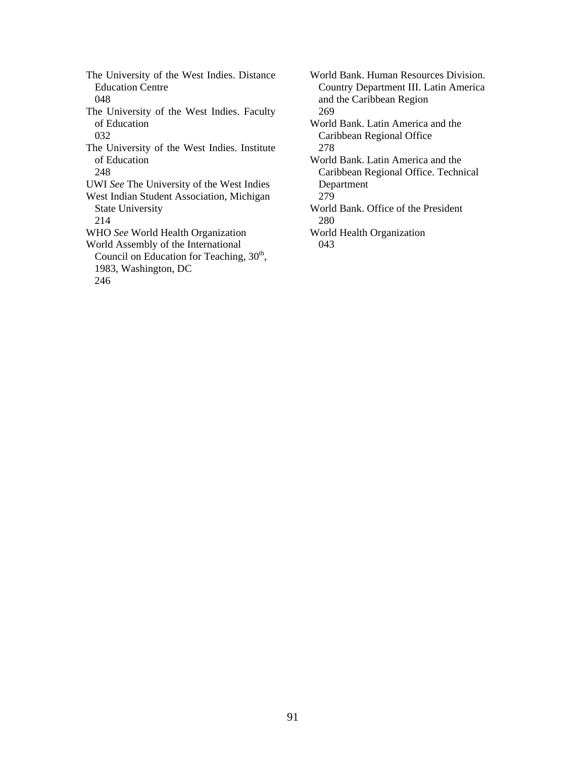The University of the West Indies. Distance Education Centre 048 The University of the West Indies. Faculty of Education 032 The University of the West Indies. Institute of Education 248 UWI *See* The University of the West Indies West Indian Student Association, Michigan State University 214 WHO *See* World Health Organization World Assembly of the International Council on Education for Teaching,  $30<sup>th</sup>$ , 1983, Washington, DC 246

World Bank. Human Resources Division. Country Department III. Latin America and the Caribbean Region 269 World Bank. Latin America and the Caribbean Regional Office 278 World Bank. Latin America and the Caribbean Regional Office. Technical Department 279 World Bank. Office of the President 280 World Health Organization

043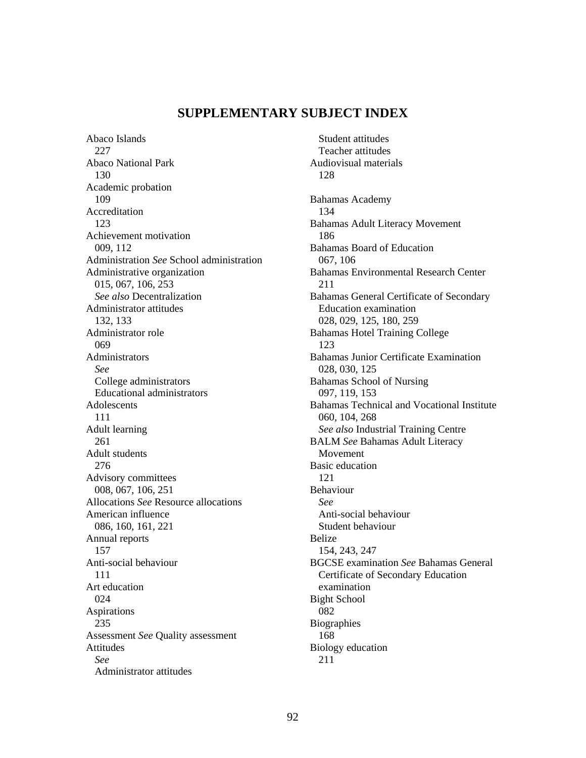# **SUPPLEMENTARY SUBJECT INDEX**

<span id="page-97-0"></span>Abaco Islands  $227$ Abaco National Park 130 Academic probation 109 Accreditation 123 Achievement motivation 009, 112 Administration *See* School administration Administrative organization 015, 067, 106, 253 *See also* Decentralization Administrator attitudes 132, 133 Administrator role 069 Administrators *See* College administrators Educational administrators Adolescents 111 Adult learning 261 Adult students 276 Advisory committees 008, 067, 106, 251 Allocations *See* Resource allocations American influence 086, 160, 161, 221 Annual reports 157 Anti-social behaviour 111 Art education 024 Aspirations 235 Assessment *See* Quality assessment Attitudes *See* Administrator attitudes

 Student attitudes Teacher attitudes Audiovisual materials 128 Bahamas Academy 134 Bahamas Adult Literacy Movement 186 Bahamas Board of Education 067, 106 Bahamas Environmental Research Center 211 Bahamas General Certificate of Secondary Education examination 028, 029, 125, 180, 259 Bahamas Hotel Training College 123 Bahamas Junior Certificate Examination 028, 030, 125 Bahamas School of Nursing 097, 119, 153 Bahamas Technical and Vocational Institute 060, 104, 268 *See also* Industrial Training Centre BALM *See* Bahamas Adult Literacy Movement Basic education 121 Behaviour *See* Anti-social behaviour Student behaviour Belize 154, 243, 247 BGCSE examination *See* Bahamas General Certificate of Secondary Education examination Bight School 082 **Biographies**  168 Biology education 211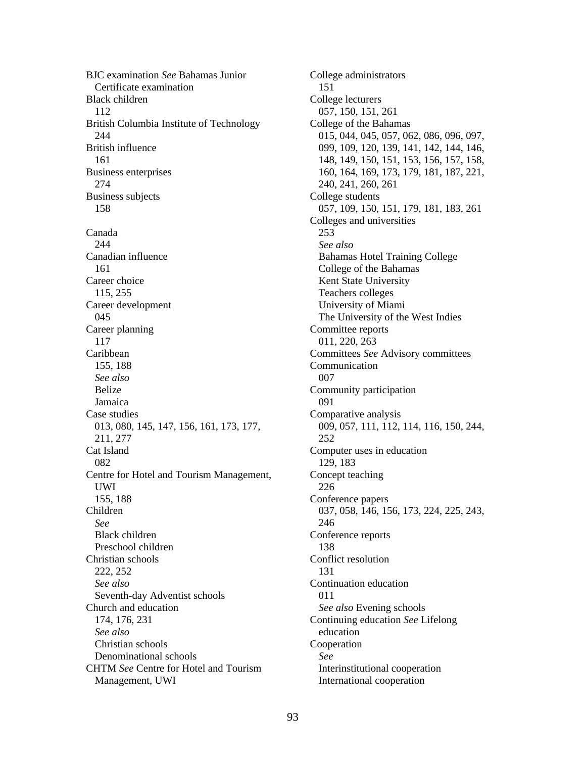BJC examination *See* Bahamas Junior Certificate examination Black children 112 British Columbia Institute of Technology 244 British influence 161 Business enterprises 274 Business subjects 158 Canada 244 Canadian influence 161 Career choice 115, 255 Career development 045 Career planning 117 Caribbean 155, 188 *See also* Belize Jamaica Case studies 013, 080, 145, 147, 156, 161, 173, 177, 211, 277 Cat Island 082 Centre for Hotel and Tourism Management, UWI 155, 188 Children *See* Black children Preschool children Christian schools 222, 252 *See also* Seventh-day Adventist schools Church and education 174, 176, 231 *See also* Christian schools Denominational schools CHTM *See* Centre for Hotel and Tourism Management, UWI

College administrators 151 College lecturers 057, 150, 151, 261 College of the Bahamas 015, 044, 045, 057, 062, 086, 096, 097, 099, 109, 120, 139, 141, 142, 144, 146, 148, 149, 150, 151, 153, 156, 157, 158, 160, 164, 169, 173, 179, 181, 187, 221, 240, 241, 260, 261 College students 057, 109, 150, 151, 179, 181, 183, 261 Colleges and universities 253 *See also* Bahamas Hotel Training College College of the Bahamas Kent State University Teachers colleges University of Miami The University of the West Indies Committee reports 011, 220, 263 Committees *See* Advisory committees Communication 007 Community participation 091 Comparative analysis 009, 057, 111, 112, 114, 116, 150, 244, 252 Computer uses in education 129, 183 Concept teaching 226 Conference papers 037, 058, 146, 156, 173, 224, 225, 243, 246 Conference reports 138 Conflict resolution 131 Continuation education 011 *See also* Evening schools Continuing education *See* Lifelong education Cooperation *See* Interinstitutional cooperation International cooperation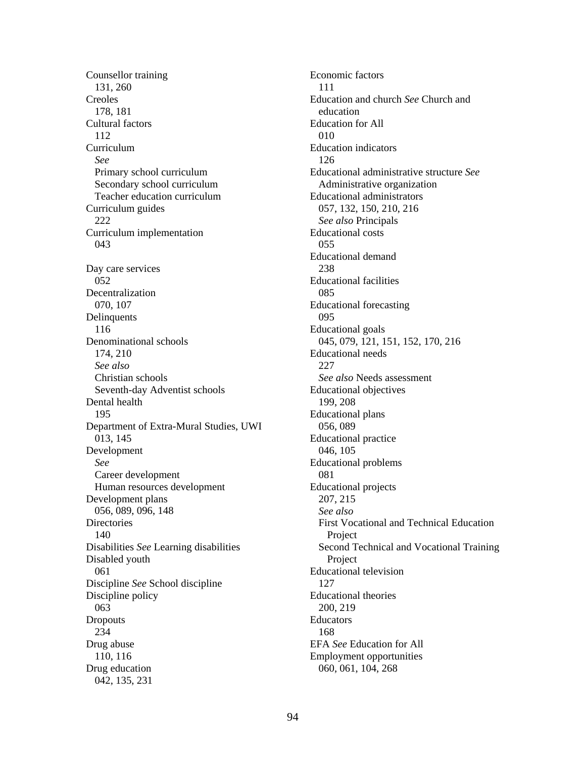Counsellor training 131, 260 Creoles 178, 181 Cultural factors 112 Curriculum *See* Primary school curriculum Secondary school curriculum Teacher education curriculum Curriculum guides 222 Curriculum implementation 043 Day care services 052 Decentralization 070, 107 **Delinquents**  116 Denominational schools 174, 210 *See also* Christian schools Seventh-day Adventist schools Dental health 195 Department of Extra-Mural Studies, UWI 013, 145 Development *See* Career development Human resources development Development plans 056, 089, 096, 148 **Directories**  140 Disabilities *See* Learning disabilities Disabled youth 061 Discipline *See* School discipline Discipline policy 063 **Dropouts**  234 Drug abuse 110, 116 Drug education 042, 135, 231

Economic factors 111 Education and church *See* Church and education Education for All 010 Education indicators 126 Educational administrative structure *See* Administrative organization Educational administrators 057, 132, 150, 210, 216 *See also* Principals Educational costs 055 Educational demand 238 Educational facilities 085 Educational forecasting 095 Educational goals 045, 079, 121, 151, 152, 170, 216 Educational needs 227 *See also* Needs assessment Educational objectives 199, 208 Educational plans 056, 089 Educational practice 046, 105 Educational problems 081 Educational projects 207, 215 *See also* First Vocational and Technical Education **Project**  Second Technical and Vocational Training Project Educational television 127 Educational theories 200, 219 **Educators**  168 EFA *See* Education for All Employment opportunities 060, 061, 104, 268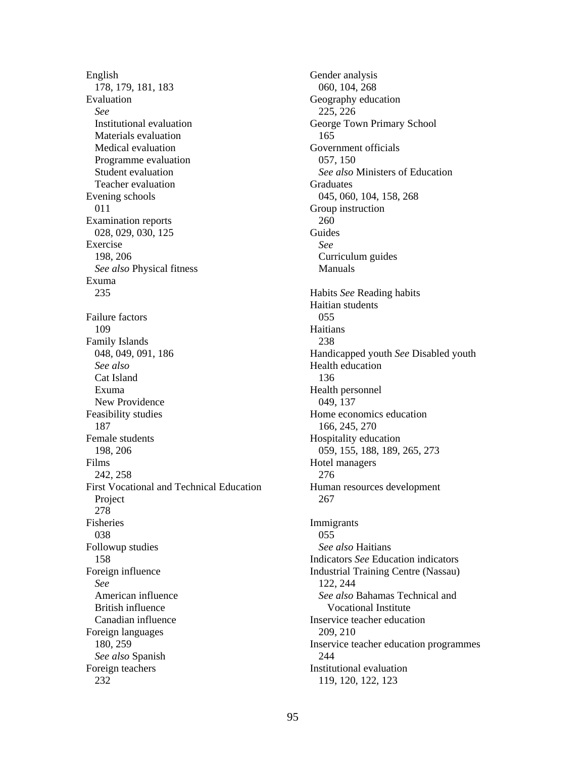English 178, 179, 181, 183 Evaluation *See* Institutional evaluation Materials evaluation Medical evaluation Programme evaluation Student evaluation Teacher evaluation Evening schools 011 Examination reports 028, 029, 030, 125 Exercise 198, 206 *See also* Physical fitness Exuma 235 Failure factors 109 Family Islands 048, 049, 091, 186 *See also* Cat Island Exuma New Providence Feasibility studies 187 Female students 198, 206 Films 242, 258 First Vocational and Technical Education Project 278 Fisheries 038 Followup studies 158 Foreign influence *See* American influence British influence Canadian influence Foreign languages 180, 259 *See also* Spanish Foreign teachers 232

Gender analysis 060, 104, 268 Geography education 225, 226 George Town Primary School 165 Government officials 057, 150 *See also* Ministers of Education **Graduates**  045, 060, 104, 158, 268 Group instruction 260 Guides *See* Curriculum guides Manuals Habits *See* Reading habits Haitian students 055 Haitians 238 Handicapped youth *See* Disabled youth Health education 136 Health personnel 049, 137 Home economics education 166, 245, 270 Hospitality education 059, 155, 188, 189, 265, 273 Hotel managers 276 Human resources development 267 Immigrants 055 *See also* Haitians Indicators *See* Education indicators Industrial Training Centre (Nassau) 122, 244 *See also* Bahamas Technical and Vocational Institute Inservice teacher education 209, 210 Inservice teacher education programmes 244 Institutional evaluation 119, 120, 122, 123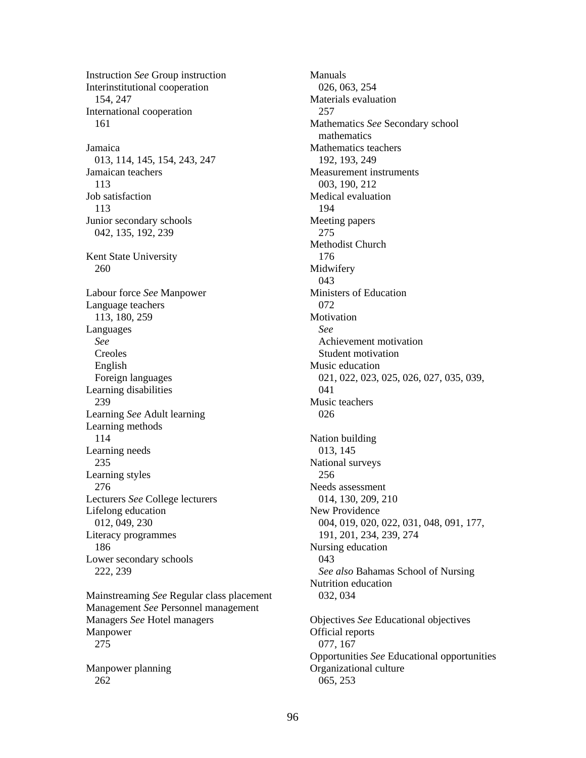Instruction *See* Group instruction Interinstitutional cooperation 154, 247 International cooperation 161 Jamaica 013, 114, 145, 154, 243, 247 Jamaican teachers 113 Job satisfaction 113 Junior secondary schools 042, 135, 192, 239 Kent State University 260 Labour force *See* Manpower Language teachers 113, 180, 259 Languages *See* Creoles English Foreign languages Learning disabilities 239 Learning *See* Adult learning Learning methods 114 Learning needs 235 Learning styles 276 Lecturers *See* College lecturers Lifelong education 012, 049, 230 Literacy programmes 186 Lower secondary schools 222, 239

Mainstreaming *See* Regular class placement Management *See* Personnel management Managers *See* Hotel managers Manpower 275

Manpower planning 262

Manuals 026, 063, 254 Materials evaluation 257 Mathematics *See* Secondary school mathematics Mathematics teachers 192, 193, 249 Measurement instruments 003, 190, 212 Medical evaluation 194 Meeting papers 275 Methodist Church 176 Midwifery 043 Ministers of Education 072 Motivation *See* Achievement motivation Student motivation Music education 021, 022, 023, 025, 026, 027, 035, 039, 041 Music teachers 026 Nation building 013, 145 National surveys 256 Needs assessment 014, 130, 209, 210 New Providence 004, 019, 020, 022, 031, 048, 091, 177, 191, 201, 234, 239, 274 Nursing education 043 *See also* Bahamas School of Nursing Nutrition education 032, 034 Objectives *See* Educational objectives Official reports 077, 167 Opportunities *See* Educational opportunities

Organizational culture

065, 253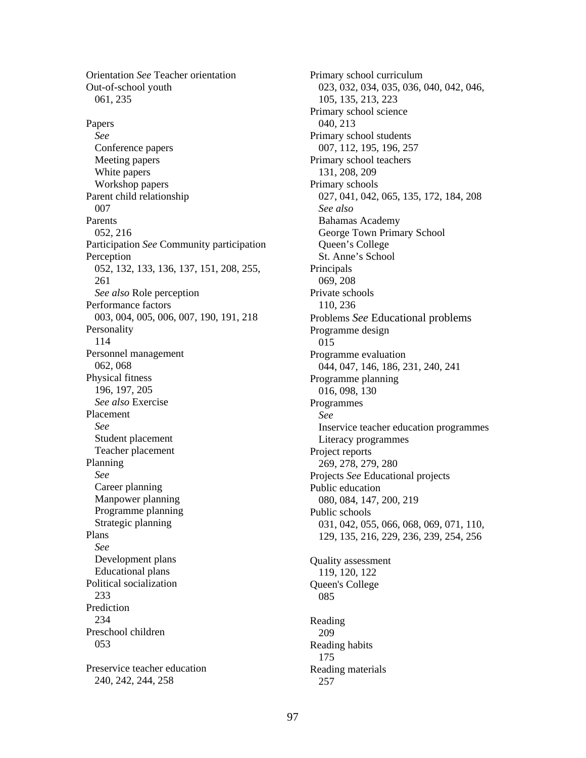Orientation *See* Teacher orientation Out-of-school youth 061, 235 Papers *See* Conference papers Meeting papers White papers Workshop papers Parent child relationship 007 Parents 052, 216 Participation *See* Community participation Perception 052, 132, 133, 136, 137, 151, 208, 255, 261 *See also* Role perception Performance factors 003, 004, 005, 006, 007, 190, 191, 218 Personality 114 Personnel management 062, 068 Physical fitness 196, 197, 205 *See also* Exercise Placement *See* Student placement Teacher placement Planning *See* Career planning Manpower planning Programme planning Strategic planning Plans *See* Development plans Educational plans Political socialization 233 Prediction 234 Preschool children 053 Preservice teacher education 240, 242, 244, 258

Primary school curriculum 023, 032, 034, 035, 036, 040, 042, 046, 105, 135, 213, 223 Primary school science 040, 213 Primary school students 007, 112, 195, 196, 257 Primary school teachers 131, 208, 209 Primary schools 027, 041, 042, 065, 135, 172, 184, 208 *See also* Bahamas Academy George Town Primary School Queen's College St. Anne's School Principals 069, 208 Private schools 110, 236 Problems *See* Educational problems Programme design 015 Programme evaluation 044, 047, 146, 186, 231, 240, 241 Programme planning 016, 098, 130 Programmes *See* Inservice teacher education programmes Literacy programmes Project reports 269, 278, 279, 280 Projects *See* Educational projects Public education 080, 084, 147, 200, 219 Public schools 031, 042, 055, 066, 068, 069, 071, 110, 129, 135, 216, 229, 236, 239, 254, 256 Quality assessment 119, 120, 122 Queen's College 085 Reading 209 Reading habits 175 Reading materials 257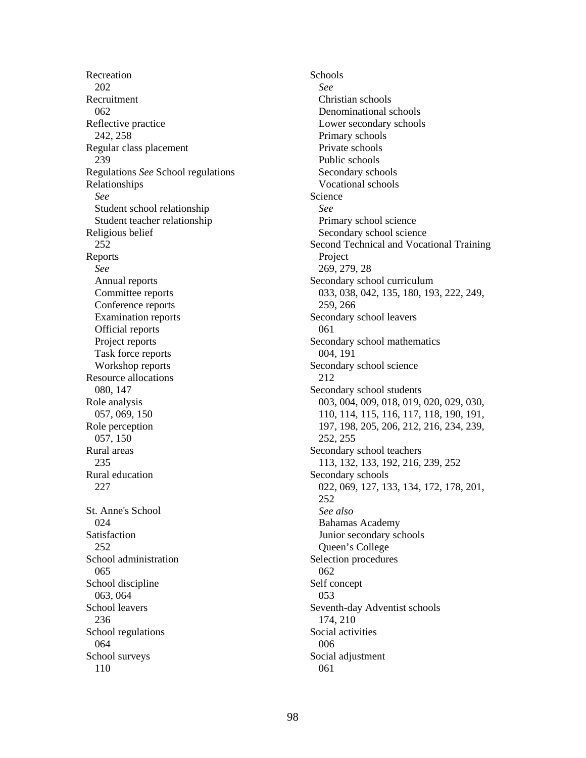Recreation 202 Recruitment 062 Reflective practice 242, 258 Regular class placement 239 Regulations *See* School regulations Relationships *See* Student school relationship Student teacher relationship Religious belief 252 Reports *See* Annual reports Committee reports Conference reports Examination reports Official reports Project reports Task force reports Workshop reports Resource allocations 080, 147 Role analysis 057, 069, 150 Role perception 057, 150 Rural areas 235 Rural education 227 St. Anne's School 024 **Satisfaction**  252 School administration 065 School discipline 063, 064 School leavers 236 School regulations 064 School surveys 110

Schools *See* Christian schools Denominational schools Lower secondary schools Primary schools Private schools Public schools Secondary schools Vocational schools Science *See* Primary school science Secondary school science Second Technical and Vocational Training Project 269, 279, 28 Secondary school curriculum 033, 038, 042, 135, 180, 193, 222, 249, 259, 266 Secondary school leavers 061 Secondary school mathematics 004, 191 Secondary school science 212 Secondary school students 003, 004, 009, 018, 019, 020, 029, 030, 110, 114, 115, 116, 117, 118, 190, 191, 197, 198, 205, 206, 212, 216, 234, 239, 252, 255 Secondary school teachers 113, 132, 133, 192, 216, 239, 252 Secondary schools 022, 069, 127, 133, 134, 172, 178, 201, 252 *See also* Bahamas Academy Junior secondary schools Queen's College Selection procedures 062 Self concept 053 Seventh-day Adventist schools 174, 210 Social activities 006 Social adjustment 061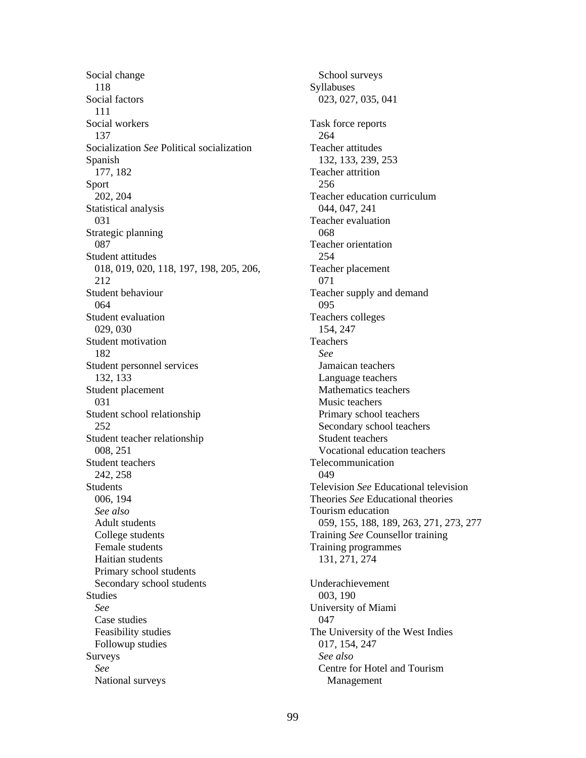Social change 118 Social factors 111 Social workers 137 Socialization *See* Political socialization Spanish 177, 182 Sport 202, 204 Statistical analysis 031 Strategic planning 087 Student attitudes 018, 019, 020, 118, 197, 198, 205, 206, 212 Student behaviour 064 Student evaluation 029, 030 Student motivation 182 Student personnel services 132, 133 Student placement 031 Student school relationship 252 Student teacher relationship 008, 251 Student teachers 242, 258 Students 006, 194 *See also* Adult students College students Female students Haitian students Primary school students Secondary school students Studies *See* Case studies Feasibility studies Followup studies Surveys  *See* National surveys

 School surveys Syllabuses 023, 027, 035, 041 Task force reports 264 Teacher attitudes 132, 133, 239, 253 Teacher attrition 256 Teacher education curriculum 044, 047, 241 Teacher evaluation 068 Teacher orientation 254 Teacher placement 071 Teacher supply and demand 095 Teachers colleges 154, 247 **Teachers** *See* Jamaican teachers Language teachers Mathematics teachers Music teachers Primary school teachers Secondary school teachers Student teachers Vocational education teachers Telecommunication 049 Television *See* Educational television Theories *See* Educational theories Tourism education 059, 155, 188, 189, 263, 271, 273, 277 Training *See* Counsellor training Training programmes 131, 271, 274 Underachievement 003, 190 University of Miami 047 The University of the West Indies 017, 154, 247 *See also* Centre for Hotel and Tourism

Management